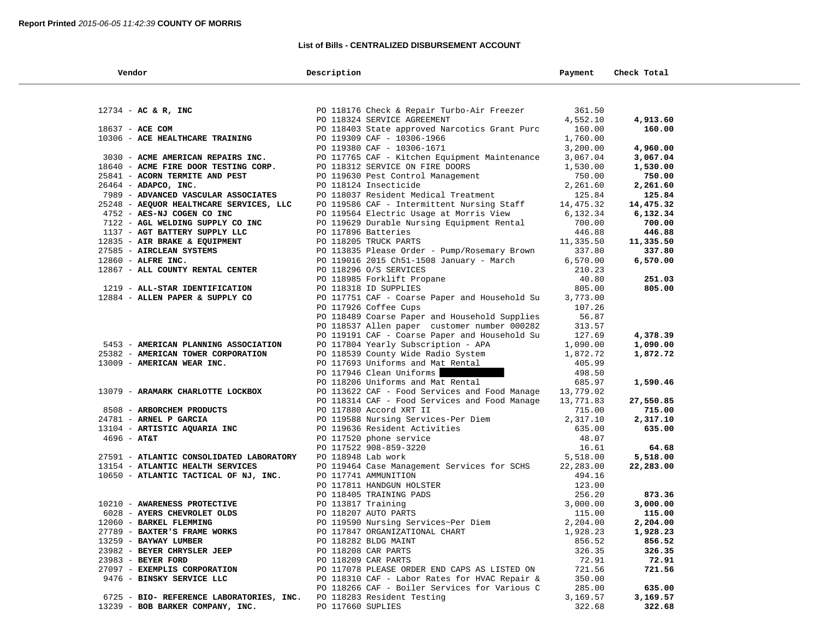### **List of Bills - CENTRALIZED DISBURSEMENT ACCOUNT**

| Vendor                                   | Description                                                                                                                               | Payment   | Check Total |  |
|------------------------------------------|-------------------------------------------------------------------------------------------------------------------------------------------|-----------|-------------|--|
|                                          |                                                                                                                                           |           |             |  |
| $12734 - AC & R$ , INC                   | PO 118176 Check & Repair Turbo-Air Freezer                                                                                                | 361.50    |             |  |
|                                          | PO 118324 SERVICE AGREEMENT                                                                                                               | 4,552.10  | 4,913.60    |  |
| 18637 - ACE COM                          | PO 118403 State approved Narcotics Grant Purc                                                                                             | 160.00    | 160.00      |  |
| 10306 - ACE HEALTHCARE TRAINING          | PO 119309 CAF - 10306-1966                                                                                                                | 1,760.00  |             |  |
|                                          | PO 119380 CAF - 10306-1671                                                                                                                | 3,200.00  | 4,960.00    |  |
| 3030 - ACME AMERICAN REPAIRS INC.        | PO 117765 CAF - Kitchen Equipment Maintenance                                                                                             | 3,067.04  | 3,067.04    |  |
| 18640 - ACME FIRE DOOR TESTING CORP.     | PO 118312 SERVICE ON FIRE DOORS                                                                                                           | 1,530.00  | 1,530.00    |  |
| 25841 - ACORN TERMITE AND PEST           | PO 119630 Pest Control Management                                                                                                         | 750.00    | 750.00      |  |
| 26464 - ADAPCO, INC.                     | PO 118124 Insecticide                                                                                                                     | 2,261.60  | 2,261.60    |  |
| 7989 - ADVANCED VASCULAR ASSOCIATES      | PO 118037 Resident Medical Treatment                                                                                                      | 125.84    | 125.84      |  |
| 25248 - AEQUOR HEALTHCARE SERVICES, LLC  | PO 119586 CAF - Intermittent Nursing Staff                                                                                                | 14,475.32 | 14,475.32   |  |
| 4752 - AES-NJ COGEN CO INC               | PO 119564 Electric Usage at Morris View                                                                                                   | 6,132.34  | 6,132.34    |  |
| 7122 - AGL WELDING SUPPLY CO INC         | PO 119629 Durable Nursing Equipment Rental                                                                                                | 700.00    | 700.00      |  |
| 1137 - AGT BATTERY SUPPLY LLC            | PO 117896 Batteries                                                                                                                       | 446.88    | 446.88      |  |
| 12835 - AIR BRAKE & EQUIPMENT            | PO 118205 TRUCK PARTS                                                                                                                     | 11,335.50 | 11,335.50   |  |
| 27585 - AIRCLEAN SYSTEMS                 | PO 113835 Please Order - Pump/Rosemary Brown                                                                                              | 337.80    | 337.80      |  |
| 12860 - ALFRE INC.                       | PO 119016 2015 Ch51-1508 January - March                                                                                                  | 6,570.00  | 6,570.00    |  |
| 12867 - ALL COUNTY RENTAL CENTER         | PO 118296 O/S SERVICES                                                                                                                    | 210.23    |             |  |
|                                          | PO 118985 Forklift Propane                                                                                                                | 40.80     | 251.03      |  |
| 1219 - ALL-STAR IDENTIFICATION           | PO 118318 ID SUPPLIES                                                                                                                     | 805.00    | 805.00      |  |
| 12884 - ALLEN PAPER & SUPPLY CO          | PO 117751 CAF - Coarse Paper and Household Su                                                                                             | 3,773.00  |             |  |
|                                          | PO 117926 Coffee Cups                                                                                                                     | 107.26    |             |  |
|                                          | PO 118489 Coarse Paper and Household Supplies                                                                                             | 56.87     |             |  |
|                                          | PO 118537 Allen paper customer number 000282                                                                                              | 313.57    |             |  |
|                                          | PO 119191 CAF - Coarse Paper and Household Su                                                                                             | 127.69    | 4,378.39    |  |
| 5453 - AMERICAN PLANNING ASSOCIATION     | PO 117804 Yearly Subscription - APA                                                                                                       | 1,090.00  | 1,090.00    |  |
| 25382 - AMERICAN TOWER CORPORATION       | PO 118539 County Wide Radio System                                                                                                        | 1,872.72  | 1,872.72    |  |
| 13009 - AMERICAN WEAR INC.               | PO 117693 Uniforms and Mat Rental                                                                                                         | 405.99    |             |  |
|                                          | PO 117946 Clean Uniforms                                                                                                                  | 498.50    |             |  |
|                                          | PO 118206 Uniforms and Mat Rental                                                                                                         | 685.97    | 1,590.46    |  |
| 13079 - ARAMARK CHARLOTTE LOCKBOX        | PO 113622 CAF - Food Services and Food Manage                                                                                             | 13,779.02 |             |  |
|                                          | PO 118314 CAF - Food Services and Food Manage                                                                                             | 13,771.83 | 27,550.85   |  |
| 8508 - ARBORCHEM PRODUCTS                | PO 117880 Accord XRT II                                                                                                                   | 715.00    | 715.00      |  |
| 24781 - ARNEL P GARCIA                   | PO 119588 Nursing Services-Per Diem                                                                                                       | 2,317.10  | 2,317.10    |  |
| 13104 - ARTISTIC AQUARIA INC             | PO 119636 Resident Activities                                                                                                             | 635.00    | 635.00      |  |
| $4696 - AT&T$                            | PO 117520 phone service                                                                                                                   | 48.07     |             |  |
|                                          | PO 117522 908-859-3220                                                                                                                    | 16.61     | 64.68       |  |
| 27591 - ATLANTIC CONSOLIDATED LABORATORY | PO 118948 Lab work                                                                                                                        | 5,518.00  | 5,518.00    |  |
| 13154 - ATLANTIC HEALTH SERVICES         | PO 119464 Case Management Services for SCHS                                                                                               | 22,283.00 | 22,283.00   |  |
| 10650 - ATLANTIC TACTICAL OF NJ, INC.    | PO 117741 AMMUNITION                                                                                                                      | 494.16    |             |  |
|                                          |                                                                                                                                           | 123.00    |             |  |
|                                          |                                                                                                                                           | 256.20    | 873.36      |  |
| 10210 - AWARENESS PROTECTIVE             |                                                                                                                                           | 3,000.00  | 3,000.00    |  |
| 6028 - AYERS CHEVROLET OLDS              | PO 117811 HANDGUN HOLSTER<br>PO 118405 TRAINING PADS<br>PO 113817 Training<br>PO 118207 AUTO PARTS<br>PO 119590 Nursing Services~Per Diem | 115.00    | 115.00      |  |
| 12060 - BARKEL FLEMMING                  |                                                                                                                                           | 2,204.00  | 2,204.00    |  |
| 27789 - BAXTER'S FRAME WORKS             | PO 117847 ORGANIZATIONAL CHART                                                                                                            | 1,928.23  | 1,928.23    |  |
| 13259 - BAYWAY LUMBER                    | PO 118282 BLDG MAINT                                                                                                                      | 856.52    | 856.52      |  |
| 23982 - BEYER CHRYSLER JEEP              | PO 118208 CAR PARTS                                                                                                                       | 326.35    | 326.35      |  |
| 23983 - BEYER FORD                       | PO 118209 CAR PARTS                                                                                                                       | 72.91     | 72.91       |  |
| 27097 - EXEMPLIS CORPORATION             | PO 117078 PLEASE ORDER END CAPS AS LISTED ON                                                                                              | 721.56    | 721.56      |  |
| 9476 - BINSKY SERVICE LLC                | PO 118310 CAF - Labor Rates for HVAC Repair &                                                                                             | 350.00    |             |  |
|                                          | PO 118266 CAF - Boiler Services for Various C                                                                                             | 285.00    | 635.00      |  |
| 6725 - BIO- REFERENCE LABORATORIES, INC. | PO 118283 Resident Testing                                                                                                                | 3,169.57  | 3,169.57    |  |
| 13239 - BOB BARKER COMPANY, INC.         | PO 117660 SUPLIES                                                                                                                         | 322.68    | 322.68      |  |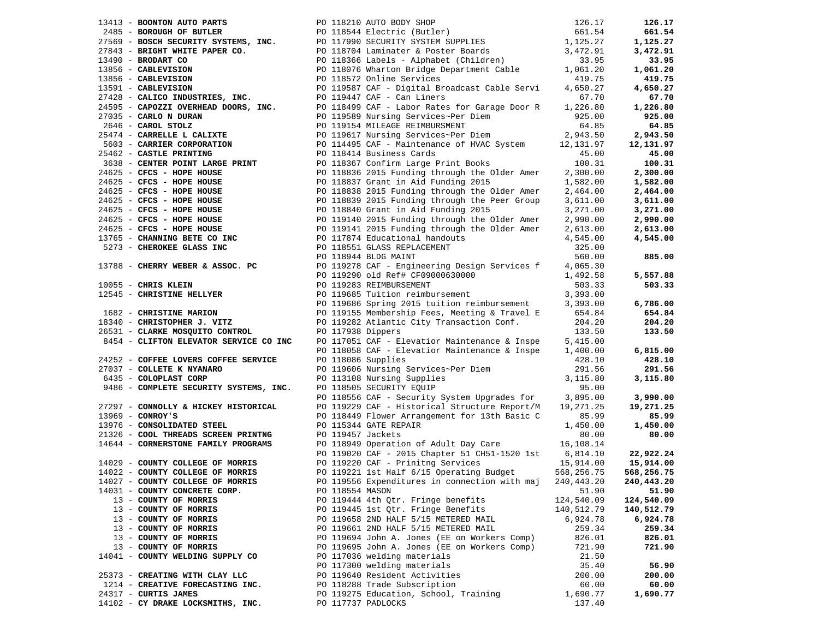| 13413 - <b>BOONTON AUTO PARTS</b><br>2485 - <b>BOROUGH OF BUTLER</b><br>2769 - <b>BOROUGH OF BUTLER</b><br>27843 - <b>BOROUGH OF BUTLER</b><br>27843 - <b>BRIGHT WHITE PAPER CO.</b><br>27843 - <b>BRIGHT WHITE PAPER CO.</b><br>27843 - <b>BRIGHT WHITE PAPER CO.</b><br>2794 |                   |                                                                                                                                           |                      | 126.17                 |
|--------------------------------------------------------------------------------------------------------------------------------------------------------------------------------------------------------------------------------------------------------------------------------|-------------------|-------------------------------------------------------------------------------------------------------------------------------------------|----------------------|------------------------|
|                                                                                                                                                                                                                                                                                |                   |                                                                                                                                           |                      | 661.54                 |
|                                                                                                                                                                                                                                                                                |                   |                                                                                                                                           |                      | 1,125.27               |
|                                                                                                                                                                                                                                                                                |                   |                                                                                                                                           |                      | 3,472.91               |
|                                                                                                                                                                                                                                                                                |                   |                                                                                                                                           |                      | 33.95                  |
|                                                                                                                                                                                                                                                                                |                   |                                                                                                                                           |                      | 1,061.20               |
|                                                                                                                                                                                                                                                                                |                   |                                                                                                                                           |                      | 419.75                 |
|                                                                                                                                                                                                                                                                                |                   |                                                                                                                                           |                      | 4,650.27               |
|                                                                                                                                                                                                                                                                                |                   |                                                                                                                                           |                      | 67.70                  |
| 24595 - CAPOZZI OVERHEAD DOORS, INC.<br>2695 - CAPOZZI OVERHEAD DOORS, INC.<br>2696 - CARLO N DURAN PO 119589 Nursing Services~Per Diem 925.00<br>2646 - CAROL STOLZ PO 119154 MILEAGE REIMBURSMENT 64.85<br>26474 - CARRELLE L CALIXT                                         |                   |                                                                                                                                           |                      | 1,226.80               |
|                                                                                                                                                                                                                                                                                |                   |                                                                                                                                           |                      | 925.00                 |
|                                                                                                                                                                                                                                                                                |                   |                                                                                                                                           |                      | 64.85                  |
|                                                                                                                                                                                                                                                                                |                   |                                                                                                                                           |                      | 2,943.50               |
| 5603 - CARRIER CORPORATION DO 114495 CAF - Maintenance of HVAC System 12,131.97<br>25462 - CASTLE PRINTING PO 118414 Business Cards 45.00                                                                                                                                      |                   |                                                                                                                                           |                      | 12,131.97              |
|                                                                                                                                                                                                                                                                                |                   |                                                                                                                                           |                      | 45.00                  |
|                                                                                                                                                                                                                                                                                |                   |                                                                                                                                           |                      | 100.31                 |
|                                                                                                                                                                                                                                                                                |                   |                                                                                                                                           |                      | 2,300.00               |
|                                                                                                                                                                                                                                                                                |                   |                                                                                                                                           |                      | 1,582.00               |
|                                                                                                                                                                                                                                                                                |                   |                                                                                                                                           |                      | 2,464.00               |
|                                                                                                                                                                                                                                                                                |                   |                                                                                                                                           |                      | 3,611.00               |
|                                                                                                                                                                                                                                                                                |                   |                                                                                                                                           |                      | 3,271.00               |
|                                                                                                                                                                                                                                                                                |                   |                                                                                                                                           |                      | 2,990.00               |
|                                                                                                                                                                                                                                                                                |                   |                                                                                                                                           |                      | 2,613.00               |
|                                                                                                                                                                                                                                                                                |                   |                                                                                                                                           | 2,613.00<br>4,545.00 | 4,545.00               |
|                                                                                                                                                                                                                                                                                |                   |                                                                                                                                           |                      |                        |
|                                                                                                                                                                                                                                                                                |                   |                                                                                                                                           |                      | 885.00                 |
|                                                                                                                                                                                                                                                                                |                   |                                                                                                                                           |                      |                        |
|                                                                                                                                                                                                                                                                                |                   |                                                                                                                                           |                      | 5,557.88               |
| $10055$ - CHRIS KLEIN                                                                                                                                                                                                                                                          |                   | PO 119283 REIMBURSEMENT                                                                                                                   | 503.33               | 503.33                 |
| 12545 - CHRISTINE HELLYER                                                                                                                                                                                                                                                      |                   | PO 119685 Tuition reimbursement                                                                                                           |                      |                        |
|                                                                                                                                                                                                                                                                                |                   | PO 119685 Tuition reimbursement 3,393.00<br>PO 119686 Spring 2015 tuition reimbursement 3,393.00<br>And Meeting & Travel E 654.84         |                      | 6,786.00               |
| 1682 - CHRISTINE MARION                                                                                                                                                                                                                                                        |                   | PO 119686 Spring 2015 tuition reimpursement<br>PO 119155 Membership Fees, Meeting & Travel E<br>PO 119282 Atlantic City Transaction Conf. |                      | 654.84                 |
| 18340 - CHRISTOPHER J. VITZ                                                                                                                                                                                                                                                    |                   |                                                                                                                                           | 204.20               | 204.20                 |
| 26531 - CLARKE MOSQUITO CONTROL PO 117938 Dippers                                                                                                                                                                                                                              |                   |                                                                                                                                           | 133.50               | 133.50                 |
| 8454 - CLIFTON ELEVATOR SERVICE CO INC                                                                                                                                                                                                                                         |                   |                                                                                                                                           |                      |                        |
|                                                                                                                                                                                                                                                                                |                   | PO 117051 CAF - Elevatior Maintenance & Inspe 5,415.00<br>PO 118058 CAF - Elevatior Maintenance & Inspe 1,400.00                          |                      | 6,815.00               |
| 24252 - COFFEE LOVERS COFFEE SERVICE                                                                                                                                                                                                                                           |                   | PO 118086 Supplies                                                                                                                        | 428.10               | 428.10                 |
| 27037 - COLLETE K NYANARO                                                                                                                                                                                                                                                      |                   |                                                                                                                                           | 291.56               | 291.56                 |
| 6435 - COLOPLAST CORP                                                                                                                                                                                                                                                          |                   | PO 119606 Nursing Services~Per Diem<br>PO 113108 Nursing Supplies<br>PO 118505 SECURITY EQUIP                                             | 3,115.80             | 3,115.80               |
| 9486 - COMPLETE SECURITY SYSTEMS, INC.                                                                                                                                                                                                                                         |                   | PO 118505 SECURITY EQUIP                                                                                                                  | 95.00                |                        |
|                                                                                                                                                                                                                                                                                |                   | PO 118556 CAF - Security System Upgrades for 3,895.00                                                                                     |                      |                        |
|                                                                                                                                                                                                                                                                                |                   | PO 119229 CAF - Historical Structure Report/M 19,271.25                                                                                   |                      | 3,990.00               |
| 27297 - CONNOLLY & HICKEY HISTORICAL                                                                                                                                                                                                                                           |                   |                                                                                                                                           |                      | 19,271.25              |
| $13969$ - CONROY'S                                                                                                                                                                                                                                                             |                   | PO 118449 Flower Arrangement for 13th Basic C                                                                                             | 85.99                | 85.99                  |
| 13976 - CONSOLIDATED STEEL                                                                                                                                                                                                                                                     |                   | PO 115344 GATE REPAIR                                                                                                                     | 1,450.00             | 1,450.00               |
| 21326 - COOL THREADS SCREEN PRINTNG                                                                                                                                                                                                                                            | PO 119457 Jackets | PO 118949 Operation of Adult Day Care 16,108.14                                                                                           | 80.00                | 80.00                  |
| 14644 - CORNERSTONE FAMILY PROGRAMS                                                                                                                                                                                                                                            |                   |                                                                                                                                           |                      |                        |
|                                                                                                                                                                                                                                                                                |                   | PO 119020 CAF - 2015 Chapter 51 CH51-1520 1st 6,814.10<br>PO 119220 CAF - Prinitng Services                                               | 15,914.00            | 22,922.24<br>15,914.00 |
| 14029 - COUNTY COLLEGE OF MORRIS                                                                                                                                                                                                                                               |                   | PO 119221 1st Half 6/15 Operating Budget                                                                                                  |                      |                        |
| 14022 - COUNTY COLLEGE OF MORRIS                                                                                                                                                                                                                                               |                   |                                                                                                                                           | 568,256.75           | 568,256.75             |
| 14027 - COUNTY COLLEGE OF MORRIS                                                                                                                                                                                                                                               |                   | PO 119556 Expenditures in connection with maj 240,443.20                                                                                  |                      | 240,443.20             |
| 14031 - COUNTY CONCRETE CORP.                                                                                                                                                                                                                                                  | PO 118554 MASON   |                                                                                                                                           | 51.90                | 51.90                  |
| 13 - COUNTY OF MORRIS                                                                                                                                                                                                                                                          |                   | PO 119444 4th Qtr. Fringe benefits                                                                                                        | 124,540.09           | 124,540.09             |
| 13 - COUNTY OF MORRIS                                                                                                                                                                                                                                                          |                   | PO 119445 1st Qtr. Fringe Benefits                                                                                                        | 140,512.79           | 140,512.79             |
| 13 - COUNTY OF MORRIS                                                                                                                                                                                                                                                          |                   | PO 119658 2ND HALF 5/15 METERED MAIL                                                                                                      | 6,924.78             | 6,924.78               |
| 13 - COUNTY OF MORRIS                                                                                                                                                                                                                                                          |                   | PO 119661 2ND HALF 5/15 METERED MAIL                                                                                                      | 259.34               | 259.34                 |
| 13 - COUNTY OF MORRIS                                                                                                                                                                                                                                                          |                   | PO 119694 John A. Jones (EE on Workers Comp)                                                                                              | 826.01               | 826.01                 |
| 13 - COUNTY OF MORRIS                                                                                                                                                                                                                                                          |                   | PO 119695 John A. Jones (EE on Workers Comp)                                                                                              | 721.90               | 721.90                 |
| 14041 - COUNTY WELDING SUPPLY CO                                                                                                                                                                                                                                               |                   | PO 117036 welding materials                                                                                                               | 21.50                |                        |
|                                                                                                                                                                                                                                                                                |                   | PO 117300 welding materials                                                                                                               | 35.40                | 56.90                  |
| 25373 - CREATING WITH CLAY LLC                                                                                                                                                                                                                                                 |                   | PO 119640 Resident Activities                                                                                                             | 200.00               | 200.00                 |
| 1214 - CREATIVE FORECASTING INC.                                                                                                                                                                                                                                               |                   | PO 118288 Trade Subscription                                                                                                              | 60.00                | 60.00                  |
| 24317 - CURTIS JAMES                                                                                                                                                                                                                                                           |                   | PO 119275 Education, School, Training                                                                                                     | 1,690.77             | 1,690.77               |
| 14102 - CY DRAKE LOCKSMITHS, INC.                                                                                                                                                                                                                                              |                   | PO 117737 PADLOCKS                                                                                                                        | 137.40               |                        |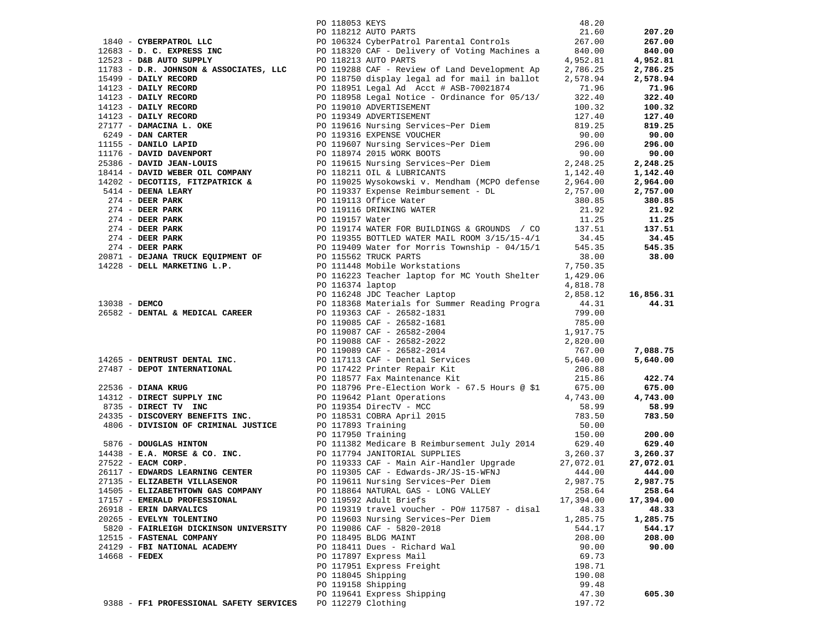| 1840 - CYBERPATROL LIC FOR 11893 REYS ARYSTAND (1983) 2021, 00<br>1849 - CYBERPATROL LIC FOR 1189324 CVEHENIC INTO PARTS<br>1968 - D. C. EXPRESS INC FOR 118930 CVE - Delivery of Voting Nachines a<br>1968 - D. C. EXPRESS INC FOR |                    |                                               |           |           |
|-------------------------------------------------------------------------------------------------------------------------------------------------------------------------------------------------------------------------------------|--------------------|-----------------------------------------------|-----------|-----------|
|                                                                                                                                                                                                                                     |                    |                                               |           |           |
|                                                                                                                                                                                                                                     |                    |                                               |           |           |
|                                                                                                                                                                                                                                     |                    |                                               |           |           |
|                                                                                                                                                                                                                                     |                    |                                               |           |           |
|                                                                                                                                                                                                                                     |                    |                                               |           |           |
|                                                                                                                                                                                                                                     |                    |                                               |           |           |
|                                                                                                                                                                                                                                     |                    |                                               |           |           |
|                                                                                                                                                                                                                                     |                    |                                               |           |           |
|                                                                                                                                                                                                                                     |                    |                                               |           |           |
|                                                                                                                                                                                                                                     |                    |                                               |           |           |
|                                                                                                                                                                                                                                     |                    |                                               |           |           |
|                                                                                                                                                                                                                                     |                    |                                               |           |           |
|                                                                                                                                                                                                                                     |                    |                                               |           |           |
|                                                                                                                                                                                                                                     |                    |                                               |           |           |
|                                                                                                                                                                                                                                     |                    |                                               |           |           |
|                                                                                                                                                                                                                                     |                    |                                               |           |           |
|                                                                                                                                                                                                                                     |                    |                                               |           |           |
|                                                                                                                                                                                                                                     |                    |                                               |           |           |
|                                                                                                                                                                                                                                     |                    |                                               |           |           |
|                                                                                                                                                                                                                                     |                    |                                               |           |           |
|                                                                                                                                                                                                                                     |                    |                                               |           |           |
|                                                                                                                                                                                                                                     |                    |                                               |           |           |
|                                                                                                                                                                                                                                     |                    |                                               |           |           |
|                                                                                                                                                                                                                                     |                    |                                               |           |           |
|                                                                                                                                                                                                                                     |                    |                                               |           |           |
|                                                                                                                                                                                                                                     |                    |                                               |           |           |
|                                                                                                                                                                                                                                     |                    |                                               |           |           |
|                                                                                                                                                                                                                                     |                    |                                               |           |           |
|                                                                                                                                                                                                                                     |                    |                                               |           |           |
|                                                                                                                                                                                                                                     |                    |                                               |           |           |
|                                                                                                                                                                                                                                     |                    |                                               |           |           |
|                                                                                                                                                                                                                                     |                    |                                               |           |           |
|                                                                                                                                                                                                                                     |                    |                                               |           |           |
|                                                                                                                                                                                                                                     |                    |                                               |           |           |
|                                                                                                                                                                                                                                     |                    |                                               |           |           |
| 2638 - DEMITRIE 1.425 - 114146 - 114146 - 11426 - 11428 - 1243 - 1243 - 1243 - 1243 - 1243 - 1243 - 1243 - 1243 - 1243 - 1243 - 1243 - 1243 - 1243 - 1243 - 1243 - 1243 - 1243 - 1243 - 1243 - 1243 - 1243 - 1243 - 1243 - 1        |                    |                                               |           |           |
|                                                                                                                                                                                                                                     |                    |                                               |           |           |
|                                                                                                                                                                                                                                     |                    |                                               |           |           |
|                                                                                                                                                                                                                                     |                    |                                               |           |           |
|                                                                                                                                                                                                                                     |                    |                                               |           |           |
|                                                                                                                                                                                                                                     |                    |                                               |           |           |
|                                                                                                                                                                                                                                     |                    |                                               |           |           |
|                                                                                                                                                                                                                                     |                    |                                               |           |           |
|                                                                                                                                                                                                                                     |                    |                                               |           |           |
|                                                                                                                                                                                                                                     |                    |                                               |           |           |
|                                                                                                                                                                                                                                     |                    |                                               |           |           |
|                                                                                                                                                                                                                                     |                    |                                               |           |           |
|                                                                                                                                                                                                                                     |                    |                                               |           |           |
| 27135 - ELIZABETH VILLASENOR                                                                                                                                                                                                        |                    | PO 119611 Nursing Services~Per Diem           | 2,987.75  | 2,987.75  |
| 14505 - ELIZABETHTOWN GAS COMPANY                                                                                                                                                                                                   |                    | PO 118864 NATURAL GAS - LONG VALLEY           | 258.64    | 258.64    |
| 17157 - EMERALD PROFESSIONAL                                                                                                                                                                                                        |                    | PO 119592 Adult Briefs                        | 17,394.00 | 17,394.00 |
| 26918 - ERIN DARVALICS                                                                                                                                                                                                              |                    | PO 119319 travel voucher - PO# 117587 - disal | 48.33     | 48.33     |
| 20265 - EVELYN TOLENTINO                                                                                                                                                                                                            |                    | PO 119603 Nursing Services~Per Diem           | 1,285.75  | 1,285.75  |
| 5820 - FAIRLEIGH DICKINSON UNIVERSITY                                                                                                                                                                                               |                    | PO 119086 CAF - 5820-2018                     | 544.17    | 544.17    |
| 12515 - FASTENAL COMPANY                                                                                                                                                                                                            |                    | PO 118495 BLDG MAINT                          | 208.00    | 208.00    |
| 24129 - FBI NATIONAL ACADEMY                                                                                                                                                                                                        |                    | PO 118411 Dues - Richard Wal                  | 90.00     | 90.00     |
| $14668$ - FEDEX                                                                                                                                                                                                                     |                    | PO 117897 Express Mail                        | 69.73     |           |
|                                                                                                                                                                                                                                     |                    | PO 117951 Express Freight                     | 198.71    |           |
|                                                                                                                                                                                                                                     | PO 118045 Shipping |                                               | 190.08    |           |
|                                                                                                                                                                                                                                     | PO 119158 Shipping |                                               | 99.48     |           |
|                                                                                                                                                                                                                                     |                    |                                               |           |           |
|                                                                                                                                                                                                                                     |                    | PO 119641 Express Shipping                    | 47.30     | 605.30    |
| 9388 - FF1 PROFESSIONAL SAFETY SERVICES                                                                                                                                                                                             | PO 112279 Clothing |                                               | 197.72    |           |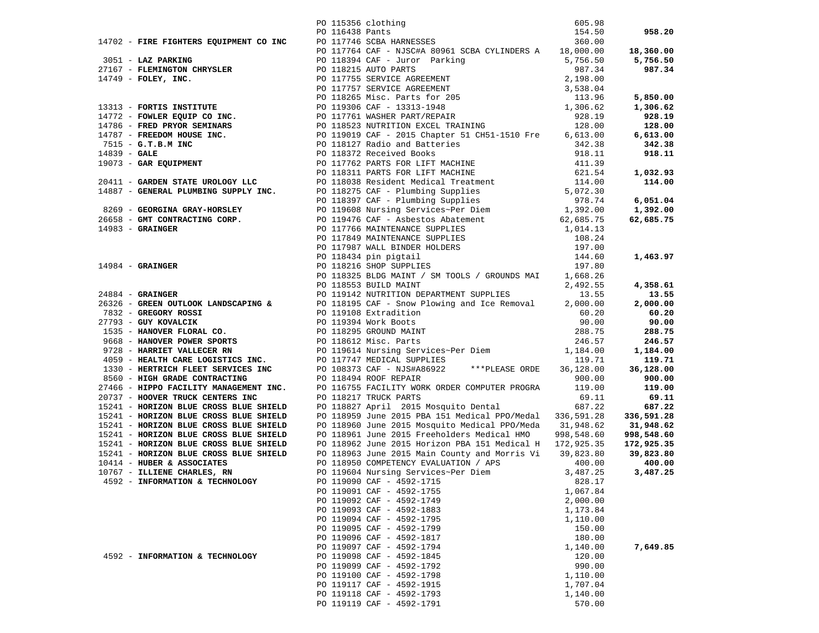|                                 | 14702 - FIRE FIGHTERS EQUIPMENT CO INC 1550 clubsing Face 15.5, 05.30<br>164.50 - 1792 - FARE PARTING CONTRIBUTE CONTROL 1645.00 - 17976 SCHA CAP- NISCAR AGS61 SCRA CYLINDRES A 13.000.00 18,360.00<br>27167 - FAREIMPOON CHRYST |          |           |
|---------------------------------|-----------------------------------------------------------------------------------------------------------------------------------------------------------------------------------------------------------------------------------|----------|-----------|
|                                 |                                                                                                                                                                                                                                   |          |           |
|                                 |                                                                                                                                                                                                                                   |          |           |
|                                 |                                                                                                                                                                                                                                   |          |           |
|                                 |                                                                                                                                                                                                                                   |          |           |
|                                 |                                                                                                                                                                                                                                   |          |           |
|                                 |                                                                                                                                                                                                                                   |          |           |
|                                 |                                                                                                                                                                                                                                   |          |           |
|                                 |                                                                                                                                                                                                                                   |          |           |
|                                 |                                                                                                                                                                                                                                   |          |           |
|                                 |                                                                                                                                                                                                                                   |          |           |
|                                 |                                                                                                                                                                                                                                   |          |           |
|                                 |                                                                                                                                                                                                                                   |          |           |
|                                 |                                                                                                                                                                                                                                   |          |           |
|                                 |                                                                                                                                                                                                                                   |          |           |
|                                 |                                                                                                                                                                                                                                   |          |           |
|                                 |                                                                                                                                                                                                                                   |          |           |
|                                 |                                                                                                                                                                                                                                   |          |           |
|                                 |                                                                                                                                                                                                                                   |          |           |
|                                 |                                                                                                                                                                                                                                   |          |           |
|                                 |                                                                                                                                                                                                                                   |          | 62,685.75 |
|                                 |                                                                                                                                                                                                                                   |          |           |
|                                 |                                                                                                                                                                                                                                   |          |           |
|                                 |                                                                                                                                                                                                                                   |          |           |
|                                 |                                                                                                                                                                                                                                   |          |           |
|                                 |                                                                                                                                                                                                                                   |          |           |
|                                 |                                                                                                                                                                                                                                   |          |           |
|                                 |                                                                                                                                                                                                                                   |          |           |
|                                 |                                                                                                                                                                                                                                   |          |           |
|                                 |                                                                                                                                                                                                                                   |          |           |
|                                 |                                                                                                                                                                                                                                   |          |           |
|                                 |                                                                                                                                                                                                                                   |          |           |
|                                 |                                                                                                                                                                                                                                   |          |           |
|                                 |                                                                                                                                                                                                                                   |          |           |
|                                 |                                                                                                                                                                                                                                   |          |           |
|                                 |                                                                                                                                                                                                                                   |          |           |
|                                 |                                                                                                                                                                                                                                   |          |           |
|                                 |                                                                                                                                                                                                                                   |          |           |
|                                 |                                                                                                                                                                                                                                   |          |           |
|                                 |                                                                                                                                                                                                                                   |          |           |
|                                 |                                                                                                                                                                                                                                   |          |           |
|                                 |                                                                                                                                                                                                                                   |          |           |
|                                 |                                                                                                                                                                                                                                   |          |           |
|                                 |                                                                                                                                                                                                                                   |          |           |
|                                 |                                                                                                                                                                                                                                   |          |           |
|                                 |                                                                                                                                                                                                                                   |          |           |
|                                 |                                                                                                                                                                                                                                   |          |           |
| 4592 - INFORMATION & TECHNOLOGY | PO 119090 CAF - 4592-1715                                                                                                                                                                                                         | 828.17   |           |
|                                 | PO 119091 CAF - 4592-1755                                                                                                                                                                                                         | 1,067.84 |           |
|                                 | PO 119092 CAF - 4592-1749                                                                                                                                                                                                         | 2,000.00 |           |
|                                 | PO 119093 CAF - 4592-1883                                                                                                                                                                                                         | 1,173.84 |           |
|                                 | PO 119094 CAF - 4592-1795                                                                                                                                                                                                         | 1,110.00 |           |
|                                 | PO 119095 CAF - 4592-1799                                                                                                                                                                                                         | 150.00   |           |
|                                 | PO 119096 CAF - 4592-1817                                                                                                                                                                                                         | 180.00   |           |
|                                 | PO 119097 CAF - 4592-1794                                                                                                                                                                                                         | 1,140.00 | 7,649.85  |
| 4592 - INFORMATION & TECHNOLOGY | PO 119098 CAF - 4592-1845                                                                                                                                                                                                         | 120.00   |           |
|                                 | PO 119099 CAF - 4592-1792                                                                                                                                                                                                         | 990.00   |           |
|                                 | PO 119100 CAF - 4592-1798                                                                                                                                                                                                         | 1,110.00 |           |
|                                 | PO 119117 CAF - 4592-1915                                                                                                                                                                                                         | 1,707.04 |           |
|                                 | PO 119118 CAF - 4592-1793                                                                                                                                                                                                         | 1,140.00 |           |
|                                 | PO 119119 CAF - 4592-1791                                                                                                                                                                                                         | 570.00   |           |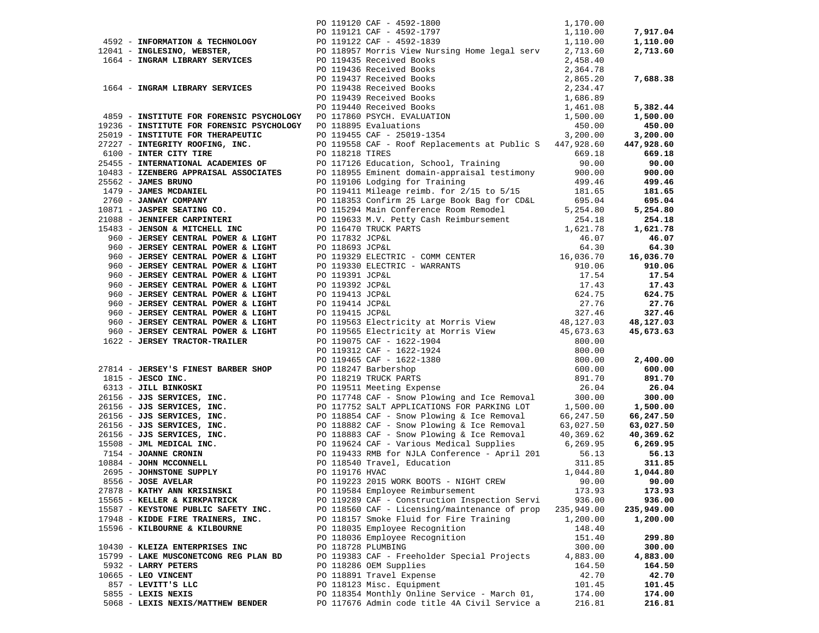| 960 - JERSEY CENTRAL POWER & LIGHT<br>960 - JERSEY CENTRAL POWER & LIGHT<br>960 - JERSEY CENTRAL POWER & LIGHT<br>960 - JERSEY CENTRAL POWER & LIGHT | 46.07<br>PO 119329 ELECTRIC - COMM CENTER<br>PO 119329 ELECTRIC - COMM CENTER<br>PO 119330 ELECTRIC - WARRANTS<br>PO 119391 JCP&L<br>PO 119392 JCP&L<br>PO 119392 JCP&L<br>PO 119413 JCP&L<br>PO 119414 JCP&L<br>PO 119415 JCP&L<br>PO 119415 JCP&                                             |            |               |
|------------------------------------------------------------------------------------------------------------------------------------------------------|------------------------------------------------------------------------------------------------------------------------------------------------------------------------------------------------------------------------------------------------------------------------------------------------|------------|---------------|
|                                                                                                                                                      |                                                                                                                                                                                                                                                                                                |            |               |
|                                                                                                                                                      |                                                                                                                                                                                                                                                                                                |            |               |
| 960 - JERSEY CENTRAL POWER & LIGHT                                                                                                                   |                                                                                                                                                                                                                                                                                                |            |               |
| 960 - JERSEY CENTRAL POWER & LIGHT                                                                                                                   |                                                                                                                                                                                                                                                                                                |            |               |
|                                                                                                                                                      |                                                                                                                                                                                                                                                                                                |            |               |
|                                                                                                                                                      |                                                                                                                                                                                                                                                                                                |            |               |
|                                                                                                                                                      |                                                                                                                                                                                                                                                                                                |            |               |
|                                                                                                                                                      |                                                                                                                                                                                                                                                                                                |            |               |
|                                                                                                                                                      |                                                                                                                                                                                                                                                                                                |            |               |
|                                                                                                                                                      |                                                                                                                                                                                                                                                                                                |            |               |
|                                                                                                                                                      | 960 <b>- JERSEY CENTRAL POWER &amp; LIGHT</b><br>960 <b>- JERSEY CENTRAL POWER &amp; LIGHT</b><br>960 <b>- JERSEY CENTRAL POWER &amp; LIGHT</b><br>960 <b>- JERSEY CENTRAL POWER &amp; LIGHT</b><br>960 <b>- JERSEY CENTRAL POWER &amp; LIGHT</b><br>960 <b>- JERSEY CENTRAL POWER &amp; L</b> |            |               |
|                                                                                                                                                      |                                                                                                                                                                                                                                                                                                |            |               |
|                                                                                                                                                      |                                                                                                                                                                                                                                                                                                |            |               |
|                                                                                                                                                      |                                                                                                                                                                                                                                                                                                |            |               |
|                                                                                                                                                      |                                                                                                                                                                                                                                                                                                |            |               |
|                                                                                                                                                      |                                                                                                                                                                                                                                                                                                |            |               |
|                                                                                                                                                      |                                                                                                                                                                                                                                                                                                |            |               |
|                                                                                                                                                      |                                                                                                                                                                                                                                                                                                |            |               |
|                                                                                                                                                      |                                                                                                                                                                                                                                                                                                |            |               |
|                                                                                                                                                      |                                                                                                                                                                                                                                                                                                |            |               |
|                                                                                                                                                      |                                                                                                                                                                                                                                                                                                |            |               |
|                                                                                                                                                      |                                                                                                                                                                                                                                                                                                |            |               |
|                                                                                                                                                      |                                                                                                                                                                                                                                                                                                |            |               |
| 8556 - JOSE AVELAR                                                                                                                                   | PO 119223 2015 WORK BOOTS - NIGHT CREW                                                                                                                                                                                                                                                         |            | $90.00$ 90.00 |
| 27878 - KATHY ANN KRISINSKI                                                                                                                          | PO 119584 Employee Reimbursement                                                                                                                                                                                                                                                               | 173.93     | 173.93        |
| 15565 - KELLER & KIRKPATRICK                                                                                                                         | PO 119289 CAF - Construction Inspection Servi                                                                                                                                                                                                                                                  | 936.00     | 936.00        |
| 15587 - KEYSTONE PUBLIC SAFETY INC.                                                                                                                  | PO 118560 CAF - Licensing/maintenance of prop                                                                                                                                                                                                                                                  | 235,949.00 | 235,949.00    |
| 17948 - KIDDE FIRE TRAINERS, INC.                                                                                                                    | PO 118157 Smoke Fluid for Fire Training                                                                                                                                                                                                                                                        | 1,200.00   | 1,200.00      |
| 15596 - KILBOURNE & KILBOURNE                                                                                                                        | PO 118035 Employee Recognition                                                                                                                                                                                                                                                                 | 148.40     |               |
|                                                                                                                                                      | PO 118036 Employee Recognition                                                                                                                                                                                                                                                                 | 151.40     | 299.80        |
| 10430 - KLEIZA ENTERPRISES INC                                                                                                                       | PO 118728 PLUMBING                                                                                                                                                                                                                                                                             | 300.00     | 300.00        |
| 15799 - LAKE MUSCONETCONG REG PLAN BD                                                                                                                | PO 119383 CAF - Freeholder Special Projects                                                                                                                                                                                                                                                    | 4,883.00   | 4,883.00      |
| 5932 - LARRY PETERS                                                                                                                                  | PO 118286 OEM Supplies                                                                                                                                                                                                                                                                         | 164.50     | 164.50        |
| $10665$ - LEO VINCENT                                                                                                                                | PO 118891 Travel Expense                                                                                                                                                                                                                                                                       | 42.70      | 42.70         |
| 857 - LEVITT'S LLC                                                                                                                                   | PO 118123 Misc. Equipment                                                                                                                                                                                                                                                                      | 101.45     | 101.45        |
| 5855 - LEXIS NEXIS                                                                                                                                   | PO 118354 Monthly Online Service - March 01,                                                                                                                                                                                                                                                   | 174.00     | 174.00        |
| 5068 - LEXIS NEXIS/MATTHEW BENDER                                                                                                                    | PO 117676 Admin code title 4A Civil Service a                                                                                                                                                                                                                                                  | 216.81     | 216.81        |
|                                                                                                                                                      |                                                                                                                                                                                                                                                                                                |            |               |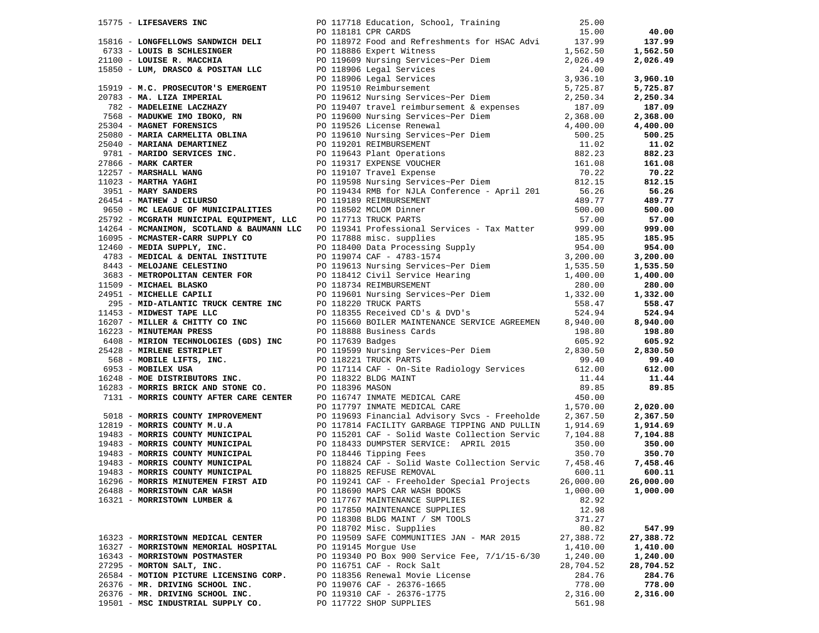|                                        | 1971 - A comparison and the state of the state of the state of the state of the state of the state of the state of the state of the state of the state of the state of the state of the state of the state of the state of th |           |           |
|----------------------------------------|-------------------------------------------------------------------------------------------------------------------------------------------------------------------------------------------------------------------------------|-----------|-----------|
|                                        |                                                                                                                                                                                                                               |           |           |
|                                        |                                                                                                                                                                                                                               |           |           |
|                                        |                                                                                                                                                                                                                               |           |           |
|                                        |                                                                                                                                                                                                                               |           |           |
|                                        |                                                                                                                                                                                                                               |           |           |
|                                        |                                                                                                                                                                                                                               |           |           |
|                                        |                                                                                                                                                                                                                               |           |           |
|                                        |                                                                                                                                                                                                                               |           |           |
|                                        |                                                                                                                                                                                                                               |           |           |
|                                        |                                                                                                                                                                                                                               |           |           |
|                                        |                                                                                                                                                                                                                               |           |           |
|                                        |                                                                                                                                                                                                                               |           |           |
| 26488 - MORRISTOWN CAR WASH            | PO 118690 MAPS CAR WASH BOOKS                                                                                                                                                                                                 | 1,000.00  | 1,000.00  |
| 16321 - MORRISTOWN LUMBER &            | PO 117767 MAINTENANCE SUPPLIES                                                                                                                                                                                                | 82.92     |           |
|                                        | PO 117850 MAINTENANCE SUPPLIES                                                                                                                                                                                                | 12.98     |           |
|                                        | PO 118308 BLDG MAINT / SM TOOLS                                                                                                                                                                                               | 371.27    |           |
|                                        | PO 118702 Misc. Supplies                                                                                                                                                                                                      | 80.82     | 547.99    |
| 16323 - MORRISTOWN MEDICAL CENTER      | PO 119509 SAFE COMMUNITIES JAN - MAR 2015                                                                                                                                                                                     | 27,388.72 | 27,388.72 |
| 16327 - MORRISTOWN MEMORIAL HOSPITAL   | PO 119145 Morque Use                                                                                                                                                                                                          | 1,410.00  | 1,410.00  |
| 16343 - MORRISTOWN POSTMASTER          | PO 119340 PO Box 900 Service Fee, 7/1/15-6/30                                                                                                                                                                                 | 1,240.00  | 1,240.00  |
| 27295 - MORTON SALT, INC.              | PO 116751 CAF - Rock Salt                                                                                                                                                                                                     | 28,704.52 | 28,704.52 |
| 26584 - MOTION PICTURE LICENSING CORP. | PO 118356 Renewal Movie License                                                                                                                                                                                               | 284.76    | 284.76    |
| 26376 - MR. DRIVING SCHOOL INC.        | PO 119076 CAF - 26376-1665                                                                                                                                                                                                    | 778.00    | 778.00    |
| 26376 - MR. DRIVING SCHOOL INC.        | PO 119310 CAF - 26376-1775                                                                                                                                                                                                    | 2,316.00  | 2,316.00  |
| 19501 - MSC INDUSTRIAL SUPPLY CO.      | PO 117722 SHOP SUPPLIES                                                                                                                                                                                                       | 561.98    |           |
|                                        |                                                                                                                                                                                                                               |           |           |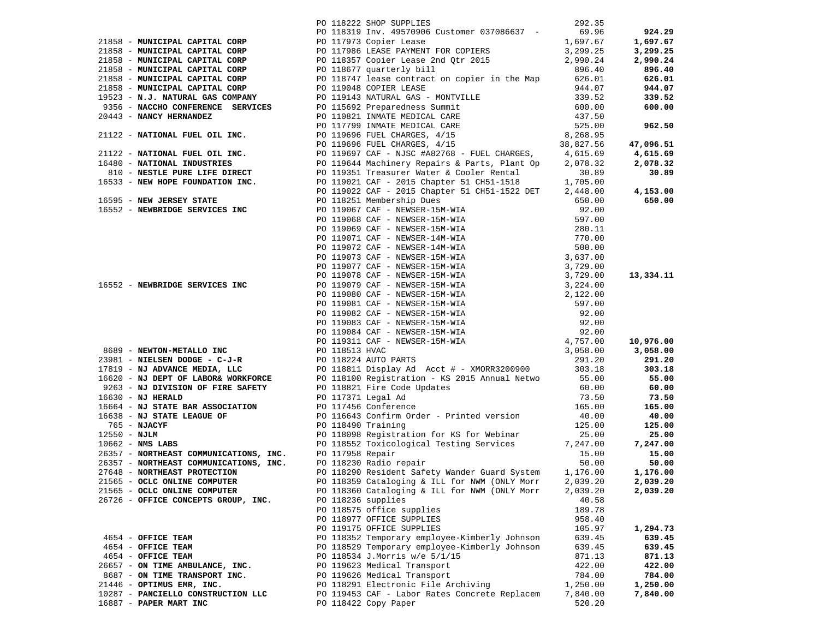|                                     | PO 118222 SHOP SUPPLIES                       | 292.35   |          |
|-------------------------------------|-----------------------------------------------|----------|----------|
|                                     |                                               |          |          |
|                                     |                                               |          |          |
|                                     |                                               |          |          |
|                                     |                                               |          |          |
|                                     |                                               |          |          |
|                                     |                                               |          |          |
|                                     |                                               |          |          |
|                                     |                                               |          |          |
|                                     |                                               |          |          |
|                                     |                                               |          |          |
|                                     |                                               |          |          |
|                                     |                                               |          |          |
|                                     |                                               |          |          |
|                                     |                                               |          |          |
|                                     |                                               |          |          |
|                                     |                                               |          |          |
|                                     |                                               |          |          |
|                                     |                                               |          |          |
|                                     |                                               |          |          |
|                                     |                                               |          |          |
|                                     |                                               |          |          |
|                                     |                                               |          |          |
|                                     |                                               |          |          |
|                                     |                                               |          |          |
|                                     |                                               |          |          |
|                                     |                                               |          |          |
|                                     |                                               |          |          |
|                                     |                                               |          |          |
|                                     |                                               |          |          |
|                                     |                                               |          |          |
|                                     |                                               |          |          |
|                                     |                                               |          |          |
|                                     |                                               |          |          |
|                                     |                                               |          |          |
|                                     |                                               |          |          |
|                                     |                                               |          |          |
|                                     |                                               |          |          |
|                                     |                                               |          |          |
|                                     |                                               |          |          |
|                                     |                                               |          |          |
|                                     |                                               |          |          |
|                                     |                                               |          |          |
|                                     |                                               |          |          |
|                                     |                                               |          |          |
|                                     |                                               |          |          |
|                                     |                                               |          |          |
|                                     |                                               |          |          |
|                                     |                                               |          |          |
|                                     |                                               |          |          |
|                                     |                                               |          |          |
|                                     |                                               |          |          |
|                                     |                                               |          |          |
|                                     |                                               |          |          |
|                                     |                                               |          |          |
|                                     |                                               |          |          |
| 21565 - OCLC ONLINE COMPUTER        | PO 118360 Cataloging & ILL for NWM (ONLY Morr | 2,039.20 | 2,039.20 |
| 26726 - OFFICE CONCEPTS GROUP, INC. | PO 118236 supplies                            | 40.58    |          |
|                                     | PO 118575 office supplies                     | 189.78   |          |
|                                     | PO 118977 OFFICE SUPPLIES                     | 958.40   |          |
|                                     | PO 119175 OFFICE SUPPLIES                     | 105.97   | 1,294.73 |
| 4654 - OFFICE TEAM                  | PO 118352 Temporary employee-Kimberly Johnson | 639.45   | 639.45   |
| 4654 - OFFICE TEAM                  | PO 118529 Temporary employee-Kimberly Johnson | 639.45   | 639.45   |
| 4654 - OFFICE TEAM                  | PO 118534 J.Morris w/e 5/1/15                 | 871.13   | 871.13   |
| 26657 - ON TIME AMBULANCE, INC.     | PO 119623 Medical Transport                   | 422.00   | 422.00   |
| 8687 - ON TIME TRANSPORT INC.       |                                               |          |          |
|                                     | PO 119626 Medical Transport                   | 784.00   | 784.00   |
| 21446 - OPTIMUS EMR, INC.           | PO 118291 Electronic File Archiving           | 1,250.00 | 1,250.00 |
| 10287 - PANCIELLO CONSTRUCTION LLC  | PO 119453 CAF - Labor Rates Concrete Replacem | 7,840.00 | 7,840.00 |
| 16887 - PAPER MART INC              | PO 118422 Copy Paper                          | 520.20   |          |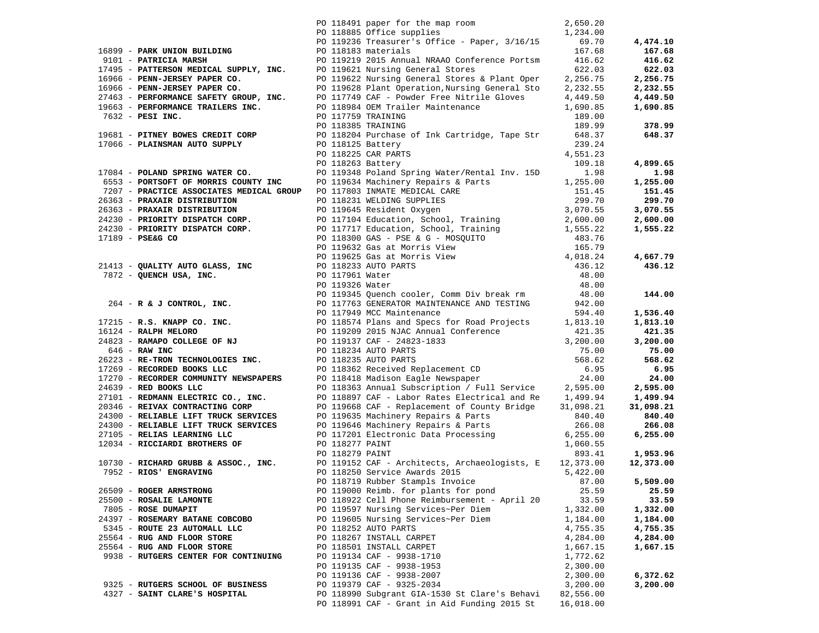|                                                              | PO 118491 paper for the map room 2,650.20<br>PO 118885 Office supplies 1,234.00                                                                                                                                                                                   |                    |                   |
|--------------------------------------------------------------|-------------------------------------------------------------------------------------------------------------------------------------------------------------------------------------------------------------------------------------------------------------------|--------------------|-------------------|
|                                                              | PO 119236 Treasurer's Office - Paper, 3/16/15 69.70                                                                                                                                                                                                               |                    | 4,474.10          |
|                                                              |                                                                                                                                                                                                                                                                   |                    | 167.68            |
|                                                              |                                                                                                                                                                                                                                                                   |                    | 416.62            |
|                                                              | 16899 - <b>PARK UNION BUILDING</b><br>9101 - <b>PATRICIA MARSH</b><br>9101 - <b>PATRICIA MARSH</b><br>9101 - <b>PATRICIA MARSH</b><br>92.015 Annual NRAAO Conference Portsm<br>92.015 Annual NRAAO Conference Portsm<br>92.015 Annual NRAAO Conference Portsm<br> |                    | 622.03            |
|                                                              |                                                                                                                                                                                                                                                                   |                    | 2,256.75          |
|                                                              |                                                                                                                                                                                                                                                                   |                    |                   |
|                                                              |                                                                                                                                                                                                                                                                   |                    | 2,232.55          |
|                                                              |                                                                                                                                                                                                                                                                   |                    | 4,449.50          |
|                                                              |                                                                                                                                                                                                                                                                   |                    | 1,690.85          |
|                                                              |                                                                                                                                                                                                                                                                   |                    |                   |
|                                                              |                                                                                                                                                                                                                                                                   |                    | 378.99            |
|                                                              | 19681 - <b>PITNEY BOWES CREDIT CORP</b><br>17066 - <b>PLAINSMAN AUTO SUPPLY</b> 18204 Purchase of Ink Cartridge, Tape Str 648.37<br>239.24 PO 118125 Battery<br>PO 118225 CAR PARTS 4,551.23                                                                      |                    | 648.37            |
|                                                              |                                                                                                                                                                                                                                                                   |                    |                   |
|                                                              |                                                                                                                                                                                                                                                                   |                    |                   |
| 17084 - POLAND SPRING WATER CO.                              | PO 118263 Battery                                                                                                                                                                                                                                                 | 109.18             | 4,899.65          |
|                                                              | PO 119348 Poland Spring Water/Rental Inv. 15D                                                                                                                                                                                                                     | 1.98               | 1.98              |
|                                                              |                                                                                                                                                                                                                                                                   |                    | 1,255.00          |
|                                                              |                                                                                                                                                                                                                                                                   |                    | 151.45            |
|                                                              |                                                                                                                                                                                                                                                                   |                    | 299.70            |
|                                                              |                                                                                                                                                                                                                                                                   |                    | 3,070.55          |
|                                                              |                                                                                                                                                                                                                                                                   |                    | 2,600.00          |
|                                                              |                                                                                                                                                                                                                                                                   |                    | 1,555.22          |
|                                                              |                                                                                                                                                                                                                                                                   |                    |                   |
|                                                              |                                                                                                                                                                                                                                                                   |                    |                   |
|                                                              |                                                                                                                                                                                                                                                                   |                    | 4,667.79          |
|                                                              |                                                                                                                                                                                                                                                                   |                    | 436.12            |
|                                                              |                                                                                                                                                                                                                                                                   |                    |                   |
|                                                              |                                                                                                                                                                                                                                                                   |                    |                   |
|                                                              |                                                                                                                                                                                                                                                                   |                    | 144.00            |
|                                                              | 17084 - POLAND SPRING WATER CO. FOR 1893 Battery Repairs & Parts 1991 1993 Batter (Rental Inv. 150<br>1991 - PRACTICE ASSOCIATES MEDICAL GROUP PO 117603 INMATE MELTICAL CARE<br>2653 - PRACTICE ASSOCIATES MEDICAL GROUP PO 1176                                 |                    |                   |
|                                                              |                                                                                                                                                                                                                                                                   |                    | 1,536.40          |
|                                                              |                                                                                                                                                                                                                                                                   |                    | 1,813.10          |
|                                                              |                                                                                                                                                                                                                                                                   |                    | 421.35            |
|                                                              |                                                                                                                                                                                                                                                                   |                    | 3,200.00<br>75.00 |
|                                                              |                                                                                                                                                                                                                                                                   |                    | 568.62            |
|                                                              |                                                                                                                                                                                                                                                                   |                    | 6.95              |
|                                                              |                                                                                                                                                                                                                                                                   |                    | 24.00             |
|                                                              |                                                                                                                                                                                                                                                                   |                    | 2,595.00          |
| 27101 - REDMANN ELECTRIC CO., INC.                           | PO 118897 CAF - Labor Rates Electrical and Re 1,499.94                                                                                                                                                                                                            |                    | 1,499.94          |
|                                                              | PO 119668 CAF - Replacement of County Bridge                                                                                                                                                                                                                      | 31,098.21          | 31,098.21         |
|                                                              | PO 119635 Machinery Repairs & Parts                                                                                                                                                                                                                               | 840.40             | 840.40            |
|                                                              |                                                                                                                                                                                                                                                                   |                    | 266.08            |
|                                                              |                                                                                                                                                                                                                                                                   | 266.08<br>6,255.00 | 6,255.00          |
| 27105 - RELIAS LEARNING LLC<br>12034 - RICCIARDI BROTHERS OF | 27101 - REDMANN ELECTRIC CORP<br>24300 - RELIABLE LIFT TRUCK SERVICES<br>24300 - RELIABLE LIFT TRUCK SERVICES<br>24300 - RELIABLE LIFT TRUCK SERVICES<br>24300 - RELIABLE LIFT TRUCK SERVICES<br>24300 - RELIABLE LIFT TRUCK SERVICES<br>2                        | 1,060.55           |                   |
|                                                              | PO 118279 PAINT                                                                                                                                                                                                                                                   |                    | 893.41 1,953.96   |
| 10730 - RICHARD GRUBB & ASSOC., INC.                         | PO 119152 CAF - Architects, Archaeologists, E 12,373.00                                                                                                                                                                                                           |                    | 12,373.00         |
| 7952 - RIOS' ENGRAVING                                       | PO 118250 Service Awards 2015                                                                                                                                                                                                                                     | 5,422.00           |                   |
|                                                              | PO 118719 Rubber Stampls Invoice                                                                                                                                                                                                                                  | 87.00              | 5,509.00          |
| 26509 - ROGER ARMSTRONG                                      | PO 119000 Reimb. for plants for pond                                                                                                                                                                                                                              | 25.59              | 25.59             |
| 25500 - ROSALIE LAMONTE                                      | PO 118922 Cell Phone Reimbursement - April 20                                                                                                                                                                                                                     | 33.59              | 33.59             |
| 7805 - ROSE DUMAPIT                                          | PO 119597 Nursing Services~Per Diem                                                                                                                                                                                                                               | 1,332.00           | 1,332.00          |
| 24397 - ROSEMARY BATANE COBCOBO                              | PO 119605 Nursing Services~Per Diem                                                                                                                                                                                                                               | 1,184.00           | 1,184.00          |
| 5345 - ROUTE 23 AUTOMALL LLC                                 | PO 118252 AUTO PARTS                                                                                                                                                                                                                                              | 4,755.35           | 4,755.35          |
| 25564 - RUG AND FLOOR STORE                                  | PO 118267 INSTALL CARPET                                                                                                                                                                                                                                          | 4,284.00           | 4,284.00          |
| 25564 - RUG AND FLOOR STORE                                  | PO 118501 INSTALL CARPET                                                                                                                                                                                                                                          | 1,667.15           | 1,667.15          |
| 9938 - RUTGERS CENTER FOR CONTINUING                         | PO 119134 CAF - 9938-1710                                                                                                                                                                                                                                         | 1,772.62           |                   |
|                                                              | PO 119135 CAF - 9938-1953                                                                                                                                                                                                                                         | 2,300.00           |                   |
|                                                              | PO 119136 CAF - 9938-2007                                                                                                                                                                                                                                         | 2,300.00           | 6,372.62          |
| 9325 - RUTGERS SCHOOL OF BUSINESS                            | PO 119379 CAF - 9325-2034                                                                                                                                                                                                                                         | 3,200.00           | 3,200.00          |
| 4327 - SAINT CLARE'S HOSPITAL                                | PO 118990 Subgrant GIA-1530 St Clare's Behavi                                                                                                                                                                                                                     | 82,556.00          |                   |
|                                                              | PO 118991 CAF - Grant in Aid Funding 2015 St                                                                                                                                                                                                                      | 16,018.00          |                   |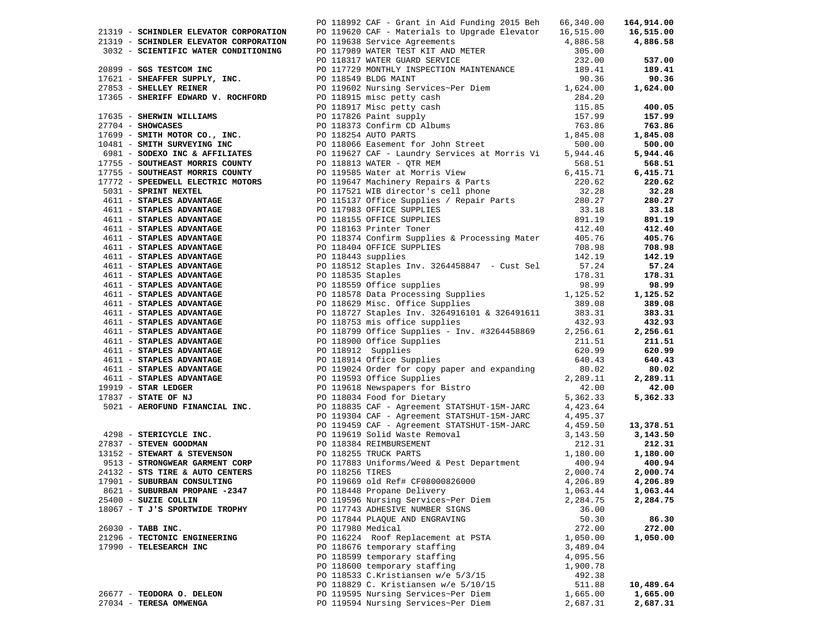|                                                                                                                                                                                                                                                                                                                                                                                                                                                                                                          | PO 118992 CAF - Grant in Aid Funding 2015 Beh 66,340.00 |          | 164,914.00            |
|----------------------------------------------------------------------------------------------------------------------------------------------------------------------------------------------------------------------------------------------------------------------------------------------------------------------------------------------------------------------------------------------------------------------------------------------------------------------------------------------------------|---------------------------------------------------------|----------|-----------------------|
|                                                                                                                                                                                                                                                                                                                                                                                                                                                                                                          |                                                         |          |                       |
|                                                                                                                                                                                                                                                                                                                                                                                                                                                                                                          |                                                         |          |                       |
|                                                                                                                                                                                                                                                                                                                                                                                                                                                                                                          |                                                         |          |                       |
|                                                                                                                                                                                                                                                                                                                                                                                                                                                                                                          |                                                         |          |                       |
|                                                                                                                                                                                                                                                                                                                                                                                                                                                                                                          |                                                         |          |                       |
|                                                                                                                                                                                                                                                                                                                                                                                                                                                                                                          |                                                         |          |                       |
|                                                                                                                                                                                                                                                                                                                                                                                                                                                                                                          |                                                         |          |                       |
|                                                                                                                                                                                                                                                                                                                                                                                                                                                                                                          |                                                         |          |                       |
|                                                                                                                                                                                                                                                                                                                                                                                                                                                                                                          |                                                         |          |                       |
|                                                                                                                                                                                                                                                                                                                                                                                                                                                                                                          |                                                         |          |                       |
|                                                                                                                                                                                                                                                                                                                                                                                                                                                                                                          |                                                         |          |                       |
|                                                                                                                                                                                                                                                                                                                                                                                                                                                                                                          |                                                         |          |                       |
|                                                                                                                                                                                                                                                                                                                                                                                                                                                                                                          |                                                         |          |                       |
|                                                                                                                                                                                                                                                                                                                                                                                                                                                                                                          |                                                         |          |                       |
|                                                                                                                                                                                                                                                                                                                                                                                                                                                                                                          |                                                         |          |                       |
|                                                                                                                                                                                                                                                                                                                                                                                                                                                                                                          |                                                         |          |                       |
|                                                                                                                                                                                                                                                                                                                                                                                                                                                                                                          |                                                         |          |                       |
|                                                                                                                                                                                                                                                                                                                                                                                                                                                                                                          |                                                         |          |                       |
|                                                                                                                                                                                                                                                                                                                                                                                                                                                                                                          |                                                         |          |                       |
|                                                                                                                                                                                                                                                                                                                                                                                                                                                                                                          |                                                         |          |                       |
|                                                                                                                                                                                                                                                                                                                                                                                                                                                                                                          |                                                         |          |                       |
|                                                                                                                                                                                                                                                                                                                                                                                                                                                                                                          |                                                         |          |                       |
|                                                                                                                                                                                                                                                                                                                                                                                                                                                                                                          |                                                         |          |                       |
|                                                                                                                                                                                                                                                                                                                                                                                                                                                                                                          |                                                         |          |                       |
|                                                                                                                                                                                                                                                                                                                                                                                                                                                                                                          |                                                         |          |                       |
|                                                                                                                                                                                                                                                                                                                                                                                                                                                                                                          |                                                         |          |                       |
|                                                                                                                                                                                                                                                                                                                                                                                                                                                                                                          |                                                         |          |                       |
|                                                                                                                                                                                                                                                                                                                                                                                                                                                                                                          |                                                         |          |                       |
|                                                                                                                                                                                                                                                                                                                                                                                                                                                                                                          |                                                         |          |                       |
|                                                                                                                                                                                                                                                                                                                                                                                                                                                                                                          |                                                         |          |                       |
|                                                                                                                                                                                                                                                                                                                                                                                                                                                                                                          |                                                         |          |                       |
|                                                                                                                                                                                                                                                                                                                                                                                                                                                                                                          |                                                         |          |                       |
|                                                                                                                                                                                                                                                                                                                                                                                                                                                                                                          |                                                         |          |                       |
|                                                                                                                                                                                                                                                                                                                                                                                                                                                                                                          |                                                         |          |                       |
|                                                                                                                                                                                                                                                                                                                                                                                                                                                                                                          |                                                         |          |                       |
|                                                                                                                                                                                                                                                                                                                                                                                                                                                                                                          |                                                         |          |                       |
|                                                                                                                                                                                                                                                                                                                                                                                                                                                                                                          |                                                         |          | $640.43$<br>$80.02$   |
|                                                                                                                                                                                                                                                                                                                                                                                                                                                                                                          |                                                         |          |                       |
|                                                                                                                                                                                                                                                                                                                                                                                                                                                                                                          |                                                         |          |                       |
|                                                                                                                                                                                                                                                                                                                                                                                                                                                                                                          |                                                         |          |                       |
|                                                                                                                                                                                                                                                                                                                                                                                                                                                                                                          |                                                         |          |                       |
|                                                                                                                                                                                                                                                                                                                                                                                                                                                                                                          |                                                         |          |                       |
|                                                                                                                                                                                                                                                                                                                                                                                                                                                                                                          |                                                         |          |                       |
| 2713) <b>CONDER EXERCIS 20 11952 CM</b> - CARRE IS AND PROPERTY (19752) <b>2013</b> 2013 2013<br>2713) <b>CONDER EXERCIS CONTINUES</b> TO 11952 CM - CARRE IS AND PROPERTY (19752)<br>2713) <b>CONDERN TREETY (1975)</b> 19752 (1975) (1975)<br>2723) <b></b><br>3021 - AEROFOND FINANCIAL INC.<br>PO 118835 CAF - Agreement STATSHOT-15M-JARC<br>PO 119830 CAF - Agreement STATSHOT-15M-JARC<br>PO 119830 CAF - Agreement STATSHOT-15M-JARC<br>PO 119459 CAF - Agreement STATSHOT-15M-JARC<br>PO 119459 |                                                         |          | 13,378.51<br>3,143.50 |
|                                                                                                                                                                                                                                                                                                                                                                                                                                                                                                          |                                                         |          | 212.31                |
|                                                                                                                                                                                                                                                                                                                                                                                                                                                                                                          |                                                         |          | 1,180.00              |
|                                                                                                                                                                                                                                                                                                                                                                                                                                                                                                          |                                                         |          | 400.94                |
|                                                                                                                                                                                                                                                                                                                                                                                                                                                                                                          |                                                         |          | 2,000.74              |
| 17901 - SUBURBAN CONSULTING 60 PO 119669 old Ref# CF08000826000                                                                                                                                                                                                                                                                                                                                                                                                                                          |                                                         |          | 4,206.89 4,206.89     |
| 8621 - SUBURBAN PROPANE -2347                                                                                                                                                                                                                                                                                                                                                                                                                                                                            | PO 118448 Propane Delivery                              | 1,063.44 | 1,063.44              |
| 25400 - SUZIE COLLIN                                                                                                                                                                                                                                                                                                                                                                                                                                                                                     | PO 119596 Nursing Services~Per Diem                     | 2,284.75 | 2,284.75              |
| 18067 - T J'S SPORTWIDE TROPHY                                                                                                                                                                                                                                                                                                                                                                                                                                                                           | PO 117743 ADHESIVE NUMBER SIGNS                         | 36.00    |                       |
|                                                                                                                                                                                                                                                                                                                                                                                                                                                                                                          | PO 117844 PLAQUE AND ENGRAVING                          | 50.30    | 86.30                 |
| 26030 - TABB INC.                                                                                                                                                                                                                                                                                                                                                                                                                                                                                        | PO 117980 Medical                                       | 272.00   | 272.00                |
| 21296 - TECTONIC ENGINEERING                                                                                                                                                                                                                                                                                                                                                                                                                                                                             | PO 116224 Roof Replacement at PSTA                      | 1,050.00 | 1,050.00              |
| 17990 - TELESEARCH INC                                                                                                                                                                                                                                                                                                                                                                                                                                                                                   | PO 118676 temporary staffing                            | 3,489.04 |                       |
|                                                                                                                                                                                                                                                                                                                                                                                                                                                                                                          | PO 118599 temporary staffing                            | 4,095.56 |                       |
|                                                                                                                                                                                                                                                                                                                                                                                                                                                                                                          | PO 118600 temporary staffing                            | 1,900.78 |                       |
|                                                                                                                                                                                                                                                                                                                                                                                                                                                                                                          | PO 118533 C.Kristiansen w/e 5/3/15                      | 492.38   |                       |
|                                                                                                                                                                                                                                                                                                                                                                                                                                                                                                          | PO 118829 C. Kristiansen w/e 5/10/15                    | 511.88   | 10,489.64             |
| 26677 - TEODORA O. DELEON                                                                                                                                                                                                                                                                                                                                                                                                                                                                                |                                                         |          |                       |
|                                                                                                                                                                                                                                                                                                                                                                                                                                                                                                          | PO 119595 Nursing Services~Per Diem                     | 1,665.00 | 1,665.00              |
| 27034 - TERESA OMWENGA                                                                                                                                                                                                                                                                                                                                                                                                                                                                                   | PO 119594 Nursing Services~Per Diem                     | 2,687.31 | 2,687.31              |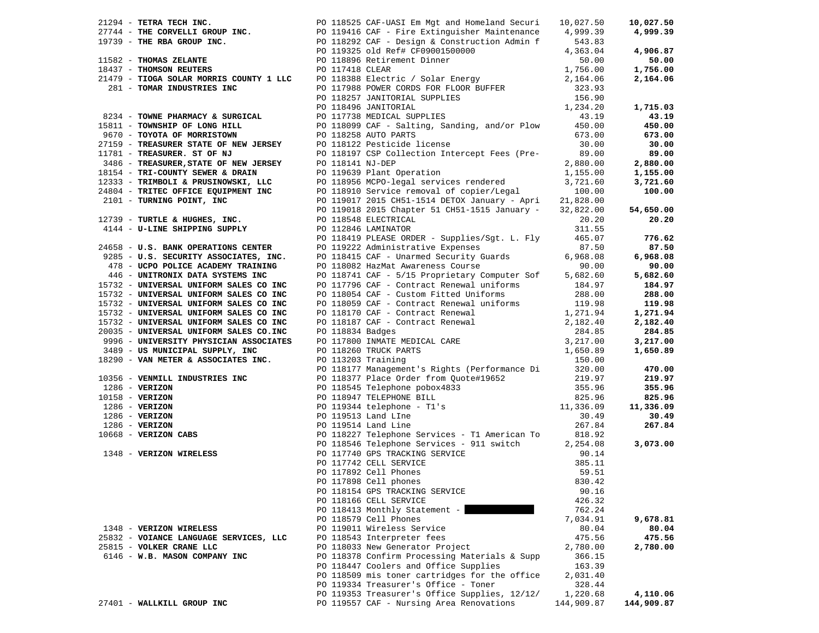|                                                                                                                                                                              |                                                                                                                                                                                                                                                |            | 10,027.50  |
|------------------------------------------------------------------------------------------------------------------------------------------------------------------------------|------------------------------------------------------------------------------------------------------------------------------------------------------------------------------------------------------------------------------------------------|------------|------------|
|                                                                                                                                                                              |                                                                                                                                                                                                                                                |            | 4,999.39   |
|                                                                                                                                                                              |                                                                                                                                                                                                                                                |            |            |
|                                                                                                                                                                              |                                                                                                                                                                                                                                                |            | 4,906.87   |
|                                                                                                                                                                              |                                                                                                                                                                                                                                                |            | 50.00      |
|                                                                                                                                                                              |                                                                                                                                                                                                                                                |            | 1,756.00   |
|                                                                                                                                                                              |                                                                                                                                                                                                                                                |            | 2,164.06   |
|                                                                                                                                                                              |                                                                                                                                                                                                                                                |            |            |
|                                                                                                                                                                              |                                                                                                                                                                                                                                                |            |            |
|                                                                                                                                                                              |                                                                                                                                                                                                                                                |            |            |
|                                                                                                                                                                              |                                                                                                                                                                                                                                                |            | 1,715.03   |
|                                                                                                                                                                              | 9234 - TOWNE PHARMACY & SURGICAL PO 117738 MEDICAL SUPPLIES 43.19<br>9670 - TOYOTA OF MORRISTOWN PO 118258 AUTO PARTS (673.00)<br>9670 - TOYOTA OF MORRISTOWN PO 118258 AUTO PARTS (673.00)<br>9670 - TOYOTA OF MORRISTOWN PO 11812            |            | 43.19      |
|                                                                                                                                                                              |                                                                                                                                                                                                                                                |            | 450.00     |
|                                                                                                                                                                              |                                                                                                                                                                                                                                                |            | 673.00     |
|                                                                                                                                                                              |                                                                                                                                                                                                                                                |            | 30.00      |
|                                                                                                                                                                              |                                                                                                                                                                                                                                                |            | 89.00      |
|                                                                                                                                                                              |                                                                                                                                                                                                                                                |            | 2,880.00   |
|                                                                                                                                                                              |                                                                                                                                                                                                                                                |            | 1,155.00   |
|                                                                                                                                                                              |                                                                                                                                                                                                                                                |            | 3,721.60   |
|                                                                                                                                                                              |                                                                                                                                                                                                                                                |            | 100.00     |
|                                                                                                                                                                              |                                                                                                                                                                                                                                                |            |            |
|                                                                                                                                                                              |                                                                                                                                                                                                                                                |            | 54,650.00  |
|                                                                                                                                                                              |                                                                                                                                                                                                                                                |            | 20.20      |
|                                                                                                                                                                              |                                                                                                                                                                                                                                                |            |            |
|                                                                                                                                                                              |                                                                                                                                                                                                                                                |            | 776.62     |
| 12739 - TURTLE & HUGHES, INC.<br>4144 - U-LINE SHIPPING SUPPLY<br>24658 - U.S. BANK OPERATIONS CENTER                                                                        | PO 118419 PLEASE ORDER - Supplies/Sgt. L. Fly 465.07                                                                                                                                                                                           |            |            |
|                                                                                                                                                                              | PO 119222 Administrative Expenses 87.50<br>PO 118415 CAF - Unarmed Security Guards 6,968.08<br>PO 118082 HazMat Awareness Course 90.00                                                                                                         |            | 87.50      |
| 9285 - U.S. SECURITY ASSOCIATES, INC.                                                                                                                                        |                                                                                                                                                                                                                                                |            | 6,968.08   |
| 478 - UCPO POLICE ACADEMY TRAINING                                                                                                                                           |                                                                                                                                                                                                                                                |            | 90.00      |
| 446 - UNITRONIX DATA SYSTEMS INC                                                                                                                                             |                                                                                                                                                                                                                                                |            | 5,682.60   |
| 15732 - UNIVERSAL UNIFORM SALES CO INC                                                                                                                                       |                                                                                                                                                                                                                                                |            | 184.97     |
| 15732 - UNIVERSAL UNIFORM SALES CO INC                                                                                                                                       |                                                                                                                                                                                                                                                |            | 288.00     |
| 15732 - UNIVERSAL UNIFORM SALES CO INC                                                                                                                                       |                                                                                                                                                                                                                                                |            | 119.98     |
| 15732 - UNIVERSAL UNIFORM SALES CO INC                                                                                                                                       | 90 118082 HazMat Awareness Course 190.00<br>PO 118741 CAF - 5/15 Proprietary Computer Sof 5,682.60<br>PO 117796 CAF - Contract Renewal uniforms 184.97<br>PO 118059 CAF - Custom Fitted Uniforms 288.00<br>PO 118059 CAF - Contract Re         |            | 1,271.94   |
| 15732 - UNIVERSAL UNIFORM SALES CO INC                                                                                                                                       |                                                                                                                                                                                                                                                |            | 2,182.40   |
| 20035 - UNIVERSAL UNIFORM SALES CO.INC                                                                                                                                       |                                                                                                                                                                                                                                                |            | 284.85     |
| 9996 - UNIVERSITY PHYSICIAN ASSOCIATES                                                                                                                                       |                                                                                                                                                                                                                                                |            | 3,217.00   |
| 3489 - US MUNICIPAL SUPPLY, INC                                                                                                                                              |                                                                                                                                                                                                                                                |            | 1,650.89   |
| 18290 - VAN METER & ASSOCIATES INC.                                                                                                                                          |                                                                                                                                                                                                                                                |            |            |
|                                                                                                                                                                              | PO 113203 Training<br>PO 118177 Management's Rights (Performance Di 320.00<br>PO 118377 Place Order from Quote#19652<br>PO 118545 Telephone pobox4833<br>PO 118947 TELEPHONE BILL<br>825.96<br>PO 119344 telephone - T1's<br>11,336.09<br>PO 1 |            | 470.00     |
|                                                                                                                                                                              |                                                                                                                                                                                                                                                |            | 219.97     |
|                                                                                                                                                                              |                                                                                                                                                                                                                                                |            | 355.96     |
|                                                                                                                                                                              |                                                                                                                                                                                                                                                |            | 825.96     |
|                                                                                                                                                                              |                                                                                                                                                                                                                                                |            | 11,336.09  |
|                                                                                                                                                                              |                                                                                                                                                                                                                                                |            | 30.49      |
|                                                                                                                                                                              |                                                                                                                                                                                                                                                |            |            |
|                                                                                                                                                                              |                                                                                                                                                                                                                                                |            | 267.84     |
| 10356 - VERNILL INDUSTRIES INC<br>1286 - VERIZON<br>10158 - VERIZON<br>1286 - VERIZON<br>1286 - VERIZON<br>1286 - VERIZON<br>10668 - VERIZON CABS<br>1348 - VERIZON WIRELESS | 30.49<br>PO 118227 Telephone Services - Tl American To<br>267.84<br>PO 118546 Telephone Services - 911 switch<br>PO 117740 GPS TRACKING SERVICE<br>PO 117742 CELL SERVICE<br>PO 117892 Cell Phones<br>PO 117898 Cell phones<br>PO 11898 Cell p |            |            |
|                                                                                                                                                                              |                                                                                                                                                                                                                                                |            | 3,073.00   |
|                                                                                                                                                                              |                                                                                                                                                                                                                                                |            |            |
|                                                                                                                                                                              |                                                                                                                                                                                                                                                |            |            |
|                                                                                                                                                                              |                                                                                                                                                                                                                                                |            |            |
|                                                                                                                                                                              |                                                                                                                                                                                                                                                |            |            |
|                                                                                                                                                                              |                                                                                                                                                                                                                                                |            |            |
|                                                                                                                                                                              | PO 118166 CELL SERVICE                                                                                                                                                                                                                         | 426.32     |            |
|                                                                                                                                                                              | PO 118413 Monthly Statement -                                                                                                                                                                                                                  | 762.24     |            |
|                                                                                                                                                                              | PO 118579 Cell Phones                                                                                                                                                                                                                          | 7,034.91   | 9,678.81   |
| 1348 - VERIZON WIRELESS                                                                                                                                                      | PO 119011 Wireless Service                                                                                                                                                                                                                     | 80.04      | 80.04      |
| 25832 - VOIANCE LANGUAGE SERVICES, LLC                                                                                                                                       | PO 118543 Interpreter fees                                                                                                                                                                                                                     | 475.56     | 475.56     |
| 25815 - VOLKER CRANE LLC                                                                                                                                                     | PO 118033 New Generator Project                                                                                                                                                                                                                | 2,780.00   | 2,780.00   |
| 6146 - W.B. MASON COMPANY INC                                                                                                                                                | PO 118378 Confirm Processing Materials & Supp                                                                                                                                                                                                  | 366.15     |            |
|                                                                                                                                                                              | PO 118447 Coolers and Office Supplies                                                                                                                                                                                                          | 163.39     |            |
|                                                                                                                                                                              | PO 118509 mis toner cartridges for the office                                                                                                                                                                                                  |            |            |
|                                                                                                                                                                              |                                                                                                                                                                                                                                                | 2,031.40   |            |
|                                                                                                                                                                              | PO 119334 Treasurer's Office - Toner                                                                                                                                                                                                           | 328.44     |            |
|                                                                                                                                                                              | PO 119353 Treasurer's Office Supplies, 12/12/                                                                                                                                                                                                  | 1,220.68   | 4,110.06   |
| 27401 - WALLKILL GROUP INC                                                                                                                                                   | PO 119557 CAF - Nursing Area Renovations                                                                                                                                                                                                       | 144,909.87 | 144,909.87 |
|                                                                                                                                                                              |                                                                                                                                                                                                                                                |            |            |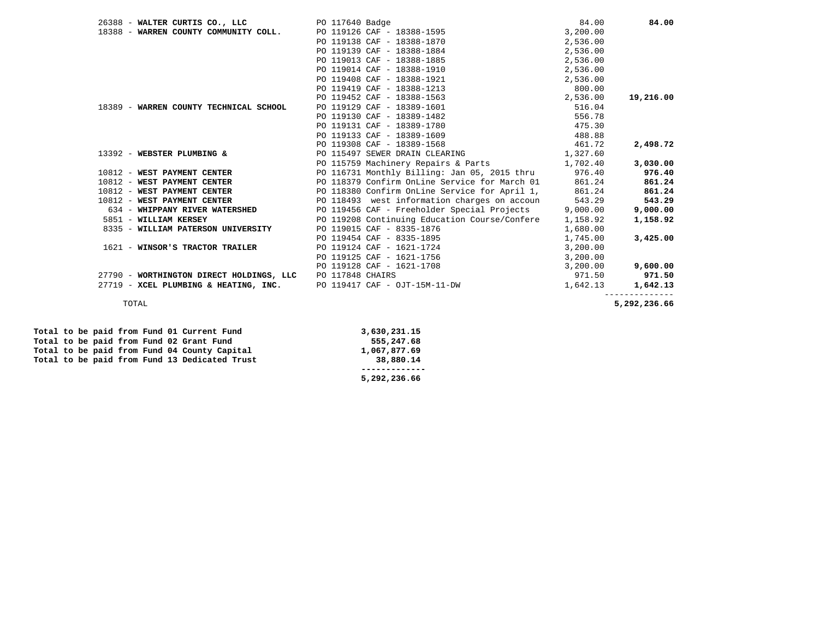| PO 117640 Badge                               | 84.00                                 | 84.00                                                                                                                                                                                                                                                                                                  |
|-----------------------------------------------|---------------------------------------|--------------------------------------------------------------------------------------------------------------------------------------------------------------------------------------------------------------------------------------------------------------------------------------------------------|
| PO 119126 CAF - 18388-1595                    | 3,200.00                              |                                                                                                                                                                                                                                                                                                        |
| PO 119138 CAF - 18388-1870                    | 2,536.00                              |                                                                                                                                                                                                                                                                                                        |
| PO 119139 CAF - 18388-1884                    | 2,536.00                              |                                                                                                                                                                                                                                                                                                        |
| PO 119013 CAF - 18388-1885                    | 2,536.00                              |                                                                                                                                                                                                                                                                                                        |
| PO 119014 CAF - 18388-1910                    | 2,536.00                              |                                                                                                                                                                                                                                                                                                        |
| PO 119408 CAF - 18388-1921                    | 2,536.00                              |                                                                                                                                                                                                                                                                                                        |
| PO 119419 CAF - 18388-1213                    | 800.00                                |                                                                                                                                                                                                                                                                                                        |
| PO 119452 CAF - 18388-1563                    | 2,536.00                              | 19,216.00                                                                                                                                                                                                                                                                                              |
| PO 119129 CAF - 18389-1601                    | 516.04                                |                                                                                                                                                                                                                                                                                                        |
| PO 119130 CAF - 18389-1482                    | 556.78                                |                                                                                                                                                                                                                                                                                                        |
| PO 119131 CAF - 18389-1780                    | 475.30                                |                                                                                                                                                                                                                                                                                                        |
| PO 119133 CAF - 18389-1609                    | 488.88                                |                                                                                                                                                                                                                                                                                                        |
| PO 119308 CAF - 18389-1568                    | 461.72                                | 2,498.72                                                                                                                                                                                                                                                                                               |
| PO 115497 SEWER DRAIN CLEARING                |                                       |                                                                                                                                                                                                                                                                                                        |
| PO 115759 Machinery Repairs & Parts           |                                       | 3,030.00                                                                                                                                                                                                                                                                                               |
|                                               |                                       | 976.40                                                                                                                                                                                                                                                                                                 |
| PO 118379 Confirm OnLine Service for March 01 |                                       | 861.24                                                                                                                                                                                                                                                                                                 |
|                                               |                                       | 861.24                                                                                                                                                                                                                                                                                                 |
|                                               | 543.29                                | 543.29                                                                                                                                                                                                                                                                                                 |
|                                               |                                       | 9,000.00                                                                                                                                                                                                                                                                                               |
|                                               | 1,158.92                              | 1,158.92                                                                                                                                                                                                                                                                                               |
| PO 119015 CAF - 8335-1876                     | 1,680.00                              |                                                                                                                                                                                                                                                                                                        |
| PO 119454 CAF - 8335-1895                     | 1,745.00                              | 3,425.00                                                                                                                                                                                                                                                                                               |
| PO 119124 CAF - 1621-1724                     | 3,200.00                              |                                                                                                                                                                                                                                                                                                        |
| PO 119125 CAF - 1621-1756                     | 3,200.00                              |                                                                                                                                                                                                                                                                                                        |
| PO 119128 CAF - 1621-1708                     | 3,200.00                              | 9,600.00                                                                                                                                                                                                                                                                                               |
| PO 117848 CHAIRS                              | 971.50                                | 971.50                                                                                                                                                                                                                                                                                                 |
| PO 119417 CAF - OJT-15M-11-DW                 | 1,642.13                              | 1,642.13                                                                                                                                                                                                                                                                                               |
|                                               |                                       | 5,292,236.66                                                                                                                                                                                                                                                                                           |
|                                               | 27719 - XCEL PLUMBING & HEATING, INC. | 1,327.60<br>1,702.40<br>PO 116731 Monthly Billing: Jan 05, 2015 thru 976.40<br>861.24<br>PO 118380 Confirm OnLine Service for April 1, 861.24<br>PO 118493 west information charges on accoun<br>PO 119456 CAF - Freeholder Special Projects 9,000.00<br>PO 119208 Continuing Education Course/Confere |

|  |  |  |  | Total to be paid from Fund 01 Current Fund    | 3,630,231.15 |
|--|--|--|--|-----------------------------------------------|--------------|
|  |  |  |  | Total to be paid from Fund 02 Grant Fund      | 555,247.68   |
|  |  |  |  | Total to be paid from Fund 04 County Capital  | 1,067,877.69 |
|  |  |  |  | Total to be paid from Fund 13 Dedicated Trust | 38,880.14    |
|  |  |  |  |                                               |              |
|  |  |  |  |                                               | 5,292,236.66 |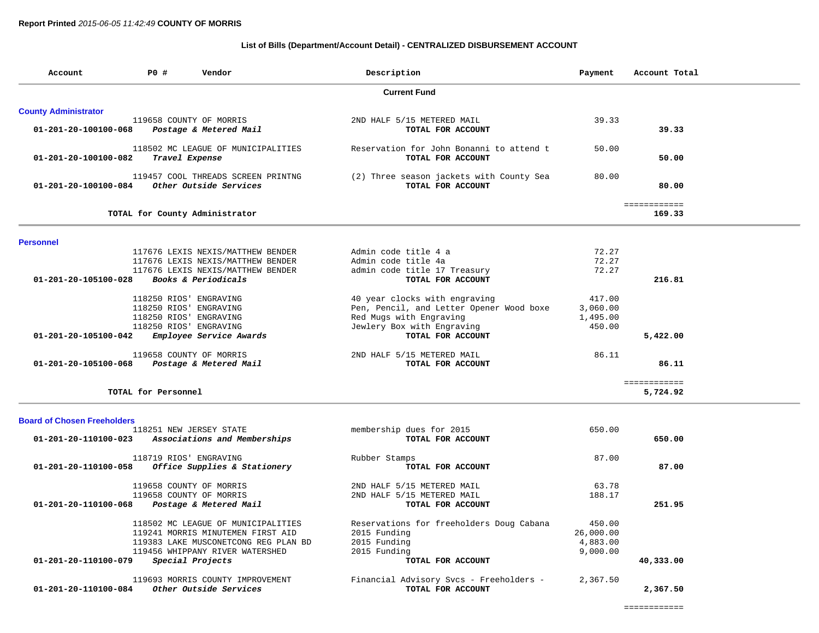## **List of Bills (Department/Account Detail) - CENTRALIZED DISBURSEMENT ACCOUNT**

| Account                            | P0 #                                                                       | Vendor                                                                                                                                             | Description                                                                                                                                             | Payment                                     | Account Total            |
|------------------------------------|----------------------------------------------------------------------------|----------------------------------------------------------------------------------------------------------------------------------------------------|---------------------------------------------------------------------------------------------------------------------------------------------------------|---------------------------------------------|--------------------------|
|                                    |                                                                            |                                                                                                                                                    | <b>Current Fund</b>                                                                                                                                     |                                             |                          |
| <b>County Administrator</b>        |                                                                            |                                                                                                                                                    |                                                                                                                                                         |                                             |                          |
| 01-201-20-100100-068               |                                                                            | 119658 COUNTY OF MORRIS<br>Postage & Metered Mail                                                                                                  | 2ND HALF 5/15 METERED MAIL<br>TOTAL FOR ACCOUNT                                                                                                         | 39.33                                       | 39.33                    |
| 01-201-20-100100-082               | Travel Expense                                                             | 118502 MC LEAGUE OF MUNICIPALITIES                                                                                                                 | Reservation for John Bonanni to attend t<br>TOTAL FOR ACCOUNT                                                                                           | 50.00                                       | 50.00                    |
| 01-201-20-100100-084               |                                                                            | 119457 COOL THREADS SCREEN PRINTNG<br>Other Outside Services                                                                                       | (2) Three season jackets with County Sea<br>TOTAL FOR ACCOUNT                                                                                           | 80.00                                       | 80.00                    |
|                                    |                                                                            | TOTAL for County Administrator                                                                                                                     |                                                                                                                                                         |                                             | ============<br>169.33   |
| <b>Personnel</b>                   |                                                                            |                                                                                                                                                    |                                                                                                                                                         |                                             |                          |
| 01-201-20-105100-028               |                                                                            | 117676 LEXIS NEXIS/MATTHEW BENDER<br>117676 LEXIS NEXIS/MATTHEW BENDER<br>117676 LEXIS NEXIS/MATTHEW BENDER<br>Books & Periodicals                 | Admin code title 4 a<br>Admin code title 4a<br>admin code title 17 Treasury<br>TOTAL FOR ACCOUNT                                                        | 72.27<br>72.27<br>72.27                     | 216.81                   |
| 01-201-20-105100-042               | 118250 RIOS' ENGRAVING<br>118250 RIOS' ENGRAVING<br>118250 RIOS' ENGRAVING | 118250 RIOS' ENGRAVING<br>Employee Service Awards                                                                                                  | 40 year clocks with engraving<br>Pen, Pencil, and Letter Opener Wood boxe<br>Red Mugs with Engraving<br>Jewlery Box with Engraving<br>TOTAL FOR ACCOUNT | 417.00<br>3,060.00<br>1,495.00<br>450.00    | 5,422.00                 |
| 01-201-20-105100-068               |                                                                            | 119658 COUNTY OF MORRIS<br>Postage & Metered Mail                                                                                                  | 2ND HALF 5/15 METERED MAIL<br>TOTAL FOR ACCOUNT                                                                                                         | 86.11                                       | 86.11                    |
|                                    | TOTAL for Personnel                                                        |                                                                                                                                                    |                                                                                                                                                         |                                             | ============<br>5,724.92 |
| <b>Board of Chosen Freeholders</b> |                                                                            |                                                                                                                                                    |                                                                                                                                                         |                                             |                          |
| 01-201-20-110100-023               |                                                                            | 118251 NEW JERSEY STATE<br>Associations and Memberships                                                                                            | membership dues for 2015<br>TOTAL FOR ACCOUNT                                                                                                           | 650.00                                      | 650.00                   |
| 01-201-20-110100-058               | 118719 RIOS' ENGRAVING                                                     | Office Supplies & Stationery                                                                                                                       | Rubber Stamps<br>TOTAL FOR ACCOUNT                                                                                                                      | 87.00                                       | 87.00                    |
| 01-201-20-110100-068               |                                                                            | 119658 COUNTY OF MORRIS<br>119658 COUNTY OF MORRIS<br>Postage & Metered Mail                                                                       | 2ND HALF 5/15 METERED MAIL<br>2ND HALF 5/15 METERED MAIL<br>TOTAL FOR ACCOUNT                                                                           | 63.78<br>188.17                             | 251.95                   |
|                                    |                                                                            | 118502 MC LEAGUE OF MUNICIPALITIES<br>119241 MORRIS MINUTEMEN FIRST AID<br>119383 LAKE MUSCONETCONG REG PLAN BD<br>119456 WHIPPANY RIVER WATERSHED | Reservations for freeholders Doug Cabana<br>2015 Funding<br>2015 Funding<br>2015 Funding                                                                | 450.00<br>26,000.00<br>4,883.00<br>9,000.00 |                          |
| 01-201-20-110100-079               |                                                                            | Special Projects                                                                                                                                   | TOTAL FOR ACCOUNT                                                                                                                                       |                                             | 40,333.00                |
| 01-201-20-110100-084               |                                                                            | 119693 MORRIS COUNTY IMPROVEMENT<br>Other Outside Services                                                                                         | Financial Advisory Svcs - Freeholders -<br>TOTAL FOR ACCOUNT                                                                                            | 2,367.50                                    | 2,367.50                 |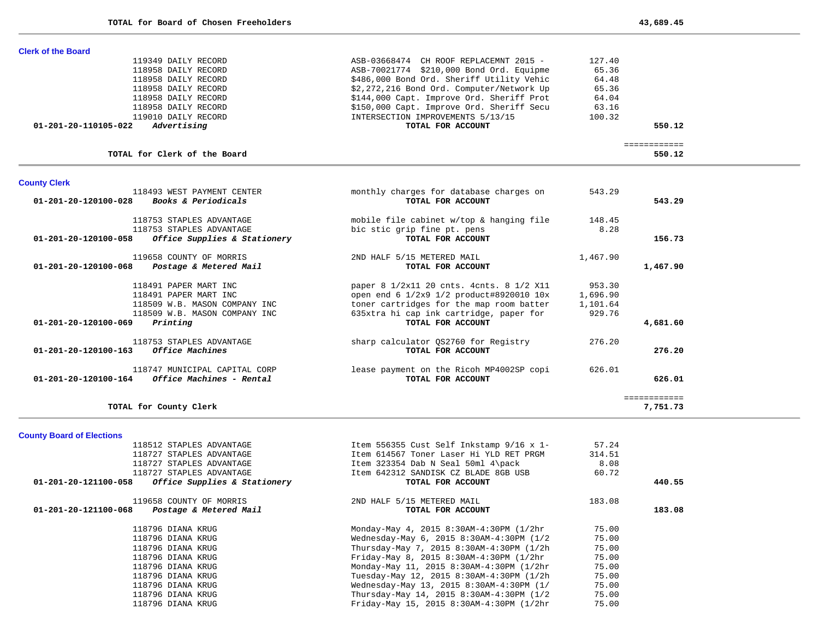| <b>County Clerk</b>       |                              |                                           |        |        |
|---------------------------|------------------------------|-------------------------------------------|--------|--------|
|                           | TOTAL for Clerk of the Board |                                           |        | 550.12 |
| 01-201-20-110105-022      | Advertising                  | TOTAL FOR ACCOUNT                         |        | 550.12 |
|                           | 119010 DAILY RECORD          | INTERSECTION IMPROVEMENTS 5/13/15         | 100.32 |        |
|                           | 118958 DAILY RECORD          | \$150,000 Capt. Improve Ord. Sheriff Secu | 63.16  |        |
|                           | 118958 DAILY RECORD          | \$144,000 Capt. Improve Ord. Sheriff Prot | 64.04  |        |
|                           | 118958 DAILY RECORD          | \$2,272,216 Bond Ord. Computer/Network Up | 65.36  |        |
|                           | 118958 DAILY RECORD          | \$486,000 Bond Ord. Sheriff Utility Vehic | 64.48  |        |
|                           | 118958 DAILY RECORD          | ASB-70021774 \$210,000 Bond Ord. Equipme  | 65.36  |        |
|                           | 119349 DAILY RECORD          | ASB-03668474 CH ROOF REPLACEMNT 2015 -    | 127.40 |        |
| <b>Clerk of the Board</b> |                              |                                           |        |        |

| 118493 WEST PAYMENT CENTER<br>01-201-20-120100-028<br>Books & Periodicals | montnly charges for database charges on<br>TOTAL FOR ACCOUNT | 543.49   | 543.29       |
|---------------------------------------------------------------------------|--------------------------------------------------------------|----------|--------------|
| 118753 STAPLES ADVANTAGE                                                  | mobile file cabinet w/top & hanging file                     | 148.45   |              |
| 118753 STAPLES ADVANTAGE                                                  | bic stic grip fine pt. pens                                  | 8.28     |              |
| Office Supplies & Stationery<br>01-201-20-120100-058                      | TOTAL FOR ACCOUNT                                            |          | 156.73       |
| 119658 COUNTY OF MORRIS                                                   | 2ND HALF 5/15 METERED MAIL                                   | 1,467.90 |              |
| 01-201-20-120100-068<br>Postage & Metered Mail                            | TOTAL FOR ACCOUNT                                            |          | 1,467.90     |
| 118491 PAPER MART INC                                                     | paper 8 1/2x11 20 cnts. 4 cnts. 8 1/2 X11                    | 953.30   |              |
| 118491 PAPER MART INC                                                     | open end 6 1/2x9 1/2 product#8920010 10x                     | 1,696.90 |              |
| 118509 W.B. MASON COMPANY INC                                             | toner cartridges for the map room batter                     | 1,101.64 |              |
| 118509 W.B. MASON COMPANY INC                                             | 635xtra hi cap ink cartridge, paper for                      | 929.76   |              |
| Printing<br>01-201-20-120100-069                                          | TOTAL FOR ACCOUNT                                            |          | 4,681.60     |
| 118753 STAPLES ADVANTAGE                                                  | sharp calculator QS2760 for Registry                         | 276.20   |              |
| <i><b>Office Machines</b></i><br>$01 - 201 - 20 - 120100 - 163$           | TOTAL FOR ACCOUNT                                            |          | 276.20       |
| 118747 MUNICIPAL CAPITAL CORP                                             | lease payment on the Ricoh MP4002SP copi                     | 626.01   |              |
| $01 - 201 - 20 - 120100 - 164$<br>Office Machines - Rental                | TOTAL FOR ACCOUNT                                            |          | 626.01       |
|                                                                           |                                                              |          | ============ |
| TOTAL for County Clerk                                                    |                                                              |          | 7,751.73     |

**County Board of Elections**

| 118512 STAPLES ADVANTAGE                             | Item 556355 Cust Self Inkstamp 9/16 x 1- | 57.24  |        |
|------------------------------------------------------|------------------------------------------|--------|--------|
| 118727 STAPLES ADVANTAGE                             | Item 614567 Toner Laser Hi YLD RET PRGM  | 314.51 |        |
| 118727 STAPLES ADVANTAGE                             | Item 323354 Dab N Seal 50ml 4\pack       | 8.08   |        |
| 118727 STAPLES ADVANTAGE                             | Item 642312 SANDISK CZ BLADE 8GB USB     | 60.72  |        |
| 01-201-20-121100-058<br>Office Supplies & Stationery | TOTAL FOR ACCOUNT                        |        | 440.55 |
| 119658 COUNTY OF MORRIS                              | 2ND HALF 5/15 METERED MAIL               | 183.08 |        |
| 01-201-20-121100-068<br>Postage & Metered Mail       | TOTAL FOR ACCOUNT                        |        | 183.08 |
| 118796 DIANA KRUG                                    | Monday-May 4, 2015 8:30AM-4:30PM (1/2hr  | 75.00  |        |
| 118796 DIANA KRUG                                    | Wednesday-May 6, 2015 8:30AM-4:30PM (1/2 | 75.00  |        |
| 118796 DIANA KRUG                                    | Thursday-May 7, 2015 8:30AM-4:30PM (1/2h | 75.00  |        |
| 118796 DIANA KRUG                                    | Friday-May 8, 2015 8:30AM-4:30PM (1/2hr  | 75.00  |        |
| 118796 DIANA KRUG                                    | Monday-May 11, 2015 8:30AM-4:30PM (1/2hr | 75.00  |        |
| 118796 DIANA KRUG                                    | Tuesday-May 12, 2015 8:30AM-4:30PM (1/2h | 75.00  |        |
| 118796 DIANA KRUG                                    | Wednesday-May 13, 2015 8:30AM-4:30PM (1/ | 75.00  |        |
| 118796 DIANA KRUG                                    | Thursday-May 14, 2015 8:30AM-4:30PM (1/2 | 75.00  |        |
| 118796 DIANA KRUG                                    | Friday-May 15, 2015 8:30AM-4:30PM (1/2hr | 75.00  |        |
|                                                      |                                          |        |        |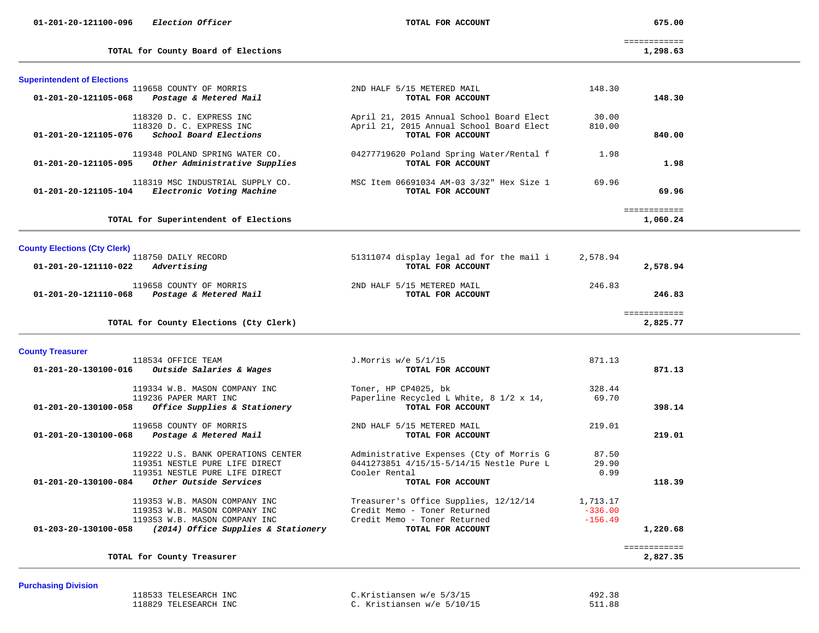675.00

============

**TOTAL for County Board of Elections 1,298.63** 

|  | ᅆ<br>. ت<br>43 | n |
|--|----------------|---|
|--|----------------|---|

| <b>Superintendent of Elections</b>             |                                  |                                          |              |          |
|------------------------------------------------|----------------------------------|------------------------------------------|--------------|----------|
| 119658 COUNTY OF MORRIS                        |                                  | 2ND HALF 5/15 METERED MAIL               | 148.30       |          |
| Postage & Metered Mail<br>01-201-20-121105-068 |                                  | TOTAL FOR ACCOUNT                        |              | 148.30   |
| 118320 D. C. EXPRESS INC                       |                                  | April 21, 2015 Annual School Board Elect | 30.00        |          |
| 118320 D. C. EXPRESS INC                       |                                  | April 21, 2015 Annual School Board Elect | 810.00       |          |
| $01-201-20-121105-076$ School Board Elections  |                                  | TOTAL FOR ACCOUNT                        |              | 840.00   |
| 119348 POLAND SPRING WATER CO.                 |                                  | 04277719620 Poland Spring Water/Rental f | 1.98         |          |
| 01-201-20-121105-095                           | Other Administrative Supplies    | TOTAL FOR ACCOUNT                        |              | 1.98     |
|                                                | 118319 MSC INDUSTRIAL SUPPLY CO. | MSC Item 06691034 AM-03 3/32" Hex Size 1 | 69.96        |          |
| 01-201-20-121105-104                           | Electronic Voting Machine        | TOTAL FOR ACCOUNT                        |              | 69.96    |
|                                                |                                  |                                          | ============ |          |
| TOTAL for Superintendent of Elections          |                                  |                                          |              | 1,060.24 |
| <b>County Elections (Cty Clerk)</b>            |                                  |                                          |              |          |
| 118750 DAILY RECORD                            |                                  | 51311074 display legal ad for the mail i | 2,578.94     |          |
| Advertising<br>01-201-20-121110-022            |                                  | TOTAL FOR ACCOUNT                        |              | 2,578.94 |
| 119658 COUNTY OF MORRIS                        |                                  | 2ND HALF 5/15 METERED MAIL               | 246.83       |          |
| 01-201-20-121110-068 Postage & Metered Mail    |                                  | TOTAL FOR ACCOUNT                        |              | 246.83   |
|                                                |                                  |                                          | ============ |          |
| TOTAL for County Elections (Cty Clerk)         |                                  |                                          |              | 2,825.77 |
|                                                |                                  |                                          |              |          |
| <b>County Treasurer</b>                        |                                  |                                          |              |          |

| Outside Salaries & Wages<br>01-201-20-130100-016            | TOTAL FOR ACCOUNT                                       |           | 871.13       |
|-------------------------------------------------------------|---------------------------------------------------------|-----------|--------------|
| 119334 W.B. MASON COMPANY INC                               | Toner, HP CP4025, bk                                    | 328.44    |              |
| 119236 PAPER MART INC                                       | Paperline Recycled L White, $8 \frac{1}{2} \times 14$ , | 69.70     |              |
| 01-201-20-130100-058<br>Office Supplies & Stationery        | TOTAL FOR ACCOUNT                                       |           | 398.14       |
| 119658 COUNTY OF MORRIS                                     | 2ND HALF 5/15 METERED MAIL                              | 219.01    |              |
| 01-201-20-130100-068<br>Postage & Metered Mail              | TOTAL FOR ACCOUNT                                       |           | 219.01       |
| 119222 U.S. BANK OPERATIONS CENTER                          | Administrative Expenses (Cty of Morris G                | 87.50     |              |
| 119351 NESTLE PURE LIFE DIRECT                              | 0441273851 4/15/15-5/14/15 Nestle Pure L                | 29.90     |              |
| 119351 NESTLE PURE LIFE DIRECT                              | Cooler Rental                                           | 0.99      |              |
| $01 - 201 - 20 - 130100 - 084$<br>Other Outside Services    | TOTAL FOR ACCOUNT                                       |           | 118.39       |
| 119353 W.B. MASON COMPANY INC                               | Treasurer's Office Supplies, 12/12/14                   | 1,713.17  |              |
| 119353 W.B. MASON COMPANY INC                               | Credit Memo - Toner Returned                            | $-336.00$ |              |
| 119353 W.B. MASON COMPANY INC                               | Credit Memo - Toner Returned                            | $-156.49$ |              |
| 01-203-20-130100-058<br>(2014) Office Supplies & Stationery | TOTAL FOR ACCOUNT                                       |           | 1,220.68     |
|                                                             |                                                         |           | ------------ |
| TOTAL for County Treasurer                                  |                                                         |           | 2,827.35     |

## **Purchasing Division**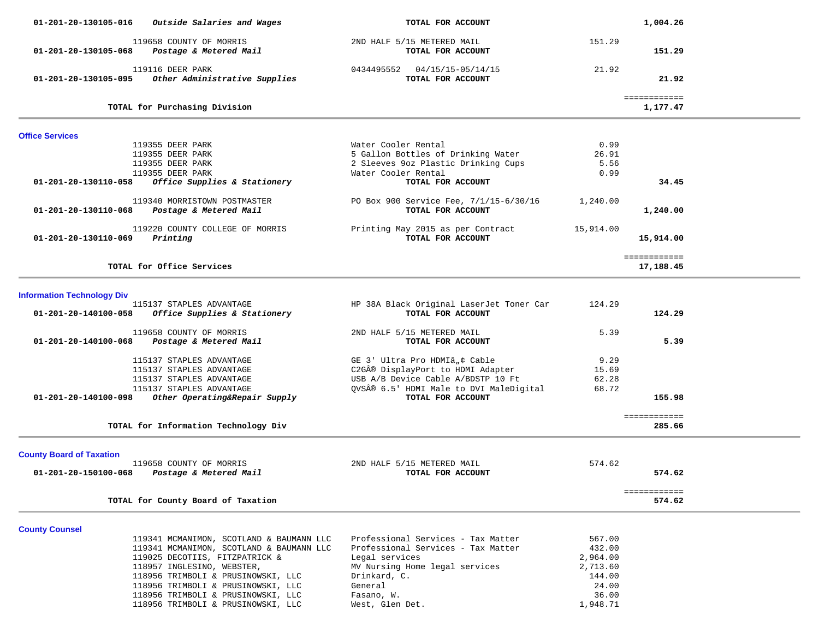| 01-201-20-130105-016              | Outside Salaries and Wages               | TOTAL FOR ACCOUNT                        |           | 1,004.26               |  |
|-----------------------------------|------------------------------------------|------------------------------------------|-----------|------------------------|--|
|                                   | 119658 COUNTY OF MORRIS                  | 2ND HALF 5/15 METERED MAIL               | 151.29    |                        |  |
| 01-201-20-130105-068              | Postage & Metered Mail                   | TOTAL FOR ACCOUNT                        |           | 151.29                 |  |
|                                   |                                          |                                          |           |                        |  |
|                                   | 119116 DEER PARK                         | 0434495552  04/15/15-05/14/15            | 21.92     |                        |  |
| 01-201-20-130105-095              | Other Administrative Supplies            | TOTAL FOR ACCOUNT                        |           | 21.92                  |  |
|                                   |                                          |                                          |           | ============           |  |
|                                   | TOTAL for Purchasing Division            |                                          |           | 1,177.47               |  |
| <b>Office Services</b>            |                                          |                                          |           |                        |  |
|                                   | 119355 DEER PARK                         | Water Cooler Rental                      | 0.99      |                        |  |
|                                   | 119355 DEER PARK                         | 5 Gallon Bottles of Drinking Water       | 26.91     |                        |  |
|                                   | 119355 DEER PARK                         | 2 Sleeves 9oz Plastic Drinking Cups      | 5.56      |                        |  |
|                                   | 119355 DEER PARK                         | Water Cooler Rental                      | 0.99      |                        |  |
| 01-201-20-130110-058              | Office Supplies & Stationery             | TOTAL FOR ACCOUNT                        |           | 34.45                  |  |
|                                   | 119340 MORRISTOWN POSTMASTER             | PO Box 900 Service Fee, 7/1/15-6/30/16   | 1,240.00  |                        |  |
| 01-201-20-130110-068              | Postage & Metered Mail                   | TOTAL FOR ACCOUNT                        |           | 1,240.00               |  |
|                                   |                                          |                                          |           |                        |  |
|                                   | 119220 COUNTY COLLEGE OF MORRIS          | Printing May 2015 as per Contract        | 15,914.00 |                        |  |
| 01-201-20-130110-069              | Printing                                 | TOTAL FOR ACCOUNT                        |           | 15,914.00              |  |
|                                   |                                          |                                          |           | ============           |  |
|                                   | TOTAL for Office Services                |                                          |           | 17,188.45              |  |
|                                   |                                          |                                          |           |                        |  |
| <b>Information Technology Div</b> |                                          |                                          |           |                        |  |
|                                   | 115137 STAPLES ADVANTAGE                 | HP 38A Black Original LaserJet Toner Car | 124.29    |                        |  |
| 01-201-20-140100-058              | Office Supplies & Stationery             | TOTAL FOR ACCOUNT                        |           | 124.29                 |  |
|                                   | 119658 COUNTY OF MORRIS                  | 2ND HALF 5/15 METERED MAIL               | 5.39      |                        |  |
| 01-201-20-140100-068              | Postage & Metered Mail                   | TOTAL FOR ACCOUNT                        |           | 5.39                   |  |
|                                   | 115137 STAPLES ADVANTAGE                 | GE 3' Ultra Pro HDMIâ"¢ Cable            | 9.29      |                        |  |
|                                   | 115137 STAPLES ADVANTAGE                 | C2G® DisplayPort to HDMI Adapter         | 15.69     |                        |  |
|                                   | 115137 STAPLES ADVANTAGE                 | USB A/B Device Cable A/BDSTP 10 Ft       | 62.28     |                        |  |
|                                   | 115137 STAPLES ADVANTAGE                 | QVS® 6.5' HDMI Male to DVI MaleDigital   | 68.72     |                        |  |
| 01-201-20-140100-098              | Other Operating&Repair Supply            | TOTAL FOR ACCOUNT                        |           | 155.98                 |  |
|                                   |                                          |                                          |           |                        |  |
|                                   | TOTAL for Information Technology Div     |                                          |           | ============<br>285.66 |  |
|                                   |                                          |                                          |           |                        |  |
| <b>County Board of Taxation</b>   |                                          |                                          |           |                        |  |
|                                   | 119658 COUNTY OF MORRIS                  | 2ND HALF 5/15 METERED MAIL               | 574.62    |                        |  |
| 01-201-20-150100-068              | Postage & Metered Mail                   | TOTAL FOR ACCOUNT                        |           | 574.62                 |  |
|                                   |                                          |                                          |           | ============           |  |
|                                   | TOTAL for County Board of Taxation       |                                          |           | 574.62                 |  |
|                                   |                                          |                                          |           |                        |  |
| <b>County Counsel</b>             | 119341 MCMANIMON, SCOTLAND & BAUMANN LLC | Professional Services - Tax Matter       | 567.00    |                        |  |
|                                   | 119341 MCMANIMON, SCOTLAND & BAUMANN LLC | Professional Services - Tax Matter       | 432.00    |                        |  |
|                                   | 119025 DECOTIIS, FITZPATRICK &           | Legal services                           | 2,964.00  |                        |  |
|                                   | 118957 INGLESINO, WEBSTER,               | MV Nursing Home legal services           | 2,713.60  |                        |  |
|                                   | 118956 TRIMBOLI & PRUSINOWSKI, LLC       | Drinkard, C.                             | 144.00    |                        |  |
|                                   | 118956 TRIMBOLI & PRUSINOWSKI, LLC       | General                                  | 24.00     |                        |  |
|                                   | 118956 TRIMBOLI & PRUSINOWSKI, LLC       | Fasano, W.                               | 36.00     |                        |  |
|                                   | 118956 TRIMBOLI & PRUSINOWSKI, LLC       | West, Glen Det.                          | 1,948.71  |                        |  |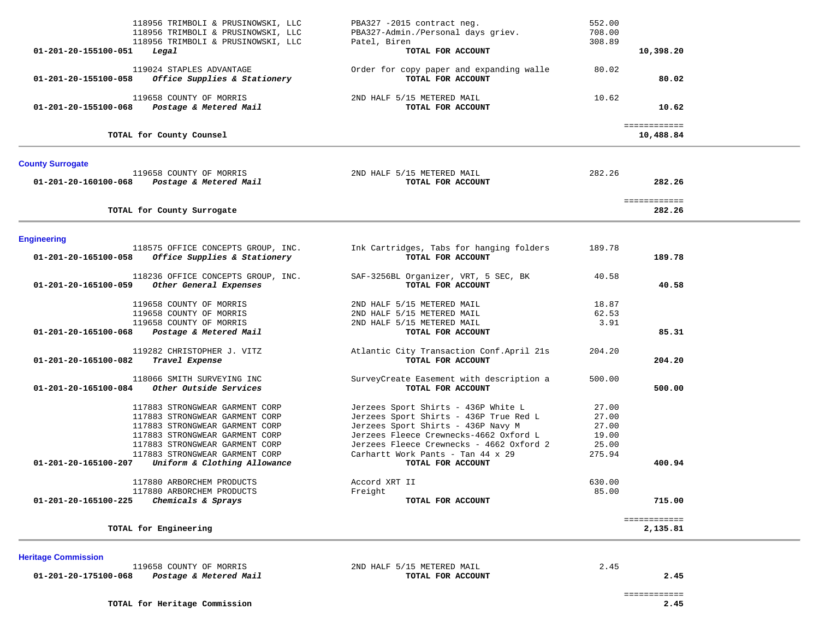| 118956 TRIMBOLI & PRUSINOWSKI, LLC<br>118956 TRIMBOLI & PRUSINOWSKI, LLC<br>118956 TRIMBOLI & PRUSINOWSKI, LLC                                                                                           | PBA327 -2015 contract neg.<br>PBA327-Admin./Personal days griev.<br>Patel, Biren                                                                                                                                                               | 552.00<br>708.00<br>308.89                          |  |
|----------------------------------------------------------------------------------------------------------------------------------------------------------------------------------------------------------|------------------------------------------------------------------------------------------------------------------------------------------------------------------------------------------------------------------------------------------------|-----------------------------------------------------|--|
| 01-201-20-155100-051<br>Legal                                                                                                                                                                            | TOTAL FOR ACCOUNT                                                                                                                                                                                                                              | 10,398.20                                           |  |
| 119024 STAPLES ADVANTAGE<br>Office Supplies & Stationery<br>01-201-20-155100-058                                                                                                                         | Order for copy paper and expanding walle<br>TOTAL FOR ACCOUNT                                                                                                                                                                                  | 80.02<br>80.02                                      |  |
| 119658 COUNTY OF MORRIS<br>01-201-20-155100-068<br>Postage & Metered Mail                                                                                                                                | 2ND HALF 5/15 METERED MAIL<br>TOTAL FOR ACCOUNT                                                                                                                                                                                                | 10.62<br>10.62                                      |  |
| TOTAL for County Counsel                                                                                                                                                                                 |                                                                                                                                                                                                                                                | ============<br>10,488.84                           |  |
| <b>County Surrogate</b>                                                                                                                                                                                  |                                                                                                                                                                                                                                                |                                                     |  |
| 119658 COUNTY OF MORRIS<br>$01 - 201 - 20 - 160100 - 068$ Postage & Metered Mail                                                                                                                         | 2ND HALF 5/15 METERED MAIL<br>TOTAL FOR ACCOUNT                                                                                                                                                                                                | 282.26<br>282.26                                    |  |
| TOTAL for County Surrogate                                                                                                                                                                               |                                                                                                                                                                                                                                                | ============<br>282.26                              |  |
| <b>Engineering</b>                                                                                                                                                                                       |                                                                                                                                                                                                                                                |                                                     |  |
| 118575 OFFICE CONCEPTS GROUP, INC.<br>$01-201-20-165100-058$ Office Supplies & Stationery                                                                                                                | Ink Cartridges, Tabs for hanging folders<br>TOTAL FOR ACCOUNT                                                                                                                                                                                  | 189.78<br>189.78                                    |  |
| 118236 OFFICE CONCEPTS GROUP, INC.<br>01-201-20-165100-059<br>Other General Expenses                                                                                                                     | SAF-3256BL Organizer, VRT, 5 SEC, BK<br>TOTAL FOR ACCOUNT                                                                                                                                                                                      | 40.58<br>40.58                                      |  |
| 119658 COUNTY OF MORRIS<br>119658 COUNTY OF MORRIS<br>119658 COUNTY OF MORRIS                                                                                                                            | 2ND HALF 5/15 METERED MAIL<br>2ND HALF 5/15 METERED MAIL<br>2ND HALF 5/15 METERED MAIL                                                                                                                                                         | 18.87<br>62.53<br>3.91                              |  |
| 01-201-20-165100-068 Postage & Metered Mail                                                                                                                                                              | TOTAL FOR ACCOUNT                                                                                                                                                                                                                              | 85.31                                               |  |
| 119282 CHRISTOPHER J. VITZ<br>Travel Expense<br>01-201-20-165100-082                                                                                                                                     | Atlantic City Transaction Conf. April 21s<br>TOTAL FOR ACCOUNT                                                                                                                                                                                 | 204.20<br>204.20                                    |  |
| 118066 SMITH SURVEYING INC<br>Other Outside Services<br>01-201-20-165100-084                                                                                                                             | SurveyCreate Easement with description a<br>TOTAL FOR ACCOUNT                                                                                                                                                                                  | 500.00<br>500.00                                    |  |
| 117883 STRONGWEAR GARMENT CORP<br>117883 STRONGWEAR GARMENT CORP<br>117883 STRONGWEAR GARMENT CORP<br>117883 STRONGWEAR GARMENT CORP<br>117883 STRONGWEAR GARMENT CORP<br>117883 STRONGWEAR GARMENT CORP | Jerzees Sport Shirts - 436P White L<br>Jerzees Sport Shirts - 436P True Red L<br>Jerzees Sport Shirts - 436P Navy M<br>Jerzees Fleece Crewnecks-4662 Oxford L<br>Jerzees Fleece Crewnecks - 4662 Oxford 2<br>Carhartt Work Pants - Tan 44 x 29 | 27.00<br>27.00<br>27.00<br>19.00<br>25.00<br>275.94 |  |
|                                                                                                                                                                                                          | TOTAL FOR ACCOUNT                                                                                                                                                                                                                              | 400.94                                              |  |
| Uniform & Clothing Allowance<br>01-201-20-165100-207                                                                                                                                                     |                                                                                                                                                                                                                                                |                                                     |  |
| 117880 ARBORCHEM PRODUCTS                                                                                                                                                                                | Accord XRT II                                                                                                                                                                                                                                  | 630.00                                              |  |
| 117880 ARBORCHEM PRODUCTS<br>01-201-20-165100-225<br>Chemicals & Sprays                                                                                                                                  | Freight<br>TOTAL FOR ACCOUNT                                                                                                                                                                                                                   | 85.00<br>715.00                                     |  |

 119658 COUNTY OF MORRIS 2ND HALF 5/15 METERED MAIL 2.45  **01-201-20-175100-068** *Postage & Metered Mail* **TOTAL FOR ACCOUNT 2.45**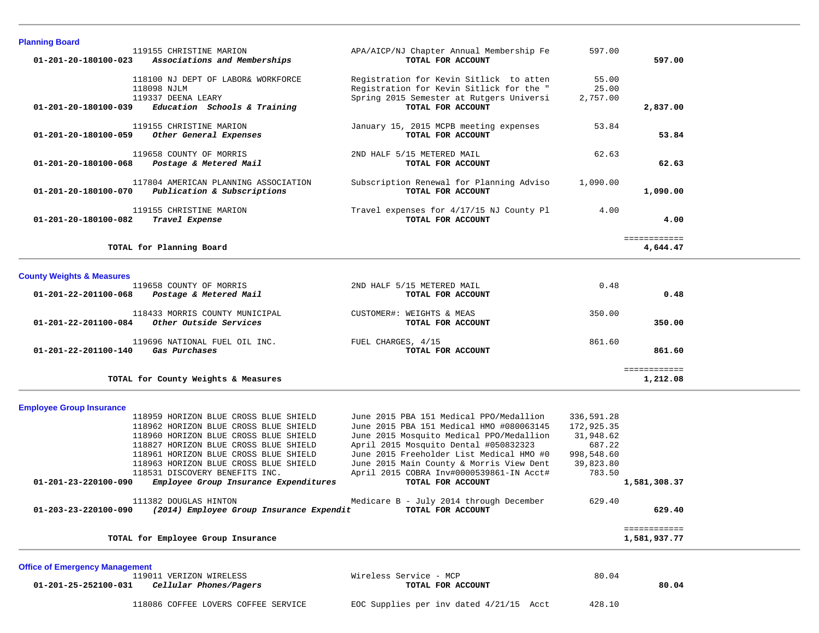| <b>Planning Board</b>                                                     |                                          |            |              |  |
|---------------------------------------------------------------------------|------------------------------------------|------------|--------------|--|
| 119155 CHRISTINE MARION                                                   | APA/AICP/NJ Chapter Annual Membership Fe | 597.00     |              |  |
| 01-201-20-180100-023<br>Associations and Memberships                      | TOTAL FOR ACCOUNT                        |            | 597.00       |  |
| 118100 NJ DEPT OF LABOR& WORKFORCE                                        | Registration for Kevin Sitlick to atten  | 55.00      |              |  |
| 118098 NJLM                                                               | Registration for Kevin Sitlick for the " | 25.00      |              |  |
| 119337 DEENA LEARY                                                        | Spring 2015 Semester at Rutgers Universi | 2,757.00   |              |  |
| Education Schools & Training<br>01-201-20-180100-039                      | TOTAL FOR ACCOUNT                        |            | 2,837.00     |  |
|                                                                           |                                          |            |              |  |
| 119155 CHRISTINE MARION                                                   | January 15, 2015 MCPB meeting expenses   | 53.84      |              |  |
| Other General Expenses<br>01-201-20-180100-059                            | TOTAL FOR ACCOUNT                        |            | 53.84        |  |
| 119658 COUNTY OF MORRIS                                                   | 2ND HALF 5/15 METERED MAIL               | 62.63      |              |  |
| 01-201-20-180100-068<br>Postage & Metered Mail                            | TOTAL FOR ACCOUNT                        |            | 62.63        |  |
|                                                                           |                                          |            |              |  |
| 117804 AMERICAN PLANNING ASSOCIATION                                      | Subscription Renewal for Planning Adviso | 1,090.00   |              |  |
| Publication & Subscriptions<br>01-201-20-180100-070                       | TOTAL FOR ACCOUNT                        |            | 1,090.00     |  |
|                                                                           |                                          |            |              |  |
| 119155 CHRISTINE MARION                                                   | Travel expenses for 4/17/15 NJ County Pl | 4.00       |              |  |
| 01-201-20-180100-082<br>Travel Expense                                    | TOTAL FOR ACCOUNT                        |            | 4.00         |  |
|                                                                           |                                          |            | ============ |  |
| TOTAL for Planning Board                                                  |                                          |            | 4,644.47     |  |
|                                                                           |                                          |            |              |  |
|                                                                           |                                          |            |              |  |
| <b>County Weights &amp; Measures</b>                                      |                                          |            |              |  |
| 119658 COUNTY OF MORRIS                                                   | 2ND HALF 5/15 METERED MAIL               | 0.48       |              |  |
| 01-201-22-201100-068<br>Postage & Metered Mail                            | TOTAL FOR ACCOUNT                        |            | 0.48         |  |
| 118433 MORRIS COUNTY MUNICIPAL                                            | CUSTOMER#: WEIGHTS & MEAS                | 350.00     |              |  |
| 01-201-22-201100-084<br>Other Outside Services                            | TOTAL FOR ACCOUNT                        |            | 350.00       |  |
|                                                                           |                                          |            |              |  |
| 119696 NATIONAL FUEL OIL INC.                                             | FUEL CHARGES, 4/15                       | 861.60     |              |  |
| Gas Purchases<br>01-201-22-201100-140                                     | TOTAL FOR ACCOUNT                        |            | 861.60       |  |
|                                                                           |                                          |            |              |  |
|                                                                           |                                          |            | ============ |  |
| TOTAL for County Weights & Measures                                       |                                          |            | 1,212.08     |  |
|                                                                           |                                          |            |              |  |
| <b>Employee Group Insurance</b>                                           |                                          |            |              |  |
| 118959 HORIZON BLUE CROSS BLUE SHIELD                                     | June 2015 PBA 151 Medical PPO/Medallion  | 336,591.28 |              |  |
| 118962 HORIZON BLUE CROSS BLUE SHIELD                                     | June 2015 PBA 151 Medical HMO #080063145 | 172,925.35 |              |  |
| 118960 HORIZON BLUE CROSS BLUE SHIELD                                     | June 2015 Mosquito Medical PPO/Medallion | 31,948.62  |              |  |
| 118827 HORIZON BLUE CROSS BLUE SHIELD                                     | April 2015 Mosquito Dental #050832323    | 687.22     |              |  |
| 118961 HORIZON BLUE CROSS BLUE SHIELD                                     | June 2015 Freeholder List Medical HMO #0 | 998,548.60 |              |  |
| 118963 HORIZON BLUE CROSS BLUE SHIELD                                     | June 2015 Main County & Morris View Dent | 39,823.80  |              |  |
| 118531 DISCOVERY BENEFITS INC.                                            | April 2015 COBRA Inv#0000539861-IN Acct# | 783.50     |              |  |
| 01-201-23-220100-090<br>Employee Group Insurance Expenditures             | TOTAL FOR ACCOUNT                        |            | 1,581,308.37 |  |
|                                                                           |                                          |            |              |  |
| 111382 DOUGLAS HINTON                                                     | Medicare B - July 2014 through December  | 629.40     |              |  |
| 01-203-23-220100-090<br>(2014) Employee Group Insurance Expendit          | TOTAL FOR ACCOUNT                        |            | 629.40       |  |
|                                                                           |                                          |            | ============ |  |
| TOTAL for Employee Group Insurance                                        |                                          |            | 1,581,937.77 |  |
|                                                                           |                                          |            |              |  |
|                                                                           |                                          |            |              |  |
| <b>Office of Emergency Management</b>                                     | Wireless Service - MCP                   | 80.04      |              |  |
| 119011 VERIZON WIRELESS<br>Cellular Phones/Pagers<br>01-201-25-252100-031 | TOTAL FOR ACCOUNT                        |            | 80.04        |  |
|                                                                           |                                          |            |              |  |

118086 COFFEE LOVERS COFFEE SERVICE EOC Supplies per inv dated 4/21/15 Acct 428.10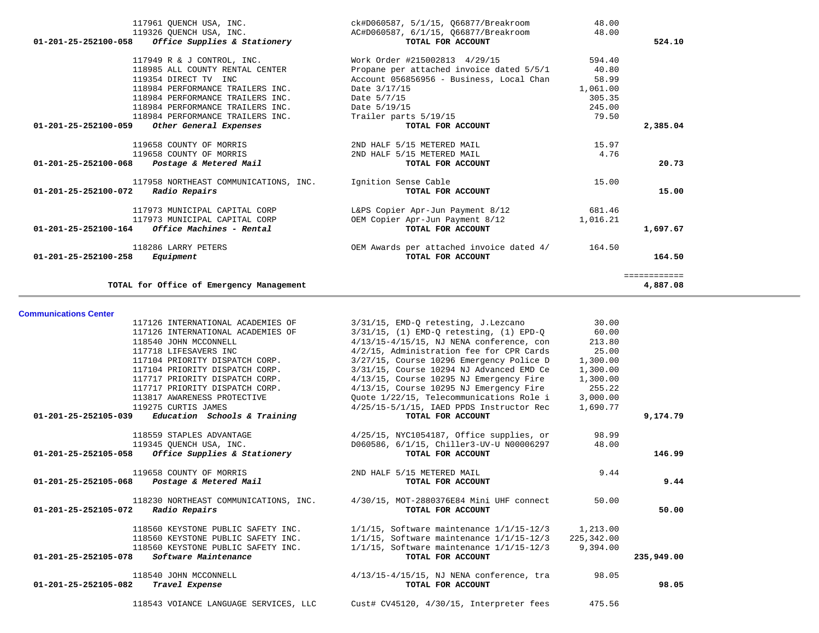| TOTAL for Office of Emergency Management              |                                          |          | ============<br>4,887.08 |
|-------------------------------------------------------|------------------------------------------|----------|--------------------------|
| $01 - 201 - 25 - 252100 - 258$<br>Equipment           | TOTAL FOR ACCOUNT                        |          | 164.50                   |
| 118286 LARRY PETERS                                   | OEM Awards per attached invoice dated 4/ | 164.50   |                          |
| 01-201-25-252100-164<br>Office Machines - Rental      | TOTAL FOR ACCOUNT                        |          | 1,697.67                 |
| 117973 MUNICIPAL CAPITAL CORP                         | OEM Copier Apr-Jun Payment 8/12          | 1,016.21 |                          |
| 117973 MUNICIPAL CAPITAL CORP                         | L&PS Copier Apr-Jun Payment 8/12         | 681.46   |                          |
| $01 - 201 - 25 - 252100 - 072$<br>Radio Repairs       | TOTAL FOR ACCOUNT                        |          | 15.00                    |
| 117958 NORTHEAST COMMUNICATIONS, INC.                 | Ignition Sense Cable                     | 15.00    |                          |
| $01 - 201 - 25 - 252100 - 068$ Postage & Metered Mail | TOTAL FOR ACCOUNT                        |          | 20.73                    |
| 119658 COUNTY OF MORRIS                               | 2ND HALF 5/15 METERED MAIL               | 4.76     |                          |
| 119658 COUNTY OF MORRIS                               | 2ND HALF 5/15 METERED MAIL               | 15.97    |                          |
| 01-201-25-252100-059<br>Other General Expenses        | TOTAL FOR ACCOUNT                        |          | 2,385.04                 |
| 118984 PERFORMANCE TRAILERS INC.                      | Trailer parts 5/19/15                    | 79.50    |                          |
| 118984 PERFORMANCE TRAILERS INC.                      | Date 5/19/15                             | 245.00   |                          |
| 118984 PERFORMANCE TRAILERS INC.                      | Date 5/7/15                              | 305.35   |                          |
| 118984 PERFORMANCE TRAILERS INC.                      | Date 3/17/15                             | 1,061.00 |                          |
| 119354 DIRECT TV INC                                  | Account 056856956 - Business, Local Chan | 58.99    |                          |
| 118985 ALL COUNTY RENTAL CENTER                       | Propane per attached invoice dated 5/5/1 | 40.80    |                          |
| 117949 R & J CONTROL, INC.                            | Work Order #215002813 4/29/15            | 594.40   |                          |
| Office Supplies & Stationery<br>01-201-25-252100-058  | TOTAL FOR ACCOUNT                        |          | 524.10                   |
| 119326 OUENCH USA, INC.                               | AC#D060587, 6/1/15, 066877/Breakroom     | 48.00    |                          |
| 117961 QUENCH USA, INC.                               | ck#D060587, 5/1/15, Q66877/Breakroom     | 48.00    |                          |

**Communications Center** 

| 117126 INTERNATIONAL ACADEMIES OF                   | 3/31/15, EMD-O retesting, J.Lezcano                                                    | 30.00    |            |
|-----------------------------------------------------|----------------------------------------------------------------------------------------|----------|------------|
| 117126 INTERNATIONAL ACADEMIES OF                   | $3/31/15$ , (1) EMD-Q retesting, (1) EPD-Q 60.00                                       |          |            |
| 118540 JOHN MCCONNELL                               | $4/13/15-4/15/15$ , NJ NENA conference, con                                            | 213.80   |            |
| 117718 LIFESAVERS INC                               | 4/2/15, Administration fee for CPR Cards                                               | 25.00    |            |
| 117104 PRIORITY DISPATCH CORP.                      | 3/27/15, Course 10296 Emergency Police D                                               | 1,300.00 |            |
|                                                     | 117104 PRIORITY DISPATCH CORP. 3/31/15, Course 10294 NJ Advanced EMD Ce                | 1,300.00 |            |
|                                                     | 117717 PRIORITY DISPATCH CORP. 4/13/15, Course 10295 NJ Emergency Fire                 | 1,300.00 |            |
|                                                     | 117717 PRIORITY DISPATCH CORP. 4/13/15, Course 10295 NJ Emergency Fire                 | 255.22   |            |
| 113817 AWARENESS PROTECTIVE                         | Ouote 1/22/15, Telecommunications Role i                                               | 3,000.00 |            |
| 119275 CURTIS JAMES                                 | $4/25/15-5/1/15$ , IAED PPDS Instructor Rec                                            | 1,690.77 |            |
| $01-201-25-252105-039$ Education Schools & Training | TOTAL FOR ACCOUNT                                                                      |          | 9,174.79   |
|                                                     | 118559 STAPLES ADVANTAGE 4/25/15, NYC1054187, Office supplies, or                      | 98.99    |            |
| 119345 QUENCH USA, INC.                             | D060586, 6/1/15, Chiller3-UV-U N00006297                                               | 48.00    |            |
| $01-201-25-252105-058$ Office Supplies & Stationery | TOTAL FOR ACCOUNT                                                                      |          | 146.99     |
| 119658 COUNTY OF MORRIS                             | 2ND HALF 5/15 METERED MAIL                                                             | 9.44     |            |
| 01-201-25-252105-068 Postage & Metered Mail         | TOTAL FOR ACCOUNT                                                                      |          | 9.44       |
|                                                     | 118230 NORTHEAST COMMUNICATIONS, INC. 4/30/15, MOT-2880376E84 Mini UHF connect         | 50.00    |            |
| 01-201-25-252105-072 Radio Repairs                  | TOTAL FOR ACCOUNT                                                                      |          | 50.00      |
|                                                     | 118560 KEYSTONE PUBLIC SAFETY INC. 1/1/15, Software maintenance 1/1/15-12/3 1,213.00   |          |            |
|                                                     | 118560 KEYSTONE PUBLIC SAFETY INC. 1/1/15, Software maintenance 1/1/15-12/3 225,342.00 |          |            |
|                                                     | 118560 KEYSTONE PUBLIC SAFETY INC. 1/1/15, Software maintenance 1/1/15-12/3 9,394.00   |          |            |
| $01-201-25-252105-078$ Software Maintenance         | TOTAL FOR ACCOUNT                                                                      |          | 235,949.00 |
| 118540 JOHN MCCONNELL                               | $4/13/15-4/15/15$ , NJ NENA conference, tra                                            | 98.05    |            |
| 01-201-25-252105-082 Travel Expense                 | TOTAL FOR ACCOUNT                                                                      |          | 98.05      |
|                                                     | 118543 VOIANCE LANGUAGE SERVICES, LLC Cust# CV45120, 4/30/15, Interpreter fees         | 475.56   |            |
|                                                     |                                                                                        |          |            |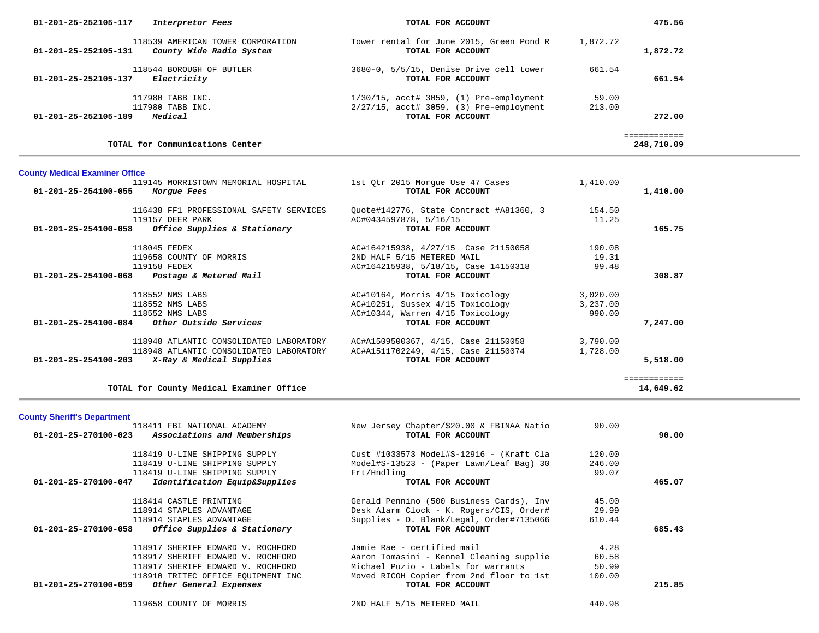| 01-201-25-252105-117<br>Interpretor Fees                                              | TOTAL FOR ACCOUNT                                             | 475.56               |
|---------------------------------------------------------------------------------------|---------------------------------------------------------------|----------------------|
| 118539 AMERICAN TOWER CORPORATION<br>County Wide Radio System<br>01-201-25-252105-131 | Tower rental for June 2015, Green Pond R<br>TOTAL FOR ACCOUNT | 1,872.72<br>1,872.72 |
| 118544 BOROUGH OF BUTLER<br>Electricity<br>01-201-25-252105-137                       | 3680-0, 5/5/15, Denise Drive cell tower<br>TOTAL FOR ACCOUNT  | 661.54<br>661.54     |
| 117980 TABB INC.                                                                      | $1/30/15$ , $\text{acct\# } 3059$ , (1) Pre-employment        | 59.00                |
| 117980 TABB INC.                                                                      | $2/27/15$ , $\text{acct\# } 3059$ , (3) Pre-employment        | 213.00               |
| Medical<br>01-201-25-252105-189                                                       | TOTAL FOR ACCOUNT                                             | 272.00               |
|                                                                                       |                                                               |                      |
| TOTAL for Communications Center                                                       |                                                               | 248,710.09           |

## **County Medical Examiner Office**

| 119145 MORRISTOWN MEMORIAL HOSPITAL<br>01-201-25-254100-055<br>Morgue Fees | 1st Qtr 2015 Morgue Use 47 Cases<br>TOTAL FOR ACCOUNT | 1,410.00 | 1,410.00    |
|----------------------------------------------------------------------------|-------------------------------------------------------|----------|-------------|
| 116438 FF1 PROFESSIONAL SAFETY SERVICES                                    | Quote#142776, State Contract #A81360, 3               | 154.50   |             |
| 119157 DEER PARK                                                           | AC#0434597878, 5/16/15                                | 11.25    |             |
| Office Supplies & Stationery<br>01-201-25-254100-058                       | TOTAL FOR ACCOUNT                                     |          | 165.75      |
| 118045 FEDEX                                                               | AC#164215938, 4/27/15 Case 21150058                   | 190.08   |             |
| 119658 COUNTY OF MORRIS                                                    | 2ND HALF 5/15 METERED MAIL                            | 19.31    |             |
| 119158 FEDEX                                                               | AC#164215938, 5/18/15, Case 14150318                  | 99.48    |             |
| 01-201-25-254100-068<br>Postage & Metered Mail                             | TOTAL FOR ACCOUNT                                     |          | 308.87      |
| 118552 NMS LABS                                                            | AC#10164, Morris 4/15 Toxicology                      | 3,020.00 |             |
| 118552 NMS LABS                                                            | AC#10251, Sussex 4/15 Toxicology                      | 3,237.00 |             |
| 118552 NMS LABS                                                            | AC#10344, Warren 4/15 Toxicology                      | 990.00   |             |
| 01-201-25-254100-084<br>Other Outside Services                             | TOTAL FOR ACCOUNT                                     |          | 7,247.00    |
| 118948 ATLANTIC CONSOLIDATED LABORATORY                                    | AC#A1509500367, 4/15, Case 21150058                   | 3,790.00 |             |
| 118948 ATLANTIC CONSOLIDATED LABORATORY                                    | AC#A1511702249, 4/15, Case 21150074                   | 1,728.00 |             |
| 01-201-25-254100-203<br>X-Ray & Medical Supplies                           | TOTAL FOR ACCOUNT                                     |          | 5,518.00    |
|                                                                            |                                                       |          | =========== |
| TOTAL for County Medical Examiner Office                                   |                                                       |          | 14,649.62   |

**TOTAL for County Medical Examiner Office 14,649.62**

# **County Sheriff's Department**

|                      | 118411 FBI NATIONAL ACADEMY        | New Jersey Chapter/\$20.00 & FBINAA Natio | 90.00  |        |
|----------------------|------------------------------------|-------------------------------------------|--------|--------|
| 01-201-25-270100-023 | Associations and Memberships       | TOTAL FOR ACCOUNT                         |        | 90.00  |
|                      | 118419 U-LINE SHIPPING SUPPLY      | Cust #1033573 Model#S-12916 - (Kraft Cla  | 120.00 |        |
|                      | 118419 U-LINE SHIPPING SUPPLY      | Model#S-13523 - (Paper Lawn/Leaf Bag) 30  | 246.00 |        |
|                      | 118419 U-LINE SHIPPING SUPPLY      | Frt/Hndling                               | 99.07  |        |
| 01-201-25-270100-047 | Identification Equip&Supplies      | TOTAL FOR ACCOUNT                         |        | 465.07 |
|                      | 118414 CASTLE PRINTING             | Gerald Pennino (500 Business Cards), Inv  | 45.00  |        |
|                      | 118914 STAPLES ADVANTAGE           | Desk Alarm Clock - K. Rogers/CIS, Order#  | 29.99  |        |
|                      | 118914 STAPLES ADVANTAGE           | Supplies - D. Blank/Legal, Order#7135066  | 610.44 |        |
| 01-201-25-270100-058 | Office Supplies & Stationery       | TOTAL FOR ACCOUNT                         |        | 685.43 |
|                      | 118917 SHERIFF EDWARD V. ROCHFORD  | Jamie Rae - certified mail                | 4.28   |        |
|                      | 118917 SHERIFF EDWARD V. ROCHFORD  | Aaron Tomasini - Kennel Cleaning supplie  | 60.58  |        |
|                      | 118917 SHERIFF EDWARD V. ROCHFORD  | Michael Puzio - Labels for warrants       | 50.99  |        |
|                      | 118910 TRITEC OFFICE EQUIPMENT INC | Moved RICOH Copier from 2nd floor to 1st  | 100.00 |        |
| 01-201-25-270100-059 | Other General Expenses             | TOTAL FOR ACCOUNT                         |        | 215.85 |
|                      | 119658 COUNTY OF MORRIS            | 2ND HALF 5/15 METERED MAIL                | 440.98 |        |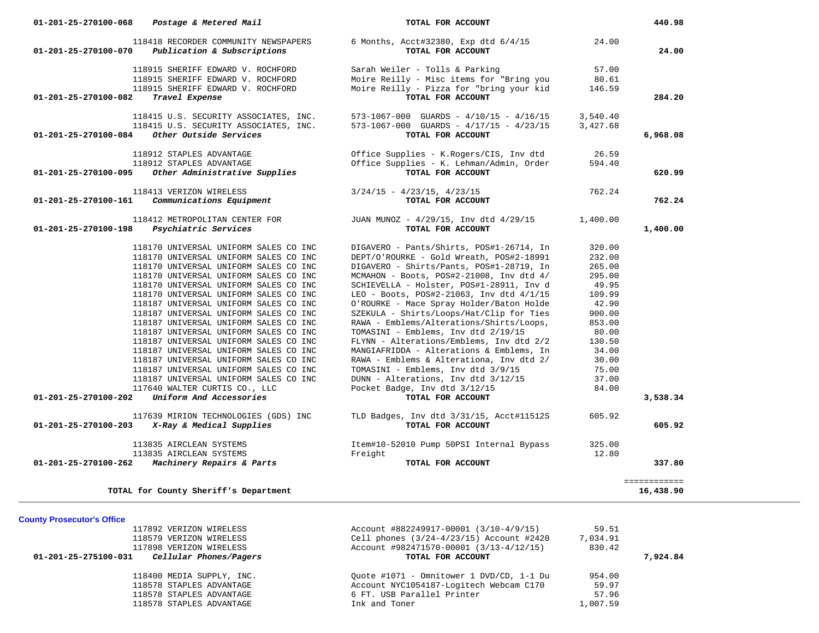| 01-201-25-270100-068 | Postage & Metered Mail                                                         | TOTAL FOR ACCOUNT                                                                              |                      | 440.98       |
|----------------------|--------------------------------------------------------------------------------|------------------------------------------------------------------------------------------------|----------------------|--------------|
| 01-201-25-270100-070 | 118418 RECORDER COMMUNITY NEWSPAPERS<br>Publication & Subscriptions            | 6 Months, Acct#32380, Exp dtd 6/4/15<br>TOTAL FOR ACCOUNT                                      | 24.00                | 24.00        |
|                      | 118915 SHERIFF EDWARD V. ROCHFORD<br>118915 SHERIFF EDWARD V. ROCHFORD         | Sarah Weiler - Tolls & Parking<br>Moire Reilly - Misc items for "Bring you                     | 57.00<br>80.61       |              |
| 01-201-25-270100-082 | 118915 SHERIFF EDWARD V. ROCHFORD<br>Travel Expense                            | Moire Reilly - Pizza for "bring your kid<br>TOTAL FOR ACCOUNT                                  | 146.59               | 284.20       |
|                      | 118415 U.S. SECURITY ASSOCIATES, INC.<br>118415 U.S. SECURITY ASSOCIATES, INC. | $573-1067-000$ GUARDS - $4/10/15$ - $4/16/15$<br>$573-1067-000$ GUARDS - $4/17/15$ - $4/23/15$ | 3,540.40<br>3,427.68 |              |
| 01-201-25-270100-084 | Other Outside Services                                                         | TOTAL FOR ACCOUNT                                                                              |                      | 6,968.08     |
|                      | 118912 STAPLES ADVANTAGE                                                       | Office Supplies - K.Rogers/CIS, Inv dtd                                                        | 26.59                |              |
| 01-201-25-270100-095 | 118912 STAPLES ADVANTAGE<br>Other Administrative Supplies                      | Office Supplies - K. Lehman/Admin, Order<br>TOTAL FOR ACCOUNT                                  | 594.40               | 620.99       |
|                      | 118413 VERIZON WIRELESS                                                        | $3/24/15 - 4/23/15, 4/23/15$                                                                   | 762.24               |              |
| 01-201-25-270100-161 | Communications Equipment                                                       | TOTAL FOR ACCOUNT                                                                              |                      | 762.24       |
| 01-201-25-270100-198 | 118412 METROPOLITAN CENTER FOR<br>Psychiatric Services                         | JUAN MUNOZ - 4/29/15, Inv dtd 4/29/15<br>TOTAL FOR ACCOUNT                                     | 1,400.00             | 1,400.00     |
|                      | 118170 UNIVERSAL UNIFORM SALES CO INC                                          | DIGAVERO - Pants/Shirts, POS#1-26714, In                                                       | 320.00               |              |
|                      | 118170 UNIVERSAL UNIFORM SALES CO INC<br>118170 UNIVERSAL UNIFORM SALES CO INC | DEPT/O'ROURKE - Gold Wreath, POS#2-18991<br>DIGAVERO - Shirts/Pants, POS#1-28719, In           | 232.00<br>265.00     |              |
|                      | 118170 UNIVERSAL UNIFORM SALES CO INC                                          | MCMAHON - Boots, POS#2-21008, Inv dtd 4/                                                       | 295.00               |              |
|                      | 118170 UNIVERSAL UNIFORM SALES CO INC                                          | SCHIEVELLA - Holster, POS#1-28911, Inv d                                                       | 49.95                |              |
|                      | 118170 UNIVERSAL UNIFORM SALES CO INC                                          | LEO - Boots, POS#2-21063, Inv dtd 4/1/15                                                       | 109.99               |              |
|                      | 118187 UNIVERSAL UNIFORM SALES CO INC                                          | O'ROURKE - Mace Spray Holder/Baton Holde                                                       | 42.90                |              |
|                      | 118187 UNIVERSAL UNIFORM SALES CO INC                                          | SZEKULA - Shirts/Loops/Hat/Clip for Ties                                                       | 900.00               |              |
|                      | 118187 UNIVERSAL UNIFORM SALES CO INC                                          | RAWA - Emblems/Alterations/Shirts/Loops,                                                       | 853.00               |              |
|                      | 118187 UNIVERSAL UNIFORM SALES CO INC                                          | TOMASINI - Emblems, Inv dtd 2/19/15                                                            | 80.00                |              |
|                      | 118187 UNIVERSAL UNIFORM SALES CO INC<br>118187 UNIVERSAL UNIFORM SALES CO INC | FLYNN - Alterations/Emblems, Inv dtd 2/2<br>MANGIAFRIDDA - Alterations & Emblems, In           | 130.50<br>34.00      |              |
|                      | 118187 UNIVERSAL UNIFORM SALES CO INC                                          | RAWA - Emblems & Alterationa, Inv dtd 2/                                                       | 30.00                |              |
|                      | 118187 UNIVERSAL UNIFORM SALES CO INC                                          | TOMASINI - Emblems, Inv dtd 3/9/15                                                             | 75.00                |              |
|                      | 118187 UNIVERSAL UNIFORM SALES CO INC                                          | DUNN - Alterations, Inv dtd 3/12/15                                                            | 37.00                |              |
| 01-201-25-270100-202 | 117640 WALTER CURTIS CO., LLC<br>Uniform And Accessories                       | Pocket Badge, Inv dtd 3/12/15<br>TOTAL FOR ACCOUNT                                             | 84.00                | 3,538.34     |
|                      | 117639 MIRION TECHNOLOGIES (GDS) INC                                           | TLD Badges, Inv dtd 3/31/15, Acct#11512S                                                       | 605.92               |              |
| 01-201-25-270100-203 | X-Ray & Medical Supplies                                                       | TOTAL FOR ACCOUNT                                                                              |                      | 605.92       |
|                      | 113835 AIRCLEAN SYSTEMS                                                        | Item#10-52010 Pump 50PSI Internal Bypass                                                       | 325.00               |              |
| 01-201-25-270100-262 | 113835 AIRCLEAN SYSTEMS<br>Machinery Repairs & Parts                           | Freight<br>TOTAL FOR ACCOUNT                                                                   | 12.80                | 337.80       |
|                      |                                                                                |                                                                                                |                      | ============ |
|                      |                                                                                |                                                                                                |                      | 16,438.90    |

**County Prosecutor's Office**

| 117892 VERIZON WIRELESS                        | Account #882249917-00001 (3/10-4/9/15)   | 59.51    |          |
|------------------------------------------------|------------------------------------------|----------|----------|
| 118579 VERIZON WIRELESS                        | Cell phones (3/24-4/23/15) Account #2420 | 7,034.91 |          |
| 117898 VERIZON WIRELESS                        | Account #982471570-00001 (3/13-4/12/15)  | 830.42   |          |
| Cellular Phones/Pagers<br>01-201-25-275100-031 | TOTAL FOR ACCOUNT                        |          | 7,924,84 |
| 118400 MEDIA SUPPLY, INC.                      | Ouote #1071 - Omnitower 1 DVD/CD, 1-1 Du | 954.00   |          |
| 118578 STAPLES ADVANTAGE                       | Account NYC1054187-Logitech Webcam C170  | 59.97    |          |
| 118578 STAPLES ADVANTAGE                       | 6 FT. USB Parallel Printer               | 57.96    |          |
| 118578 STAPLES ADVANTAGE                       | Ink and Toner                            | 1,007.59 |          |
|                                                |                                          |          |          |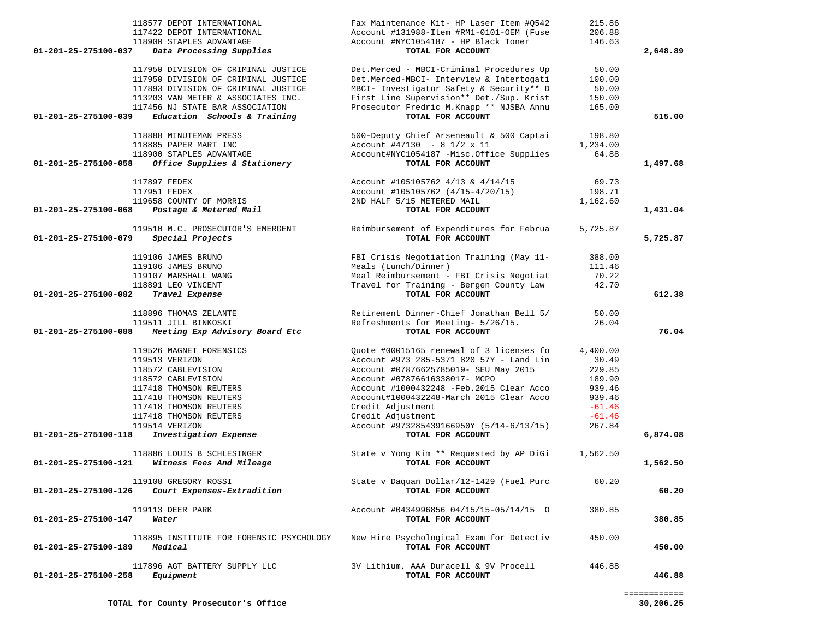| 118577 DEPOT INTERNATIONAL<br>117422 DEPOT INTERNATIONAL<br>118900 STAPLES ADVANTAGE<br>01-201-25-275100-037<br>Data Processing Supplies                | Fax Maintenance Kit- HP Laser Item #Q542<br>Account #131988-Item #RM1-0101-OEM (Fuse<br>Account #NYC1054187 - HP Black Toner<br>TOTAL FOR ACCOUNT                            | 215.86<br>206.88<br>146.63         | 2,648.89 |
|---------------------------------------------------------------------------------------------------------------------------------------------------------|------------------------------------------------------------------------------------------------------------------------------------------------------------------------------|------------------------------------|----------|
|                                                                                                                                                         |                                                                                                                                                                              |                                    |          |
| 117950 DIVISION OF CRIMINAL JUSTICE<br>117950 DIVISION OF CRIMINAL JUSTICE<br>117893 DIVISION OF CRIMINAL JUSTICE<br>113203 VAN METER & ASSOCIATES INC. | Det.Merced - MBCI-Criminal Procedures Up<br>Det.Merced-MBCI- Interview & Intertogati<br>MBCI- Investigator Safety & Security** D<br>First Line Supervision** Det./Sup. Krist | 50.00<br>100.00<br>50.00<br>150.00 |          |
| 117456 NJ STATE BAR ASSOCIATION                                                                                                                         | Prosecutor Fredric M.Knapp ** NJSBA Annu                                                                                                                                     | 165.00                             |          |
| Education Schools & Training<br>01-201-25-275100-039                                                                                                    | TOTAL FOR ACCOUNT                                                                                                                                                            |                                    | 515.00   |
| 118888 MINUTEMAN PRESS                                                                                                                                  | 500-Deputy Chief Arseneault & 500 Captai                                                                                                                                     | 198.80                             |          |
| 118885 PAPER MART INC                                                                                                                                   | Account #47130 - 8 $1/2 \times 11$                                                                                                                                           | 1,234.00                           |          |
| 118900 STAPLES ADVANTAGE                                                                                                                                | Account#NYC1054187 -Misc.Office Supplies                                                                                                                                     | 64.88                              |          |
| Office Supplies & Stationery<br>01-201-25-275100-058                                                                                                    | TOTAL FOR ACCOUNT                                                                                                                                                            |                                    | 1,497.68 |
|                                                                                                                                                         |                                                                                                                                                                              |                                    |          |
| 117897 FEDEX                                                                                                                                            | Account #105105762 4/13 & 4/14/15                                                                                                                                            | 69.73                              |          |
| 117951 FEDEX                                                                                                                                            | Account #105105762 (4/15-4/20/15)                                                                                                                                            | 198.71                             |          |
| 119658 COUNTY OF MORRIS                                                                                                                                 | 2ND HALF 5/15 METERED MAIL                                                                                                                                                   | 1,162.60                           |          |
| 01-201-25-275100-068<br>Postage & Metered Mail                                                                                                          | TOTAL FOR ACCOUNT                                                                                                                                                            |                                    | 1,431.04 |
| 119510 M.C. PROSECUTOR'S EMERGENT                                                                                                                       | Reimbursement of Expenditures for Februa                                                                                                                                     | 5,725.87                           |          |
| 01-201-25-275100-079<br>Special Projects                                                                                                                | TOTAL FOR ACCOUNT                                                                                                                                                            |                                    | 5,725.87 |
|                                                                                                                                                         |                                                                                                                                                                              |                                    |          |
| 119106 JAMES BRUNO                                                                                                                                      | FBI Crisis Negotiation Training (May 11-                                                                                                                                     | 388.00                             |          |
| 119106 JAMES BRUNO                                                                                                                                      | Meals (Lunch/Dinner)                                                                                                                                                         | 111.46                             |          |
| 119107 MARSHALL WANG                                                                                                                                    | Meal Reimbursement - FBI Crisis Negotiat                                                                                                                                     | 70.22                              |          |
| 118891 LEO VINCENT                                                                                                                                      | Travel for Training - Bergen County Law                                                                                                                                      | 42.70                              |          |
| 01-201-25-275100-082<br>Travel Expense                                                                                                                  | TOTAL FOR ACCOUNT                                                                                                                                                            |                                    | 612.38   |
| 118896 THOMAS ZELANTE                                                                                                                                   | Retirement Dinner-Chief Jonathan Bell 5/                                                                                                                                     | 50.00                              |          |
| 119511 JILL BINKOSKI                                                                                                                                    | Refreshments for Meeting- 5/26/15.                                                                                                                                           | 26.04                              |          |
| 01-201-25-275100-088 Meeting Exp Advisory Board Etc                                                                                                     | TOTAL FOR ACCOUNT                                                                                                                                                            |                                    | 76.04    |
|                                                                                                                                                         |                                                                                                                                                                              |                                    |          |
| 119526 MAGNET FORENSICS                                                                                                                                 | Quote #00015165 renewal of 3 licenses fo                                                                                                                                     | 4,400.00                           |          |
| 119513 VERIZON                                                                                                                                          | Account #973 285-5371 820 57Y - Land Lin                                                                                                                                     | 30.49                              |          |
| 118572 CABLEVISION                                                                                                                                      | Account #07876625785019- SEU May 2015                                                                                                                                        | 229.85                             |          |
| 118572 CABLEVISION                                                                                                                                      | Account #07876616338017- MCPO                                                                                                                                                | 189.90                             |          |
| 117418 THOMSON REUTERS                                                                                                                                  | Account #1000432248 -Feb. 2015 Clear Acco                                                                                                                                    | 939.46                             |          |
| 117418 THOMSON REUTERS                                                                                                                                  | Account#1000432248-March 2015 Clear Acco                                                                                                                                     | 939.46                             |          |
| 117418 THOMSON REUTERS                                                                                                                                  | Credit Adjustment                                                                                                                                                            | $-61.46$                           |          |
| 117418 THOMSON REUTERS                                                                                                                                  | Credit Adjustment                                                                                                                                                            | $-61.46$                           |          |
| 119514 VERIZON<br>01-201-25-275100-118                                                                                                                  | Account #973285439166950Y (5/14-6/13/15)                                                                                                                                     | 267.84                             |          |
| Investigation Expense                                                                                                                                   | TOTAL FOR ACCOUNT                                                                                                                                                            |                                    | 6,874.08 |
| 118886 LOUIS B SCHLESINGER                                                                                                                              | State v Yong Kim ** Requested by AP DiGi                                                                                                                                     | 1,562.50                           |          |
| 01-201-25-275100-121 Witness Fees And Mileage                                                                                                           | TOTAL FOR ACCOUNT                                                                                                                                                            |                                    | 1,562.50 |
|                                                                                                                                                         |                                                                                                                                                                              |                                    |          |
| 119108 GREGORY ROSSI                                                                                                                                    | State v Daquan Dollar/12-1429 (Fuel Purc                                                                                                                                     | 60.20                              |          |
| Court Expenses-Extradition<br>01-201-25-275100-126                                                                                                      | TOTAL FOR ACCOUNT                                                                                                                                                            |                                    | 60.20    |
|                                                                                                                                                         |                                                                                                                                                                              |                                    |          |
| 119113 DEER PARK                                                                                                                                        | Account #0434996856 04/15/15-05/14/15 0                                                                                                                                      | 380.85                             |          |
| 01-201-25-275100-147<br>Water                                                                                                                           | TOTAL FOR ACCOUNT                                                                                                                                                            |                                    | 380.85   |
| 118895 INSTITUTE FOR FORENSIC PSYCHOLOGY                                                                                                                | New Hire Psychological Exam for Detectiv                                                                                                                                     | 450.00                             |          |
| Medical<br>01-201-25-275100-189                                                                                                                         | TOTAL FOR ACCOUNT                                                                                                                                                            |                                    | 450.00   |
|                                                                                                                                                         |                                                                                                                                                                              |                                    |          |
| 117896 AGT BATTERY SUPPLY LLC                                                                                                                           | 3V Lithium, AAA Duracell & 9V Procell                                                                                                                                        | 446.88                             |          |
| 01-201-25-275100-258<br>Equipment                                                                                                                       | TOTAL FOR ACCOUNT                                                                                                                                                            |                                    | 446.88   |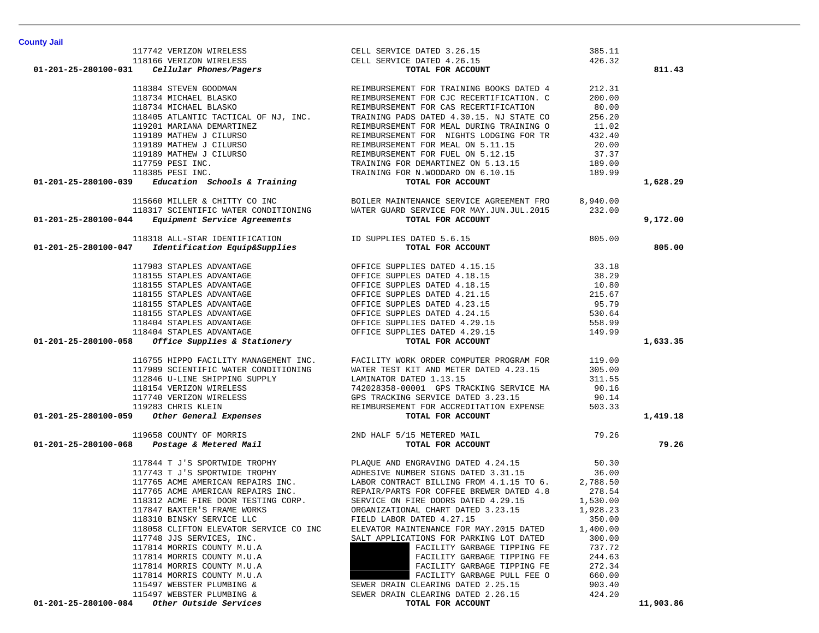|                                                                                                                                                                                                                                                                                                                                                                                                                                     |                                                                                                                                                                                                                                         | 385.11   |           |
|-------------------------------------------------------------------------------------------------------------------------------------------------------------------------------------------------------------------------------------------------------------------------------------------------------------------------------------------------------------------------------------------------------------------------------------|-----------------------------------------------------------------------------------------------------------------------------------------------------------------------------------------------------------------------------------------|----------|-----------|
|                                                                                                                                                                                                                                                                                                                                                                                                                                     |                                                                                                                                                                                                                                         | 426.32   |           |
|                                                                                                                                                                                                                                                                                                                                                                                                                                     |                                                                                                                                                                                                                                         |          | 811.43    |
|                                                                                                                                                                                                                                                                                                                                                                                                                                     |                                                                                                                                                                                                                                         | 212.31   |           |
|                                                                                                                                                                                                                                                                                                                                                                                                                                     |                                                                                                                                                                                                                                         | 200.00   |           |
|                                                                                                                                                                                                                                                                                                                                                                                                                                     |                                                                                                                                                                                                                                         | 80.00    |           |
|                                                                                                                                                                                                                                                                                                                                                                                                                                     |                                                                                                                                                                                                                                         | 256.20   |           |
|                                                                                                                                                                                                                                                                                                                                                                                                                                     |                                                                                                                                                                                                                                         | 11.02    |           |
|                                                                                                                                                                                                                                                                                                                                                                                                                                     |                                                                                                                                                                                                                                         | 432.40   |           |
|                                                                                                                                                                                                                                                                                                                                                                                                                                     |                                                                                                                                                                                                                                         | 20.00    |           |
|                                                                                                                                                                                                                                                                                                                                                                                                                                     |                                                                                                                                                                                                                                         | 37.37    |           |
|                                                                                                                                                                                                                                                                                                                                                                                                                                     |                                                                                                                                                                                                                                         | 189.00   |           |
|                                                                                                                                                                                                                                                                                                                                                                                                                                     |                                                                                                                                                                                                                                         | 189.99   |           |
| 11774 VERIZON WIRELESS CELL SERVICE DATED 1.5 CELL SERVICE DATED 1.5 CELL SERVICE DATED 118184 STEVEN GOODMAN<br>118184 STEVEN GOODMAN RELENSKO<br>118734 MICHAEL BLASKO RELIMBURSEMENT FOR TRAINING BOOKS DATED 4<br>118734 MICHAEL                                                                                                                                                                                                |                                                                                                                                                                                                                                         |          | 1,628.29  |
|                                                                                                                                                                                                                                                                                                                                                                                                                                     |                                                                                                                                                                                                                                         |          |           |
|                                                                                                                                                                                                                                                                                                                                                                                                                                     |                                                                                                                                                                                                                                         |          |           |
| 01-201-25-280100-044                                                                                                                                                                                                                                                                                                                                                                                                                | 115660 MILLER & CHITTY CO INC<br>118317 SCIENTIFIC WATER CONDITIONING WATER GUARD SERVICE FOR MAY.JUN.JUL.2015 232.00<br><b>4</b> Equipment Service Agreements <b>TOTAL FOR ACCOUNT</b>                                                 |          | 9,172.00  |
| 118318 ALL-STAR IDENTIFICATION TD SUPPLIES DATED 5.6.15                                                                                                                                                                                                                                                                                                                                                                             | S DATED 5.6.15<br><b>TOTAL FOR ACCOUNT</b>                                                                                                                                                                                              | 805.00   |           |
| <i>Identification Equip&amp;Supplies</i><br>01-201-25-280100-047                                                                                                                                                                                                                                                                                                                                                                    |                                                                                                                                                                                                                                         |          | 805.00    |
| $117983 STABLES ADVANTAGE\n11815 STABLES ADVANTAGE\n11815 STABLES ADVANTAGE\n11815 STABLES ADVANTAGE\n11815 STABLES ADVANTAGE\n11815 STABLES ADVANTAGE\n11815 STABLES ADVANTAGE\n11815 STABLES ADVANTAGE\n11815 STABLES ADVANTAGE\n11815 STABLES ADVANTAGE\n11815 STABLES ADVANTAGE\n11815 STABLES ADVANTAGE\n118404 STABLES ADVANTAGE\n118404 STABLES ADVANTAGE\n118404 ST$                                                        |                                                                                                                                                                                                                                         | 33.18    |           |
|                                                                                                                                                                                                                                                                                                                                                                                                                                     |                                                                                                                                                                                                                                         | 38.29    |           |
|                                                                                                                                                                                                                                                                                                                                                                                                                                     |                                                                                                                                                                                                                                         | 10.80    |           |
|                                                                                                                                                                                                                                                                                                                                                                                                                                     |                                                                                                                                                                                                                                         | 215.67   |           |
|                                                                                                                                                                                                                                                                                                                                                                                                                                     |                                                                                                                                                                                                                                         | 95.79    |           |
|                                                                                                                                                                                                                                                                                                                                                                                                                                     |                                                                                                                                                                                                                                         | 530.64   |           |
|                                                                                                                                                                                                                                                                                                                                                                                                                                     |                                                                                                                                                                                                                                         | 558.99   |           |
|                                                                                                                                                                                                                                                                                                                                                                                                                                     |                                                                                                                                                                                                                                         | 149.99   |           |
|                                                                                                                                                                                                                                                                                                                                                                                                                                     |                                                                                                                                                                                                                                         |          | 1,633.35  |
|                                                                                                                                                                                                                                                                                                                                                                                                                                     |                                                                                                                                                                                                                                         |          |           |
|                                                                                                                                                                                                                                                                                                                                                                                                                                     |                                                                                                                                                                                                                                         |          |           |
|                                                                                                                                                                                                                                                                                                                                                                                                                                     |                                                                                                                                                                                                                                         |          |           |
|                                                                                                                                                                                                                                                                                                                                                                                                                                     |                                                                                                                                                                                                                                         |          |           |
|                                                                                                                                                                                                                                                                                                                                                                                                                                     |                                                                                                                                                                                                                                         |          |           |
|                                                                                                                                                                                                                                                                                                                                                                                                                                     |                                                                                                                                                                                                                                         |          |           |
| $116755 HIPPO FACILITY MANAGEMENT INC.  \n   117989 SCIENTIFIC WATER COMPUTER PROGRAPHS\n   117989 SCIENTIFIC WATER COMPUTONING\n   117989 SCIENTIFIC WATER COMPUTONING\n   113989 SCIENTIFIC WATER COMPUTS\n   113989 SCIENTIFIC WATER COMPUTS\n   113989 CIENTIFIC WATER COMPUTS\n   113989 CIENTIFIC WATER COMPUTS\n   113989 CIENTIFIC WATER COMPUTS\n   113989 CIENTIFIC WATER COMPUTS\n   113980 I. 1311.55\n   113983 CIENT$ |                                                                                                                                                                                                                                         |          | 1,419.18  |
|                                                                                                                                                                                                                                                                                                                                                                                                                                     |                                                                                                                                                                                                                                         |          |           |
|                                                                                                                                                                                                                                                                                                                                                                                                                                     |                                                                                                                                                                                                                                         |          | 79.26     |
|                                                                                                                                                                                                                                                                                                                                                                                                                                     | 117844 T J'S SPORTWIDE TROPHY DE PLAQUE AND ENGRAVING DATED 4.24.15<br>117743 T J'S SPORTWIDE TROPHY ADHESIVE NUMBER SIGNS DATED 3.31.15<br>117765 ACME AMERICAN REPAIRS INC. LABOR CONTRACT BILLING FROM 4.1.15 TO 6.<br>117765 ACME A | 50.30    |           |
|                                                                                                                                                                                                                                                                                                                                                                                                                                     |                                                                                                                                                                                                                                         | 36.00    |           |
|                                                                                                                                                                                                                                                                                                                                                                                                                                     |                                                                                                                                                                                                                                         | 2,788.50 |           |
|                                                                                                                                                                                                                                                                                                                                                                                                                                     |                                                                                                                                                                                                                                         | 278.54   |           |
| 118312 ACME FIRE DOOR TESTING CORP.                                                                                                                                                                                                                                                                                                                                                                                                 | SERVICE ON FIRE DOORS DATED 4.29.15                                                                                                                                                                                                     | 1,530.00 |           |
| 117847 BAXTER'S FRAME WORKS                                                                                                                                                                                                                                                                                                                                                                                                         | ORGANIZATIONAL CHART DATED 3.23.15                                                                                                                                                                                                      | 1,928.23 |           |
| 118310 BINSKY SERVICE LLC                                                                                                                                                                                                                                                                                                                                                                                                           | FIELD LABOR DATED 4.27.15                                                                                                                                                                                                               | 350.00   |           |
| 118058 CLIFTON ELEVATOR SERVICE CO INC                                                                                                                                                                                                                                                                                                                                                                                              | ELEVATOR MAINTENANCE FOR MAY. 2015 DATED                                                                                                                                                                                                | 1,400.00 |           |
| 117748 JJS SERVICES, INC.                                                                                                                                                                                                                                                                                                                                                                                                           | SALT APPLICATIONS FOR PARKING LOT DATED                                                                                                                                                                                                 | 300.00   |           |
| 117814 MORRIS COUNTY M.U.A                                                                                                                                                                                                                                                                                                                                                                                                          | FACILITY GARBAGE TIPPING FE                                                                                                                                                                                                             | 737.72   |           |
| 117814 MORRIS COUNTY M.U.A                                                                                                                                                                                                                                                                                                                                                                                                          | FACILITY GARBAGE TIPPING FE                                                                                                                                                                                                             | 244.63   |           |
| 117814 MORRIS COUNTY M.U.A                                                                                                                                                                                                                                                                                                                                                                                                          | FACILITY GARBAGE TIPPING FE                                                                                                                                                                                                             | 272.34   |           |
| 117814 MORRIS COUNTY M.U.A                                                                                                                                                                                                                                                                                                                                                                                                          | FACILITY GARBAGE PULL FEE O                                                                                                                                                                                                             | 660.00   |           |
| 115497 WEBSTER PLUMBING &                                                                                                                                                                                                                                                                                                                                                                                                           | SEWER DRAIN CLEARING DATED 2.25.15                                                                                                                                                                                                      | 903.40   |           |
| 115497 WEBSTER PLUMBING &                                                                                                                                                                                                                                                                                                                                                                                                           | SEWER DRAIN CLEARING DATED 2.26.15                                                                                                                                                                                                      | 424.20   |           |
| Other Outside Services<br>01-201-25-280100-084                                                                                                                                                                                                                                                                                                                                                                                      | TOTAL FOR ACCOUNT                                                                                                                                                                                                                       |          | 11,903.86 |

**County Jail**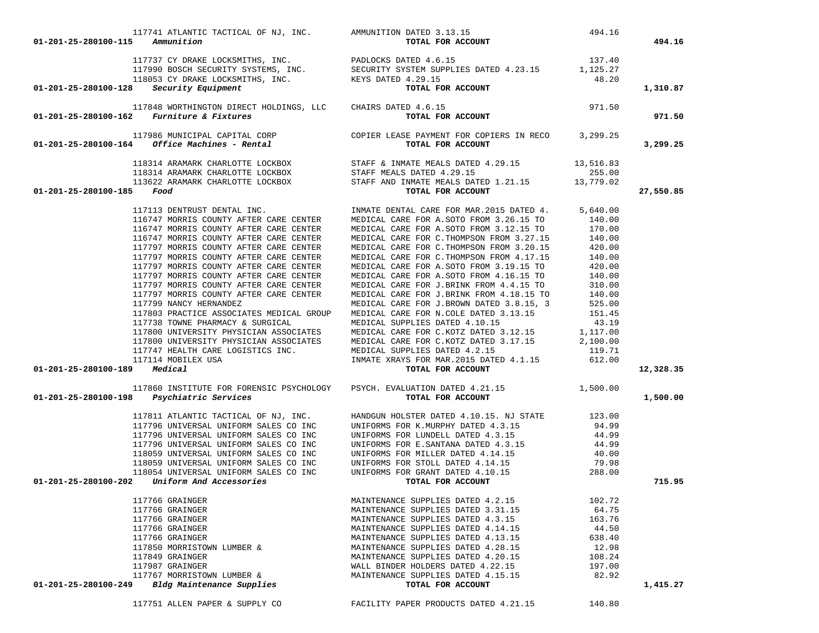|  | 1,415 |  |
|--|-------|--|
|  |       |  |
|  |       |  |

| 117741 ATLANTIC TACTICAL OF NJ, INC. AMMUNITION DATED $3.13.15$                | DATED $3.13.15$ 494.16<br>TOTAL FOR ACCOUNT                                                                                                                                                                                                                                  |                            |           |
|--------------------------------------------------------------------------------|------------------------------------------------------------------------------------------------------------------------------------------------------------------------------------------------------------------------------------------------------------------------------|----------------------------|-----------|
| 01-201-25-280100-115<br>Ammunition                                             |                                                                                                                                                                                                                                                                              |                            | 494.16    |
|                                                                                | 117737 CY DRAKE LOCKSMITHS, INC.<br>117990 BOSCH SECURITY SYSTEMS, INC.<br>118053 CY DRAKE LOCKSMITHS, INC.<br><b>118053 CY DRAKE LOCKSMITHS, INC.</b><br><b>118053 CY DRAKE LOCKSMITHS, INC.</b><br><b>118053 CY DRAKE LOCKSMITHS, INC.</b><br><b>18.20</b><br><b>18.20</b> |                            |           |
|                                                                                |                                                                                                                                                                                                                                                                              |                            |           |
|                                                                                |                                                                                                                                                                                                                                                                              |                            |           |
| $01-201-25-280100-128$ Security Equipment                                      |                                                                                                                                                                                                                                                                              |                            | 1,310.87  |
|                                                                                |                                                                                                                                                                                                                                                                              |                            |           |
|                                                                                |                                                                                                                                                                                                                                                                              |                            |           |
| 01-201-25-280100-162                                                           | 117990 BOSCH SECURITY SYSTEMS, INC. SECURITY SYSTEM SUPPLIES DAIED 4.23.15<br>118053 CY DRAKE LOCKSMITHS, INC. KEYS DATED 4.29.15<br><b>8 Security Equipment TOTAL FOR ACCOUNT</b><br>117848 WORTHINGTON DIRECT HOLDINGS, LLC CHAIRS DATED 4                                 |                            | 971.50    |
|                                                                                |                                                                                                                                                                                                                                                                              |                            |           |
| 01-201-25-280100-164                                                           | 117986 MUNICIPAL CAPITAL CORP COPIER LEASE PAYMENT FOR COPIERS IN RECO 3,299.25<br>4 Office Machines - Rental CORP TOTAL FOR ACCOUNT                                                                                                                                         |                            | 3,299.25  |
|                                                                                |                                                                                                                                                                                                                                                                              |                            |           |
|                                                                                | 118314 ARAMARK CHARLOTTE LOCKBOX STAFF & INMATE MEALS DATED $4.29.15$ 13,516.83<br>118314 ARAMARK CHARLOTTE LOCKBOX STAFF MEALS DATED $4.29.15$ 255.00<br>113622 ARAMARK CHARLOTTE LOCKBOX STAFF AND INMATE MEALS DATED 1.21.15 13,                                          |                            |           |
|                                                                                |                                                                                                                                                                                                                                                                              |                            |           |
|                                                                                |                                                                                                                                                                                                                                                                              |                            |           |
| 01-201-25-280100-185                                                           |                                                                                                                                                                                                                                                                              |                            | 27,550.85 |
| 117113 DENTRUST DENTAL INC.                                                    | INMATE DENTAL CARE FOR MAR. 2015 DATED 4. 5,640.00                                                                                                                                                                                                                           |                            |           |
| 116747 MORRIS COUNTY AFTER CARE CENTER                                         | MEDICAL CARE FOR A.SOTO FROM 3.26.15 TO                                                                                                                                                                                                                                      | 140.00                     |           |
| 116747 MORRIS COUNTY AFTER CARE CENTER                                         | MEDICAL CARE FOR A.SOTO FROM 3.12.15 TO 170.00                                                                                                                                                                                                                               |                            |           |
| 116747 MORRIS COUNTY AFTER CARE CENTER                                         | MEDICAL CARE FOR C. THOMPSON FROM 3.27.15                                                                                                                                                                                                                                    | 140.00                     |           |
| 117797 MORRIS COUNTY AFTER CARE CENTER                                         | MEDICAL CARE FOR C. THOMPSON FROM 3.20.15                                                                                                                                                                                                                                    | 420.00                     |           |
| 117797 MORRIS COUNTY AFTER CARE CENTER                                         | MEDICAL CARE FOR C. THOMPSON FROM 4.17.15                                                                                                                                                                                                                                    | 140.00                     |           |
| 117797 MORRIS COUNTY AFTER CARE CENTER                                         | MEDICAL CARE FOR A.SOTO FROM 3.19.15 TO                                                                                                                                                                                                                                      | 420.00                     |           |
| 117797 MORRIS COUNTY AFTER CARE CENTER                                         | MEDICAL CARE FOR A.SOTO FROM 4.16.15 TO                                                                                                                                                                                                                                      | 140.00<br>140.00<br>310.00 |           |
| 117797 MORRIS COUNTY AFTER CARE CENTER                                         | MEDICAL CARE FOR J.BRINK FROM 4.4.15 TO                                                                                                                                                                                                                                      |                            |           |
| 117797 MORRIS COUNTY AFTER CARE CENTER<br>117799 NANCY HERNANDEZ               | MEDICAL CARE FOR J.BRINK FROM 4.18.15 TO 140.00<br>MEDICAL CARE FOR J.BROWN DATED 3.8.15, 3 525.00                                                                                                                                                                           |                            |           |
| 117803 PRACTICE ASSOCIATES MEDICAL GROUP                                       | MEDICAL CARE FOR N.COLE DATED 3.13.15                                                                                                                                                                                                                                        | 151.45                     |           |
| 117738 TOWNE PHARMACY & SURGICAL                                               | MEDICAL SUPPLIES DATED 4.10.15                                                                                                                                                                                                                                               | 43.19                      |           |
| 117800 UNIVERSITY PHYSICIAN ASSOCIATES                                         |                                                                                                                                                                                                                                                                              |                            |           |
| 117800 UNIVERSITY PHYSICIAN ASSOCIATES                                         | MEDICAL CARE FOR C.KOTZ DATED 3.12.15 1,117.00<br>MEDICAL CARE FOR C.KOTZ DATED 3.17.15 2,100.00                                                                                                                                                                             |                            |           |
| 117747 HEALTH CARE LOGISTICS INC.                                              |                                                                                                                                                                                                                                                                              |                            |           |
| 117114 MOBILEX USA                                                             |                                                                                                                                                                                                                                                                              |                            |           |
| 01-201-25-280100-189 Medical                                                   | MEDICAL SUPPLIES DATED 4.2.15<br>INMATE XRAYS FOR MAR.2015 DATED 4.1.15 612.00<br>TOTAL FOR ACCOUNT                                                                                                                                                                          |                            | 12,328.35 |
|                                                                                |                                                                                                                                                                                                                                                                              |                            |           |
| 01-201-25-280100-198<br>Psychiatric Services                                   | 117860 INSTITUTE FOR FORENSIC PSYCHOLOGY PSYCH. EVALUATION DATED 4.21.15 1,500.00<br>TOTAL FOR ACCOUNT                                                                                                                                                                       |                            | 1,500.00  |
|                                                                                |                                                                                                                                                                                                                                                                              |                            |           |
| 117811 ATLANTIC TACTICAL OF NJ, INC.                                           |                                                                                                                                                                                                                                                                              |                            |           |
| 117796 UNIVERSAL UNIFORM SALES CO INC                                          |                                                                                                                                                                                                                                                                              |                            |           |
| 117796 UNIVERSAL UNIFORM SALES CO INC                                          |                                                                                                                                                                                                                                                                              |                            |           |
| 117796 UNIVERSAL UNIFORM SALES CO INC                                          |                                                                                                                                                                                                                                                                              |                            |           |
| 118059 UNIVERSAL UNIFORM SALES CO INC                                          |                                                                                                                                                                                                                                                                              |                            |           |
| 118059 UNIVERSAL UNIFORM SALES CO INC<br>118054 UNIVERSAL UNIFORM SALES CO INC |                                                                                                                                                                                                                                                                              |                            |           |
| 01-201-25-280100-202 Uniform And Accessories                                   | UNIFORMS FOR STOLL DATED 4.10.15<br>UNIFORMS FOR GRANT DATED 4.10.15                                                                                                                                                                                                         |                            | 715.95    |
|                                                                                |                                                                                                                                                                                                                                                                              |                            |           |
| 117766 GRAINGER                                                                | MAINTENANCE SUPPLIES DATED 4.2.15                                                                                                                                                                                                                                            | 102.72                     |           |
| 117766 GRAINGER                                                                | MAINTENANCE SUPPLIES DATED 3.31.15                                                                                                                                                                                                                                           | 64.75                      |           |
| 117766 GRAINGER                                                                | MAINTENANCE SUPPLIES DATED 4.3.15                                                                                                                                                                                                                                            | 163.76                     |           |
| 117766 GRAINGER                                                                | MAINTENANCE SUPPLIES DATED 4.14.15                                                                                                                                                                                                                                           | 44.50                      |           |
| 117766 GRAINGER                                                                | MAINTENANCE SUPPLIES DATED 4.13.15                                                                                                                                                                                                                                           | 638.40                     |           |
| 117850 MORRISTOWN LUMBER &<br>117849 GRAINGER                                  | MAINTENANCE SUPPLIES DATED 4.28.15<br>MAINTENANCE SUPPLIES DATED 4.20.15                                                                                                                                                                                                     | 12.98<br>108.24            |           |
| 117987 GRAINGER                                                                | WALL BINDER HOLDERS DATED 4.22.15                                                                                                                                                                                                                                            | 197.00                     |           |
| 117767 MORRISTOWN LUMBER &                                                     | MAINTENANCE SUPPLIES DATED 4.15.15                                                                                                                                                                                                                                           | 82.92                      |           |
| 01-201-25-280100-249<br>Bldg Maintenance Supplies                              | TOTAL FOR ACCOUNT                                                                                                                                                                                                                                                            |                            | 1,415.27  |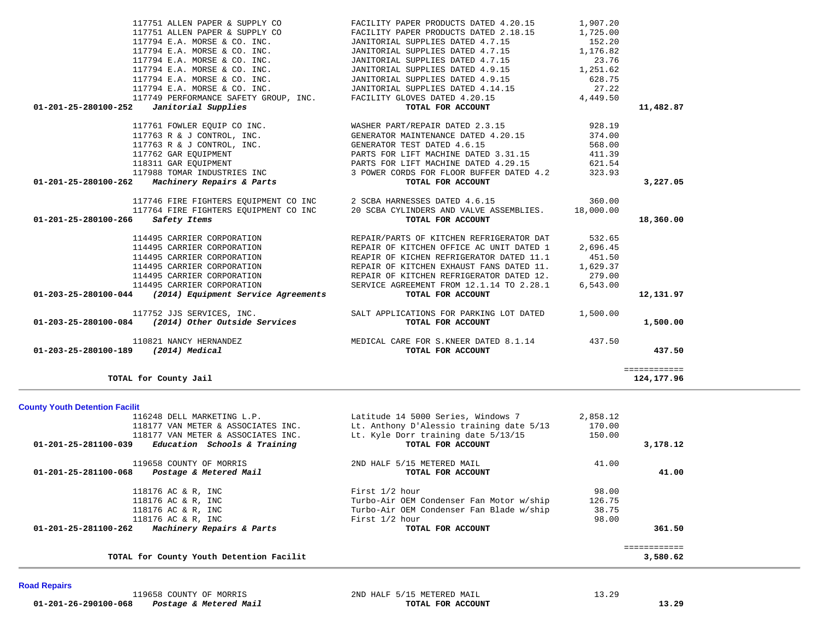| TOTAL for County Jail                                                             |                             |                                                                                                              |                    | 124, 177, 96           |
|-----------------------------------------------------------------------------------|-----------------------------|--------------------------------------------------------------------------------------------------------------|--------------------|------------------------|
| 01-203-25-280100-189<br>(2014) Medical                                            |                             | TOTAL FOR ACCOUNT                                                                                            |                    | 437.50<br>============ |
| 110821 NANCY HERNANDEZ                                                            |                             | MEDICAL CARE FOR S. KNEER DATED 8.1.14 437.50                                                                |                    |                        |
| 117752 JJS SERVICES, INC.<br>$01-203-25-280100-084$ (2014) Other Outside Services |                             | SALT APPLICATIONS FOR PARKING LOT DATED<br>TOTAL FOR ACCOUNT                                                 | 1,500.00           | 1,500.00               |
|                                                                                   |                             |                                                                                                              |                    |                        |
| $01-203-25-280100-044$ (2014) Equipment Service Agreements                        |                             | TOTAL FOR ACCOUNT                                                                                            |                    | 12,131.97              |
| 114495 CARRIER CORPORATION                                                        |                             | SERVICE AGREEMENT FROM 12.1.14 TO 2.28.1                                                                     | 6,543.00           |                        |
| 114495 CARRIER CORPORATION<br>114495 CARRIER CORPORATION                          |                             | REPAIR OF KITCHEN EXHAUST FANS DATED 11.<br>REPAIR OF KITCHEN REFRIGERATOR DATED 12.                         | 1,629.37<br>279.00 |                        |
| 114495 CARRIER CORPORATION                                                        |                             | REAPIR OF KICHEN REFRIGERATOR DATED 11.1                                                                     | 451.50             |                        |
| 114495 CARRIER CORPORATION                                                        |                             | REPAIR OF KITCHEN OFFICE AC UNIT DATED 1                                                                     | 2,696.45           |                        |
|                                                                                   | 114495 CARRIER CORPORATION  | REPAIR/PARTS OF KITCHEN REFRIGERATOR DAT                                                                     | 532.65             |                        |
|                                                                                   |                             |                                                                                                              |                    |                        |
| 01-201-25-280100-266<br>Safety Items                                              |                             | 117764 FIRE FIGHTERS EQUIPMENT CO INC 20 SCBA CYLINDERS AND VALVE ASSEMBLIES. 18,000.00<br>TOTAL FOR ACCOUNT |                    | 18,360.00              |
|                                                                                   |                             | 117746 FIRE FIGHTERS EQUIPMENT CO INC 2 SCBA HARNESSES DATED 4.6.15                                          | 360.00             |                        |
| 01-201-25-280100-262 Machinery Repairs & Parts                                    |                             | TOTAL FOR ACCOUNT                                                                                            |                    | 3,227.05               |
|                                                                                   | 117988 TOMAR INDUSTRIES INC | 3 POWER CORDS FOR FLOOR BUFFER DATED 4.2                                                                     | 323.93             |                        |
| 118311 GAR EOUIPMENT                                                              |                             | PARTS FOR LIFT MACHINE DATED 4.29.15                                                                         | 621.54             |                        |
| 117762 GAR EQUIPMENT                                                              |                             | PARTS FOR LIFT MACHINE DATED 3.31.15                                                                         | 411.39             |                        |
|                                                                                   | 117763 R & J CONTROL, INC.  | GENERATOR TEST DATED 4.6.15                                                                                  | 568.00             |                        |
|                                                                                   | 117763 R & J CONTROL, INC.  | GENERATOR MAINTENANCE DATED 4.20.15                                                                          | 374.00             |                        |
|                                                                                   | 117761 FOWLER EQUIP CO INC. | WASHER PART/REPAIR DATED 2.3.15                                                                              | 928.19             |                        |
| 01-201-25-280100-252<br>Janitorial Supplies                                       |                             | TOTAL FOR ACCOUNT                                                                                            |                    | 11,482.87              |
|                                                                                   |                             | 117749 PERFORMANCE SAFETY GROUP, INC. FACILITY GLOVES DATED 4.20.15                                          | 4,449.50           |                        |
| 117794 E.A. MORSE & CO. INC.                                                      |                             | JANITORIAL SUPPLIES DATED 4.14.15                                                                            | 27.22              |                        |
| 117794 E.A. MORSE & CO. INC.                                                      |                             | JANITORIAL SUPPLIES DATED 4.9.15                                                                             | 628.75             |                        |
| 117794 E.A. MORSE & CO. INC.                                                      |                             | JANITORIAL SUPPLIES DATED 4.9.15                                                                             | 1,251.62           |                        |
| 117794 E.A. MORSE & CO. INC.                                                      |                             | JANITORIAL SUPPLIES DATED 4.7.15                                                                             | 23.76              |                        |
| 117794 E.A. MORSE & CO. INC.                                                      |                             | JANITORIAL SUPPLIES DATED 4.7.15                                                                             | 1,176.82           |                        |
| 117794 E.A. MORSE & CO. INC.                                                      |                             | JANITORIAL SUPPLIES DATED 4.7.15                                                                             | 152.20             |                        |
| 117751 ALLEN PAPER & SUPPLY CO                                                    |                             | FACILITY PAPER PRODUCTS DATED 2.18.15                                                                        | 1,725.00           |                        |
| 117751 ALLEN PAPER & SUPPLY CO                                                    |                             | FACILITY PAPER PRODUCTS DATED 4.20.15                                                                        | 1,907.20           |                        |

**County Youth Detention Facilit**

|                      | 116248 DELL MARKETING L.P.               | Latitude 14 5000 Series, Windows 7       | 2,858.12 |          |
|----------------------|------------------------------------------|------------------------------------------|----------|----------|
|                      | 118177 VAN METER & ASSOCIATES INC.       | Lt. Anthony D'Alessio training date 5/13 | 170.00   |          |
|                      | 118177 VAN METER & ASSOCIATES INC.       | Lt. Kyle Dorr training date 5/13/15      | 150.00   |          |
| 01-201-25-281100-039 | Education Schools & Training             | TOTAL FOR ACCOUNT                        |          | 3,178.12 |
|                      | 119658 COUNTY OF MORRIS                  | 2ND HALF 5/15 METERED MAIL               | 41.00    |          |
| 01-201-25-281100-068 | Postage & Metered Mail                   | TOTAL FOR ACCOUNT                        |          | 41.00    |
|                      | 118176 AC & R, INC                       | First 1/2 hour                           | 98.00    |          |
|                      | 118176 AC & R, INC                       | Turbo-Air OEM Condenser Fan Motor w/ship | 126.75   |          |
|                      | 118176 AC & R, INC                       | Turbo-Air OEM Condenser Fan Blade w/ship | 38.75    |          |
|                      | 118176 AC & R, INC                       | First 1/2 hour                           | 98.00    |          |
| 01-201-25-281100-262 | Machinery Repairs & Parts                | TOTAL FOR ACCOUNT                        |          | 361.50   |
|                      |                                          |                                          |          |          |
|                      | TOTAL for County Youth Detention Facilit |                                          |          | 3,580.62 |

## **Road Repairs**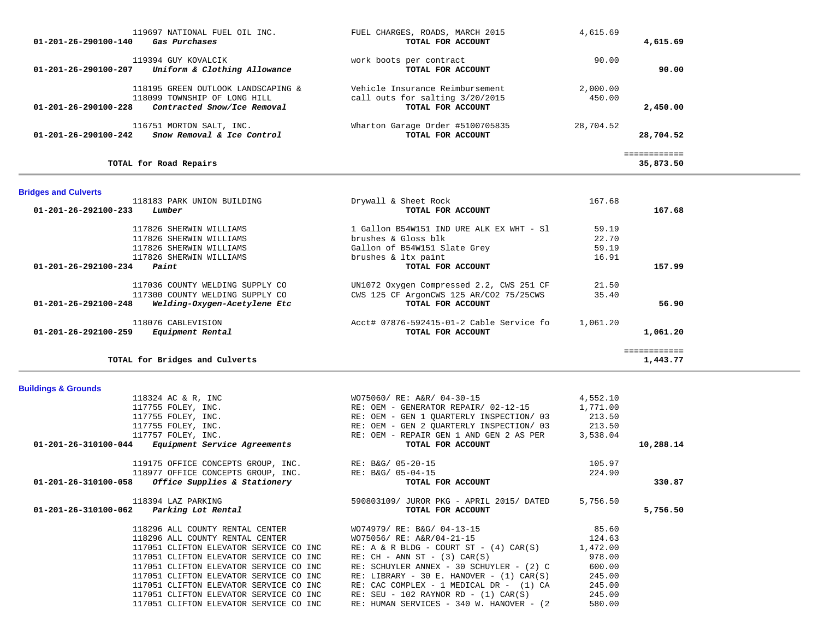| 119697 NATIONAL FUEL OIL INC.<br>01-201-26-290100-140<br>Gas Purchases | FUEL CHARGES, ROADS, MARCH 2015<br>TOTAL FOR ACCOUNT | 4,615.69<br>4,615.69 |
|------------------------------------------------------------------------|------------------------------------------------------|----------------------|
| 119394 GUY KOVALCIK                                                    | work boots per contract                              | 90.00                |
| Uniform & Clothing Allowance<br>$01 - 201 - 26 - 290100 - 207$         | TOTAL FOR ACCOUNT                                    | 90.00                |
| 118195 GREEN OUTLOOK LANDSCAPING &                                     | Vehicle Insurance Reimbursement                      | 2,000.00             |
| 118099 TOWNSHIP OF LONG HILL                                           | call outs for salting 3/20/2015                      | 450.00               |
| $01 - 201 - 26 - 290100 - 228$<br>Contracted Snow/Ice Removal          | TOTAL FOR ACCOUNT                                    | 2,450.00             |
| 116751 MORTON SALT, INC.                                               | Wharton Garage Order #5100705835                     | 28,704.52            |
| $01 - 201 - 26 - 290100 - 242$<br>Snow Removal & Ice Control           | TOTAL FOR ACCOUNT                                    | 28,704.52            |
|                                                                        |                                                      |                      |
| TOTAL for Road Repairs                                                 |                                                      | 35,873.50            |

# **Bridges and Culverts**

**Buildings & Grounds** 

| 118183 PARK UNION BUILDING                           | Drywall & Sheet Rock                     | 167.68   |          |
|------------------------------------------------------|------------------------------------------|----------|----------|
| 01-201-26-292100-233<br>Lumber                       | TOTAL FOR ACCOUNT                        |          | 167.68   |
| 117826 SHERWIN WILLIAMS                              | 1 Gallon B54W151 IND URE ALK EX WHT - Sl | 59.19    |          |
| 117826 SHERWIN WILLIAMS                              | brushes $\&$ Gloss blk                   | 22.70    |          |
| 117826 SHERWIN WILLIAMS                              | Gallon of B54W151 Slate Grey             | 59.19    |          |
| 117826 SHERWIN WILLIAMS                              | brushes & ltx paint                      | 16.91    |          |
| $01 - 201 - 26 - 292100 - 234$<br>Paint              | TOTAL FOR ACCOUNT                        |          | 157.99   |
| 117036 COUNTY WELDING SUPPLY CO                      | UN1072 Oxygen Compressed 2.2, CWS 251 CF | 21.50    |          |
| 117300 COUNTY WELDING SUPPLY CO                      | CWS 125 CF ArgonCWS 125 AR/CO2 75/25CWS  | 35.40    |          |
| 01-201-26-292100-248<br>Welding-Oxygen-Acetylene Etc | TOTAL FOR ACCOUNT                        |          | 56.90    |
| 118076 CABLEVISION                                   | Acct# 07876-592415-01-2 Cable Service fo | 1,061.20 |          |
| $01 - 201 - 26 - 292100 - 259$<br>Equipment Rental   | TOTAL FOR ACCOUNT                        |          | 1,061.20 |
|                                                      |                                          |          |          |
| TOTAL for Bridges and Culverts                       |                                          |          | 1,443.77 |

| 118324 AC & R, INC                                          | WO75060/ RE: A&R/ 04-30-15                    | 4,552.10 |           |
|-------------------------------------------------------------|-----------------------------------------------|----------|-----------|
| 117755 FOLEY, INC.                                          | RE: OEM - GENERATOR REPAIR/ 02-12-15          | 1,771.00 |           |
| 117755 FOLEY, INC.                                          | RE: OEM - GEN 1 OUARTERLY INSPECTION/ 03      | 213.50   |           |
| 117755 FOLEY, INC.                                          | RE: OEM - GEN 2 OUARTERLY INSPECTION/ 03      | 213.50   |           |
| 117757 FOLEY, INC.                                          | RE: OEM - REPAIR GEN 1 AND GEN 2 AS PER       | 3,538.04 |           |
| 01-201-26-310100-044<br><i>Equipment Service Agreements</i> | TOTAL FOR ACCOUNT                             |          | 10,288.14 |
| 119175 OFFICE CONCEPTS GROUP, INC. RE: B&G/ 05-20-15        |                                               | 105.97   |           |
| 118977 OFFICE CONCEPTS GROUP, INC. RE: B&G/ 05-04-15        |                                               | 224.90   |           |
| $01-201-26-310100-058$ Office Supplies & Stationery         | TOTAL FOR ACCOUNT                             |          | 330.87    |
| 118394 LAZ PARKING                                          | 590803109/ JUROR PKG - APRIL 2015/ DATED      | 5,756.50 |           |
| 01-201-26-310100-062 Parking Lot Rental                     | TOTAL FOR ACCOUNT                             |          | 5,756.50  |
| 118296 ALL COUNTY RENTAL CENTER                             | WO74979/ RE: B&G/ 04-13-15                    | 85.60    |           |
| 118296 ALL COUNTY RENTAL CENTER                             | WO75056/ RE: A&R/04-21-15                     | 124.63   |           |
| 117051 CLIFTON ELEVATOR SERVICE CO INC                      | $RE: A & R BLDG - COURT ST - (4) CAR(S)$      | 1,472.00 |           |
| 117051 CLIFTON ELEVATOR SERVICE CO INC                      | $RE: CH - ANN ST - (3) CAR(S)$                | 978.00   |           |
| 117051 CLIFTON ELEVATOR SERVICE CO INC                      | RE: SCHUYLER ANNEX - 30 SCHUYLER - (2) C      | 600.00   |           |
| 117051 CLIFTON ELEVATOR SERVICE CO INC                      | RE: LIBRARY - 30 E. HANOVER - $(1)$ CAR $(S)$ | 245.00   |           |
| 117051 CLIFTON ELEVATOR SERVICE CO INC                      | RE: CAC COMPLEX - 1 MEDICAL DR - (1) CA       | 245.00   |           |
| 117051 CLIFTON ELEVATOR SERVICE CO INC                      | $RE: SEU - 102 RAYNOR RD - (1) CAR(S)$        | 245.00   |           |
| 117051 CLIFTON ELEVATOR SERVICE CO INC                      | RE: HUMAN SERVICES - 340 W. HANOVER - (2)     | 580.00   |           |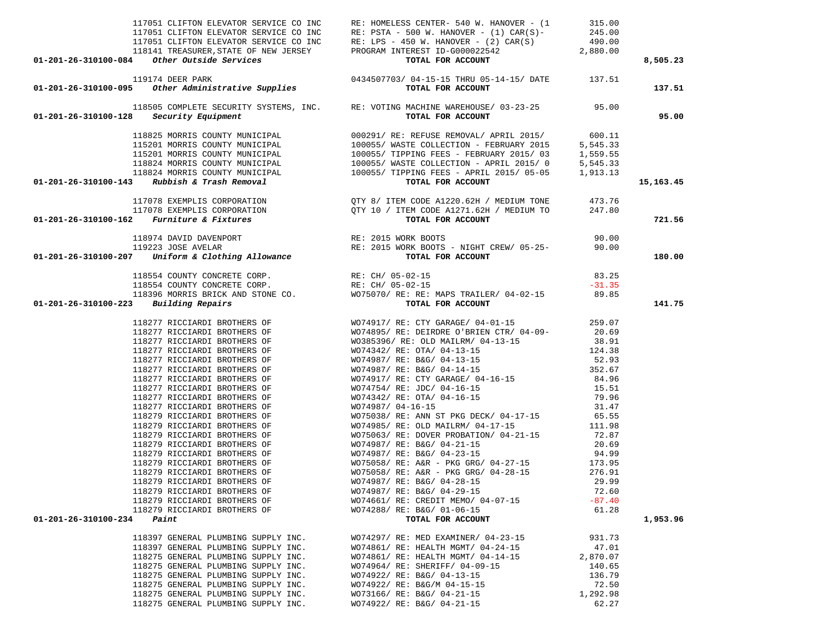| 117051 CLIFTON ELEVATOR SERVICE CO INC<br>117051 CLIFTON ELEVATOR SERVICE CO INC<br>117051 CLIFTON ELEVATOR SERVICE CO INC<br>117051 CLIFTON ELEVATOR SERVICE CO INC<br>117051 CLIFTON ELEVATOR SERVICE CO INC<br>118141 TREASURER, STAT |                                                                                                                                                                                                                                                                                                                                                                                                                 |                   | 8,505.23  |
|------------------------------------------------------------------------------------------------------------------------------------------------------------------------------------------------------------------------------------------|-----------------------------------------------------------------------------------------------------------------------------------------------------------------------------------------------------------------------------------------------------------------------------------------------------------------------------------------------------------------------------------------------------------------|-------------------|-----------|
|                                                                                                                                                                                                                                          |                                                                                                                                                                                                                                                                                                                                                                                                                 |                   | 137.51    |
|                                                                                                                                                                                                                                          |                                                                                                                                                                                                                                                                                                                                                                                                                 |                   | 95.00     |
| 118825 MORRIS COUNTY MUNICIPAL (100291/RE: REFUSE REMOVAL/APRIL 2015/ 600.11<br>115201 MORRIS COUNTY MUNICIPAL (100055/WASTE COLLECTION - FEBRUARY 2015 5,545.33<br>115201 MORRIS COUNTY MUNICIPAL (100055/TIPPING FEES - FEBRUARY       |                                                                                                                                                                                                                                                                                                                                                                                                                 |                   | 15,163.45 |
|                                                                                                                                                                                                                                          |                                                                                                                                                                                                                                                                                                                                                                                                                 |                   | 721.56    |
|                                                                                                                                                                                                                                          |                                                                                                                                                                                                                                                                                                                                                                                                                 |                   | 180.00    |
|                                                                                                                                                                                                                                          |                                                                                                                                                                                                                                                                                                                                                                                                                 |                   |           |
|                                                                                                                                                                                                                                          |                                                                                                                                                                                                                                                                                                                                                                                                                 |                   |           |
|                                                                                                                                                                                                                                          |                                                                                                                                                                                                                                                                                                                                                                                                                 |                   |           |
| $01 - 201 - 26 - 310100 - 223$ Building Repairs                                                                                                                                                                                          | $\begin{array}{lllllllllllllll} \text{118554 COUNTY CONCRETE CORP.} & \text{RE: CH/ 05-02-15} & & & & & 83.25 \\ \text{118554 COUNTY CONCRETE CORP.} & \text{RE: CH/ 05-02-15} & & & & -31.35 \\ \text{118396 MORRIS BRICK AND STONE CO.} & & & & & & \text{WO75070/ RE: RE: MAPS TRAILER/ 04-02-15} & & & & & 89.85 \\ \text{Building Repairs} & & & & & & & \text{TOTAL FOR ACCOUNT} & & & & & 89.85 \\ \end$ |                   | 141.75    |
|                                                                                                                                                                                                                                          |                                                                                                                                                                                                                                                                                                                                                                                                                 |                   |           |
|                                                                                                                                                                                                                                          |                                                                                                                                                                                                                                                                                                                                                                                                                 |                   |           |
|                                                                                                                                                                                                                                          |                                                                                                                                                                                                                                                                                                                                                                                                                 |                   |           |
|                                                                                                                                                                                                                                          |                                                                                                                                                                                                                                                                                                                                                                                                                 |                   |           |
|                                                                                                                                                                                                                                          |                                                                                                                                                                                                                                                                                                                                                                                                                 |                   |           |
|                                                                                                                                                                                                                                          |                                                                                                                                                                                                                                                                                                                                                                                                                 |                   |           |
|                                                                                                                                                                                                                                          |                                                                                                                                                                                                                                                                                                                                                                                                                 |                   |           |
|                                                                                                                                                                                                                                          |                                                                                                                                                                                                                                                                                                                                                                                                                 |                   |           |
|                                                                                                                                                                                                                                          |                                                                                                                                                                                                                                                                                                                                                                                                                 |                   |           |
|                                                                                                                                                                                                                                          |                                                                                                                                                                                                                                                                                                                                                                                                                 |                   |           |
|                                                                                                                                                                                                                                          |                                                                                                                                                                                                                                                                                                                                                                                                                 |                   |           |
|                                                                                                                                                                                                                                          |                                                                                                                                                                                                                                                                                                                                                                                                                 |                   |           |
|                                                                                                                                                                                                                                          |                                                                                                                                                                                                                                                                                                                                                                                                                 |                   |           |
|                                                                                                                                                                                                                                          |                                                                                                                                                                                                                                                                                                                                                                                                                 |                   |           |
|                                                                                                                                                                                                                                          |                                                                                                                                                                                                                                                                                                                                                                                                                 |                   |           |
|                                                                                                                                                                                                                                          |                                                                                                                                                                                                                                                                                                                                                                                                                 |                   |           |
| 118279 RICCIARDI BROTHERS OF<br>118279 RICCIARDI BROTHERS OF                                                                                                                                                                             | WO74987/ RE: B&G/ 04-28-15<br>WO74987/ RE: B&G/ 04-29-15                                                                                                                                                                                                                                                                                                                                                        | 29.99<br>72.60    |           |
| 118279 RICCIARDI BROTHERS OF                                                                                                                                                                                                             | WO74661/ RE: CREDIT MEMO/ 04-07-15                                                                                                                                                                                                                                                                                                                                                                              | $-87.40$          |           |
| 118279 RICCIARDI BROTHERS OF                                                                                                                                                                                                             | WO74288/ RE: B&G/ 01-06-15                                                                                                                                                                                                                                                                                                                                                                                      | 61.28             |           |
| 01-201-26-310100-234<br>Paint                                                                                                                                                                                                            | TOTAL FOR ACCOUNT                                                                                                                                                                                                                                                                                                                                                                                               |                   | 1,953.96  |
|                                                                                                                                                                                                                                          |                                                                                                                                                                                                                                                                                                                                                                                                                 |                   |           |
| 118397 GENERAL PLUMBING SUPPLY INC.                                                                                                                                                                                                      | WO74297/ RE: MED EXAMINER/ 04-23-15                                                                                                                                                                                                                                                                                                                                                                             | 931.73            |           |
| 118397 GENERAL PLUMBING SUPPLY INC.<br>118275 GENERAL PLUMBING SUPPLY INC.                                                                                                                                                               | WO74861/ RE: HEALTH MGMT/ 04-24-15<br>WO74861/ RE: HEALTH MGMT/ 04-14-15                                                                                                                                                                                                                                                                                                                                        | 47.01<br>2,870.07 |           |
| 118275 GENERAL PLUMBING SUPPLY INC.                                                                                                                                                                                                      | WO74964/ RE: SHERIFF/ 04-09-15                                                                                                                                                                                                                                                                                                                                                                                  | 140.65            |           |
| 118275 GENERAL PLUMBING SUPPLY INC.                                                                                                                                                                                                      | WO74922/ RE: B&G/ 04-13-15                                                                                                                                                                                                                                                                                                                                                                                      | 136.79            |           |
| 118275 GENERAL PLUMBING SUPPLY INC.                                                                                                                                                                                                      | WO74922/ RE: B&G/M 04-15-15                                                                                                                                                                                                                                                                                                                                                                                     | 72.50             |           |
| 118275 GENERAL PLUMBING SUPPLY INC.                                                                                                                                                                                                      | WO73166/ RE: B&G/ 04-21-15                                                                                                                                                                                                                                                                                                                                                                                      | 1,292.98          |           |
| 118275 GENERAL PLUMBING SUPPLY INC.                                                                                                                                                                                                      | WO74922/ RE: B&G/ 04-21-15                                                                                                                                                                                                                                                                                                                                                                                      | 62.27             |           |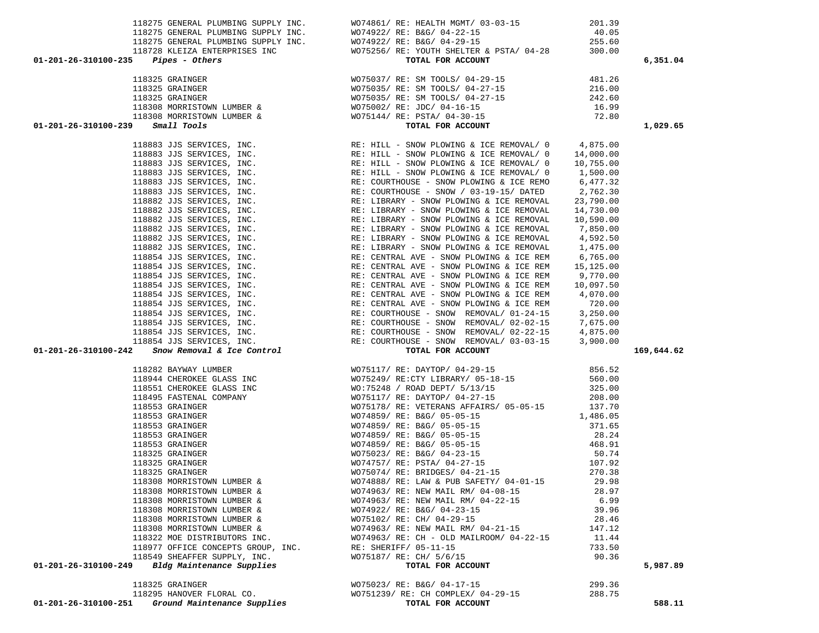| 118553 GRAINGER                                    | WO74859/ RE: B&G/ 05-05-15               | 468.91 |
|----------------------------------------------------|------------------------------------------|--------|
| 118325 GRAINGER                                    | WO75023/ RE: B&G/ 04-23-15               | 50.74  |
| 118325 GRAINGER                                    | WO74757/ RE: PSTA/ 04-27-15              | 107.92 |
| 118325 GRAINGER                                    | $WO75074/RE: BRIDGES/ 04-21-15$          | 270.38 |
| 118308 MORRISTOWN LUMBER &                         | WO74888/ RE: LAW & PUB SAFETY/ 04-01-15  | 29.98  |
| 118308 MORRISTOWN LUMBER &                         | WO74963/ RE: NEW MAIL RM/ 04-08-15       | 28.97  |
| 118308 MORRISTOWN LUMBER &                         | WO74963/ RE: NEW MAIL RM/ 04-22-15       | 6.99   |
| 118308 MORRISTOWN LUMBER &                         | WO74922/ RE: B&G/ 04-23-15               | 39.96  |
| 118308 MORRISTOWN LUMBER &                         | WO75102/ RE: CH/ 04-29-15                | 28.46  |
| 118308 MORRISTOWN LUMBER &                         | WO74963/ RE: NEW MAIL RM/ 04-21-15       | 147.12 |
| 118322 MOE DISTRIBUTORS INC.                       | WO74963/ RE: CH - OLD MAILROOM/ 04-22-15 | 11.44  |
| 118977 OFFICE CONCEPTS GROUP, INC.                 | RE: SHERIFF/ 05-11-15                    | 733.50 |
| 118549 SHEAFFER SUPPLY, INC.                       | WO75187/ RE: CH/ 5/6/15                  | 90.36  |
| Bldg Maintenance Supplies<br>01-201-26-310100-249  | TOTAL FOR ACCOUNT                        |        |
| 118325 GRAINGER                                    | WO75023/ RE: B&G/ 04-17-15               | 299.36 |
| 118295 HANOVER FLORAL CO.                          | WO751239/ RE: CH COMPLEX/ 04-29-15       | 288.75 |
| $01-201-26-310100-251$ Ground Maintenance Supplies | TOTAL FOR ACCOUNT                        |        |
|                                                    |                                          |        |

| 01-201-26-310100-242 | Snow Removal & Ice Control |  |
|----------------------|----------------------------|--|

|                                                        | 118308 MORRISTOWN LUMBER & |  |
|--------------------------------------------------------|----------------------------|--|
| $-26-310100-239$ Small Tools                           |                            |  |
|                                                        | 118883 JJS SERVICES, INC.  |  |
|                                                        | 118883 JJS SERVICES, INC.  |  |
|                                                        | 118883 JJS SERVICES, INC.  |  |
|                                                        | 118883 JJS SERVICES, INC.  |  |
|                                                        | 118883 JJS SERVICES, INC.  |  |
|                                                        | 118883 JJS SERVICES, INC.  |  |
|                                                        | 118882 JJS SERVICES, INC.  |  |
|                                                        | 118882 JJS SERVICES, INC.  |  |
|                                                        | 118882 JJS SERVICES, INC.  |  |
|                                                        | 118882 JJS SERVICES, INC.  |  |
|                                                        | 118882 JJS SERVICES, INC.  |  |
| 118882 JJS SERVICES, INC.                              |                            |  |
| 118854 JJS SERVICES, INC.<br>118854 JJS SERVICES, INC. |                            |  |
|                                                        |                            |  |
| 118854 JJS SERVICES, INC.<br>118854 JJS SERVICES, INC. |                            |  |
|                                                        | 118854 JJS SERVICES, INC.  |  |
|                                                        | 118854 JJS SERVICES, INC.  |  |
|                                                        | 118854 JJS SERVICES, INC.  |  |
|                                                        | 118854 JJS SERVICES, INC.  |  |
|                                                        | 118854 JJS SERVICES, INC.  |  |
|                                                        | 118854 JJS SERVICES, INC.  |  |
| 118854 JJS SERVICES, INC.                              |                            |  |
| -26-310100-242 Snow Removal & Ice Control              |                            |  |

|                      | TTACA MARTIN TAN |                    |
|----------------------|------------------|--------------------|
| 01-201-26-310100-239 |                  | <i>Small Tools</i> |

|  | 118325 GRAINGER            |  |  |
|--|----------------------------|--|--|
|  | 118325 GRAINGER            |  |  |
|  | 118325 GRAINGER            |  |  |
|  | 118308 MORRISTOWN LUMBER & |  |  |
|  | 118308 MORRISTOWN LUMBER   |  |  |

|                     |                       | 118728 KLEIZA ENTERPRISES INC | WO75 |
|---------------------|-----------------------|-------------------------------|------|
| 1-201-26-310100-235 | <i>Pipes - Others</i> |                               |      |

|                      | 118322 MOE DISTRIBUTORS INC.       | $WO74963/RE: CH - OLD MAILROOM/ 04-22-15$ | 11.44  |          |
|----------------------|------------------------------------|-------------------------------------------|--------|----------|
|                      | 118977 OFFICE CONCEPTS GROUP, INC. | RE: SHERIFF/ 05-11-15                     | 733.50 |          |
|                      | 118549 SHEAFFER SUPPLY, INC.       | WO75187/ RE: CH/ 5/6/15                   | 90.36  |          |
| 01-201-26-310100-249 | Bldg Maintenance Supplies          | TOTAL FOR ACCOUNT                         |        | 5,987.89 |
|                      | 118325 GRAINGER                    | WO75023/ RE: B&G/ 04-17-15                | 299.36 |          |
|                      | 118295 HANOVER FLORAL CO.          | WO751239/ RE: CH COMPLEX/ 04-29-15        | 288.75 |          |
| 01-201-26-310100-251 | Ground Maintenance Supplies        | TOTAL FOR ACCOUNT                         |        | 588.11   |
|                      |                                    |                                           |        |          |

| $01-201-26-310100-242$ Snow Removal & Ice Control | TOTAL FOR ACCOUNT                                                         | 169,644.62 |
|---------------------------------------------------|---------------------------------------------------------------------------|------------|
| 118282 BAYWAY LUMBER                              | WO75117/ RE: DAYTOP/ 04-29-15                                             | 856.52     |
|                                                   | 118944 CHEROKEE GLASS INC WO75249/ RE:CTY LIBRARY/ 05-18-15               | 560.00     |
| 118551 CHEROKEE GLASS INC                         | WO:75248 / ROAD DEPT/ 5/13/15                                             | 325.00     |
|                                                   | 118495 FASTENAL COMPANY 600 WOT5117/ RE: DAYTOP/ 04-27-15 208.00          |            |
| 118553 GRAINGER                                   | WO75178/ RE: VETERANS AFFAIRS/ 05-05-15 137.70                            |            |
| 118553 GRAINGER                                   |                                                                           |            |
| 118553 GRAINGER                                   | WO74859/ RE: B&G/ 05-05-15                                                |            |
| 118553 GRAINGER                                   | WO74859/ RE: B&G/ 05-05-15                                                | 28.24      |
| 118553 GRAINGER                                   | WO74859/ RE: B&G/ 05-05-15                                                | 468.91     |
| 118325 GRAINGER                                   | WO75023/ RE: B&G/ 04-23-15                                                | 50.74      |
| 118325 GRAINGER                                   | WO74757/ RE: PSTA/ 04-27-15                                               | 107.92     |
| 118325 GRAINGER                                   | WO75074/ RE: BRIDGES/ 04-21-15                                            | 270.38     |
|                                                   | 118308 MORRISTOWN LUMBER & WO74888/ RE: LAW & PUB SAFETY/ 04-01-15 29.98  |            |
|                                                   | 118308 MORRISTOWN LUMBER & WO74963/RE: NEW MAIL RM/04-08-15 28.97         |            |
|                                                   | 118308 MORRISTOWN LUMBER & WO74963/ RE: NEW MAIL RM/ 04-22-15 6.99        |            |
|                                                   | 118308 MORRISTOWN LUMBER & WO74922/ RE: B&G/ 04-23-15 39.96               |            |
|                                                   | 118308 MORRISTOWN LUMBER & WO75102/RE: CH/ 04-29-15 28.46                 |            |
|                                                   | 118308 MORRISTOWN LUMBER & WO74963/RE: NEW MAIL RM/ 04-21-15              | 147.12     |
|                                                   | 118322 MOE DISTRIBUTORS INC. WO74963/RE: CH - OLD MAILROOM/04-22-15 11.44 |            |
|                                                   | 118977 OFFICE CONCEPTS GROUP, INC. RE: SHERIFF/ 05-11-15                  | 733.50     |
|                                                   | 118549 SHEAFFER SUPPLY, INC. WO75187/ RE: CH/ 5/6/15                      | 90.36      |
| 01-201-26-310100-249 Bldg Maintenance Supplies    | TOTAL FOR ACCOUNT                                                         | 5,987.89   |

|                           | 118883 JJS SERVICES, INC. | RE: HILL - SNOW PLOWING & ICE REMOVAL/ 0 | 4,875.00  |
|---------------------------|---------------------------|------------------------------------------|-----------|
| 118883 JJS SERVICES, INC. |                           | RE: HILL - SNOW PLOWING & ICE REMOVAL/ 0 | 14,000.00 |
| 118883 JJS SERVICES, INC. |                           | RE: HILL - SNOW PLOWING & ICE REMOVAL/ 0 | 10,755.00 |
| 118883 JJS SERVICES, INC. |                           | RE: HILL - SNOW PLOWING & ICE REMOVAL/ 0 | 1,500.00  |
| 118883 JJS SERVICES, INC. |                           | RE: COURTHOUSE - SNOW PLOWING & ICE REMO | 6,477.32  |
| 118883 JJS SERVICES, INC. |                           | RE: COURTHOUSE - SNOW / 03-19-15/ DATED  | 2,762.30  |
| 118882 JJS SERVICES, INC. |                           | RE: LIBRARY - SNOW PLOWING & ICE REMOVAL | 23,790.00 |
| 118882 JJS SERVICES, INC. |                           | RE: LIBRARY - SNOW PLOWING & ICE REMOVAL | 14,730.00 |
| 118882 JJS SERVICES, INC. |                           | RE: LIBRARY - SNOW PLOWING & ICE REMOVAL | 10,590.00 |
|                           | 118882 JJS SERVICES, INC. | RE: LIBRARY - SNOW PLOWING & ICE REMOVAL | 7,850.00  |
| 118882 JJS SERVICES, INC. |                           | RE: LIBRARY - SNOW PLOWING & ICE REMOVAL | 4,592.50  |
| 118882 JJS SERVICES, INC. |                           | RE: LIBRARY - SNOW PLOWING & ICE REMOVAL | 1,475.00  |
|                           | 118854 JJS SERVICES, INC. | RE: CENTRAL AVE - SNOW PLOWING & ICE REM | 6,765.00  |
| 118854 JJS SERVICES, INC. |                           | RE: CENTRAL AVE - SNOW PLOWING & ICE REM | 15,125.00 |
| 118854 JJS SERVICES, INC. |                           | RE: CENTRAL AVE - SNOW PLOWING & ICE REM | 9,770.00  |
| 118854 JJS SERVICES, INC. |                           | RE: CENTRAL AVE - SNOW PLOWING & ICE REM | 10,097.50 |
| 118854 JJS SERVICES, INC. |                           | RE: CENTRAL AVE - SNOW PLOWING & ICE REM | 4,070.00  |
| 118854 JJS SERVICES, INC. |                           | RE: CENTRAL AVE - SNOW PLOWING & ICE REM | 720.00    |
| 118854 JJS SERVICES, INC. |                           | RE: COURTHOUSE - SNOW REMOVAL/ 01-24-15  | 3,250.00  |
| 118854 JJS SERVICES, INC. |                           | RE: COURTHOUSE - SNOW REMOVAL/ 02-02-15  | 7,675.00  |
| 118854 JJS SERVICES, INC. |                           | RE: COURTHOUSE - SNOW REMOVAL/ 02-22-15  | 4,875.00  |
| 118854 JJS SERVICES, INC. |                           | RE: COURTHOUSE - SNOW REMOVAL/ 03-03-15  | 3,900.00  |
|                           |                           |                                          |           |

| 118275 GENERAL PLUMBING SUPPLY INC.           | WO74861/ RE: HEALTH MGMT/ 03-03-15     | 201.39 |          |
|-----------------------------------------------|----------------------------------------|--------|----------|
| 118275 GENERAL PLUMBING SUPPLY INC.           | WO74922/ RE: B&G/ 04-22-15             | 40.05  |          |
| 118275 GENERAL PLUMBING SUPPLY INC.           | WO74922/ RE: B&G/ 04-29-15             | 255.60 |          |
| 118728 KLEIZA ENTERPRISES INC                 | WO75256/RE: YOUTH SHELTER & PSTA/04-28 | 300.00 |          |
| 01-201-26-310100-235<br><i>Pipes - Others</i> | TOTAL FOR ACCOUNT                      |        | 6,351.04 |
| 118325 GRAINGER                               | WO75037/ RE: SM TOOLS/ 04-29-15        | 481.26 |          |
| 118325 GRAINGER                               | WO75035/ RE: SM TOOLS/ 04-27-15        | 216.00 |          |
| 118325 GRAINGER                               | WO75035/ RE: SM TOOLS/ 04-27-15        | 242.60 |          |
| 118308 MORRISTOWN LUMBER &                    | WO75002/ RE: JDC/ 04-16-15             | 16.99  |          |
| 118308 MORRISTOWN LUMBER &                    | WO75144/ RE: PSTA/ 04-30-15            | 72.80  |          |
| <i>Small Tools</i><br>01-201-26-310100-239    | TOTAL FOR ACCOUNT                      |        | 1,029.65 |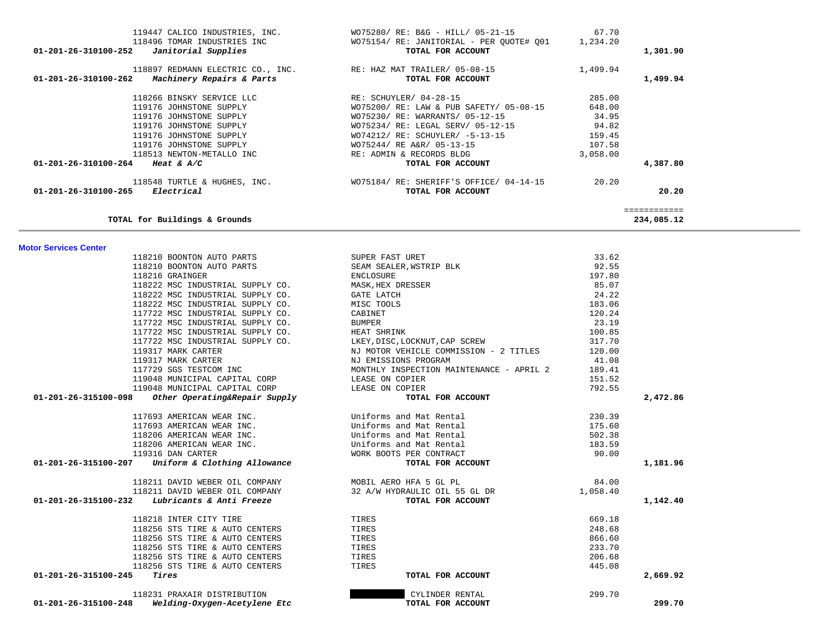| TOTAL for Buildings & Grounds                         |                                          |          | 234,085.12 |
|-------------------------------------------------------|------------------------------------------|----------|------------|
| <b>Motor Services Center</b>                          |                                          |          |            |
| 118210 BOONTON AUTO PARTS                             | SUPER FAST URET                          | 33.62    |            |
| 118210 BOONTON AUTO PARTS                             | SEAM SEALER, WSTRIP BLK                  | 92.55    |            |
| 118216 GRAINGER                                       | ENCLOSURE                                | 197.80   |            |
| 118222 MSC INDUSTRIAL SUPPLY CO.                      | MASK, HEX DRESSER                        | 85.07    |            |
| 118222 MSC INDUSTRIAL SUPPLY CO.                      | GATE LATCH                               | 24.22    |            |
| 118222 MSC INDUSTRIAL SUPPLY CO.                      | MISC TOOLS                               | 183.06   |            |
| 117722 MSC INDUSTRIAL SUPPLY CO.                      | CABINET                                  | 120.24   |            |
| 117722 MSC INDUSTRIAL SUPPLY CO.                      | BUMPER                                   | 23.19    |            |
| 117722 MSC INDUSTRIAL SUPPLY CO.                      | HEAT SHRINK                              | 100.85   |            |
| 117722 MSC INDUSTRIAL SUPPLY CO.                      | LKEY, DISC, LOCKNUT, CAP SCREW           | 317.70   |            |
| 119317 MARK CARTER                                    | NJ MOTOR VEHICLE COMMISSION - 2 TITLES   | 120.00   |            |
| 119317 MARK CARTER                                    | NJ EMISSIONS PROGRAM                     | 41.08    |            |
| 117729 SGS TESTCOM INC                                | MONTHLY INSPECTION MAINTENANCE - APRIL 2 | 189.41   |            |
| 119048 MUNICIPAL CAPITAL CORP                         | LEASE ON COPIER                          | 151.52   |            |
| 119048 MUNICIPAL CAPITAL CORP                         | LEASE ON COPIER                          | 792.55   |            |
| 01-201-26-315100-098<br>Other Operating&Repair Supply | TOTAL FOR ACCOUNT                        |          | 2,472.86   |
| 117693 AMERICAN WEAR INC.                             | Uniforms and Mat Rental                  | 230.39   |            |
| 117693 AMERICAN WEAR INC.                             | Uniforms and Mat Rental                  | 175.60   |            |
| 118206 AMERICAN WEAR INC.                             | Uniforms and Mat Rental                  | 502.38   |            |
| 118206 AMERICAN WEAR INC.                             | Uniforms and Mat Rental                  | 183.59   |            |
| 119316 DAN CARTER                                     | WORK BOOTS PER CONTRACT                  | 90.00    |            |
| 01-201-26-315100-207 Uniform & Clothing Allowance     | TOTAL FOR ACCOUNT                        |          | 1,181.96   |
| 118211 DAVID WEBER OIL COMPANY                        | MOBIL AERO HFA 5 GL PL                   | 84.00    |            |
| 118211 DAVID WEBER OIL COMPANY                        | 32 A/W HYDRAULIC OIL 55 GL DR            | 1,058.40 |            |
| 01-201-26-315100-232 Lubricants & Anti Freeze         | TOTAL FOR ACCOUNT                        |          | 1,142.40   |
| 118218 INTER CITY TIRE                                | TIRES                                    | 669.18   |            |
| 118256 STS TIRE & AUTO CENTERS                        | TIRES                                    | 248.68   |            |
| 118256 STS TIRE & AUTO CENTERS                        | TIRES                                    | 866.60   |            |
| 118256 STS TIRE & AUTO CENTERS                        | TIRES                                    | 233.70   |            |
| 118256 STS TIRE & AUTO CENTERS                        | TIRES                                    | 206.68   |            |
| 118256 STS TIRE & AUTO CENTERS                        | TIRES                                    | 445.08   |            |
| 01-201-26-315100-245<br>Tires                         | TOTAL FOR ACCOUNT                        |          | 2,669.92   |
| 118231 PRAXAIR DISTRIBUTION                           | CYLINDER RENTAL                          | 299.70   |            |
| 01-201-26-315100-248<br>Welding-Oxygen-Acetylene Etc  | TOTAL FOR ACCOUNT                        |          | 299.70     |
|                                                       |                                          |          |            |

| 119447 CALICO INDUSTRIES, INC.<br>118496 TOMAR INDUSTRIES INC<br>Janitorial Supplies<br>01-201-26-310100-252 | WO75280/ RE: B&G - HILL/ 05-21-15<br>WO75154/RE: JANITORIAL - PER QUOTE# Q01<br>TOTAL FOR ACCOUNT | 67.70<br>1,234.20 | 1,301.90 |
|--------------------------------------------------------------------------------------------------------------|---------------------------------------------------------------------------------------------------|-------------------|----------|
| 118897 REDMANN ELECTRIC CO., INC.<br>Machinery Repairs & Parts<br>01-201-26-310100-262                       | RE: HAZ MAT TRAILER/ 05-08-15<br>TOTAL FOR ACCOUNT                                                | 1,499.94          | 1,499.94 |
| 118266 BINSKY SERVICE LLC                                                                                    | RE: SCHUYLER/ 04-28-15                                                                            | 285.00            |          |
| 119176 JOHNSTONE SUPPLY                                                                                      | WO75200/ RE: LAW & PUB SAFETY/ 05-08-15                                                           | 648.00            |          |
| 119176 JOHNSTONE SUPPLY                                                                                      | WO75230/ RE: WARRANTS/ 05-12-15                                                                   | 34.95             |          |
| 119176 JOHNSTONE SUPPLY                                                                                      | WO75234/ RE: LEGAL SERV/ 05-12-15                                                                 | 94.82             |          |
| 119176 JOHNSTONE SUPPLY                                                                                      | WO74212/ RE: SCHUYLER/ -5-13-15                                                                   | 159.45            |          |
| 119176 JOHNSTONE SUPPLY                                                                                      | WO75244/ RE A&R/ 05-13-15                                                                         | 107.58            |          |
| 118513 NEWTON-METALLO INC                                                                                    | RE: ADMIN & RECORDS BLDG                                                                          | 3,058.00          |          |
| 01-201-26-310100-264 Heat & A/C                                                                              | TOTAL FOR ACCOUNT                                                                                 |                   | 4,387.80 |
| 118548 TURTLE & HUGHES, INC.                                                                                 | WO75184/ RE: SHERIFF'S OFFICE/ 04-14-15                                                           | 20.20             |          |
| $01 - 201 - 26 - 310100 - 265$<br>Electrical                                                                 | TOTAL FOR ACCOUNT                                                                                 |                   | 20.20    |
|                                                                                                              |                                                                                                   |                   |          |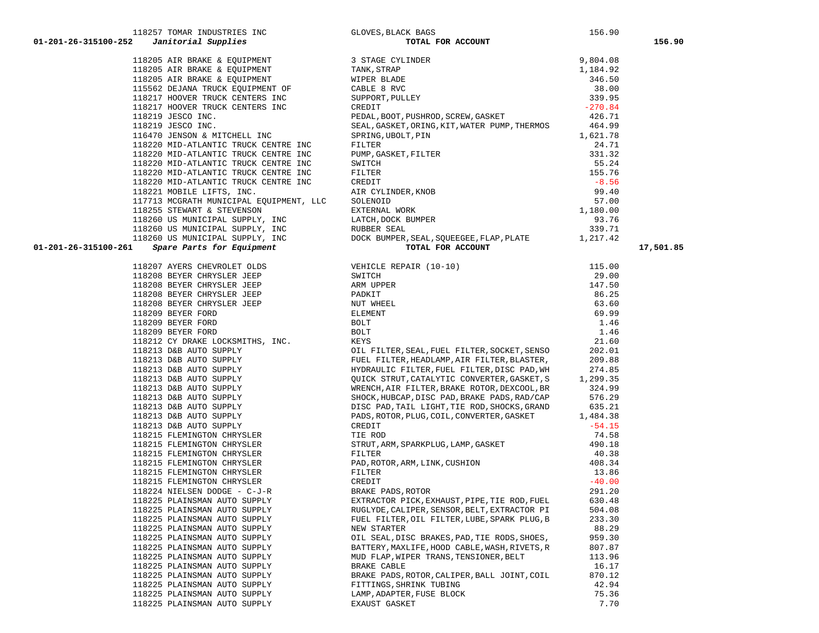|                      |                                                                                                                                                                                                                                              |                                                                                                                                                                                                                                                | 156.90 |           |
|----------------------|----------------------------------------------------------------------------------------------------------------------------------------------------------------------------------------------------------------------------------------------|------------------------------------------------------------------------------------------------------------------------------------------------------------------------------------------------------------------------------------------------|--------|-----------|
| 01-201-26-315100-252 | 118257 TOMAR INDUSTRIES INC<br>2 Janitorial Supplies<br>118205 AIR BRAKE & EQUIPMENT<br>118205 AIR BRAKE & EQUIPMENT<br>118205 AIR BRAKE & EQUIPMENT<br>118205 AIR BRAKE & EQUIPMENT<br>118205 AIR BRAKE & EQUIPMENT<br>118205 AIR BRAKE & E | X BAGS<br><b>TOTAL FOR ACCOUNT</b>                                                                                                                                                                                                             |        | 156.90    |
|                      |                                                                                                                                                                                                                                              |                                                                                                                                                                                                                                                |        |           |
|                      |                                                                                                                                                                                                                                              |                                                                                                                                                                                                                                                |        |           |
|                      |                                                                                                                                                                                                                                              |                                                                                                                                                                                                                                                |        |           |
|                      | 115562 DEJANA TRUCK EQUIPMENT OF                                                                                                                                                                                                             | CABLE 8 RVC                                                                                                                                                                                                                                    |        |           |
|                      | 118217 HOOVER TRUCK CENTERS INC                                                                                                                                                                                                              |                                                                                                                                                                                                                                                |        |           |
|                      | 118217 HOOVER TRUCK CENTERS INC                                                                                                                                                                                                              |                                                                                                                                                                                                                                                |        |           |
|                      | 118219 JESCO INC.                                                                                                                                                                                                                            |                                                                                                                                                                                                                                                |        |           |
|                      |                                                                                                                                                                                                                                              |                                                                                                                                                                                                                                                |        |           |
|                      |                                                                                                                                                                                                                                              |                                                                                                                                                                                                                                                |        |           |
|                      |                                                                                                                                                                                                                                              |                                                                                                                                                                                                                                                |        |           |
|                      |                                                                                                                                                                                                                                              |                                                                                                                                                                                                                                                |        |           |
|                      |                                                                                                                                                                                                                                              |                                                                                                                                                                                                                                                |        |           |
|                      |                                                                                                                                                                                                                                              |                                                                                                                                                                                                                                                |        |           |
|                      |                                                                                                                                                                                                                                              |                                                                                                                                                                                                                                                |        |           |
|                      |                                                                                                                                                                                                                                              |                                                                                                                                                                                                                                                |        |           |
|                      |                                                                                                                                                                                                                                              |                                                                                                                                                                                                                                                |        |           |
|                      |                                                                                                                                                                                                                                              |                                                                                                                                                                                                                                                |        |           |
|                      |                                                                                                                                                                                                                                              |                                                                                                                                                                                                                                                |        |           |
|                      |                                                                                                                                                                                                                                              |                                                                                                                                                                                                                                                |        |           |
|                      |                                                                                                                                                                                                                                              |                                                                                                                                                                                                                                                |        |           |
| 01-201-26-315100-261 |                                                                                                                                                                                                                                              | 11821) HOOPSE TRUCK CENTERS INC. (RED.), GOOD PERIMPTIC TRUCK (1971) 2012, 1972<br>118219 JESON INC., THE PROMESS CREW, ANNE PRODUCED AND THE SEARCH (1971) HONDA (494.99)<br>118279 JESON INC. ANTICHECK CENTER INC. (SPINTER PO              |        | 17,501.85 |
|                      |                                                                                                                                                                                                                                              |                                                                                                                                                                                                                                                |        |           |
|                      |                                                                                                                                                                                                                                              |                                                                                                                                                                                                                                                |        |           |
|                      |                                                                                                                                                                                                                                              |                                                                                                                                                                                                                                                |        |           |
|                      |                                                                                                                                                                                                                                              |                                                                                                                                                                                                                                                |        |           |
|                      |                                                                                                                                                                                                                                              |                                                                                                                                                                                                                                                |        |           |
|                      |                                                                                                                                                                                                                                              |                                                                                                                                                                                                                                                |        |           |
|                      |                                                                                                                                                                                                                                              |                                                                                                                                                                                                                                                |        |           |
|                      |                                                                                                                                                                                                                                              |                                                                                                                                                                                                                                                |        |           |
|                      |                                                                                                                                                                                                                                              |                                                                                                                                                                                                                                                |        |           |
|                      |                                                                                                                                                                                                                                              |                                                                                                                                                                                                                                                |        |           |
|                      |                                                                                                                                                                                                                                              |                                                                                                                                                                                                                                                |        |           |
|                      |                                                                                                                                                                                                                                              |                                                                                                                                                                                                                                                |        |           |
|                      |                                                                                                                                                                                                                                              |                                                                                                                                                                                                                                                |        |           |
|                      |                                                                                                                                                                                                                                              |                                                                                                                                                                                                                                                |        |           |
|                      |                                                                                                                                                                                                                                              |                                                                                                                                                                                                                                                |        |           |
|                      |                                                                                                                                                                                                                                              |                                                                                                                                                                                                                                                |        |           |
|                      |                                                                                                                                                                                                                                              |                                                                                                                                                                                                                                                |        |           |
|                      |                                                                                                                                                                                                                                              |                                                                                                                                                                                                                                                |        |           |
|                      |                                                                                                                                                                                                                                              | 118213 D&B AUTO SUPPLY<br>118213 D&B AUTO SUPPLY<br>118215 FLEMINGTON CHRYSLER<br>118215 FLEMINGTON CHRYSLER<br>118215 FLEMINGTON CHRYSLER<br>118215 FLEMINGTON CHRYSLER<br>118215 FLEMINGTON CHRYSLER<br>118215 FLEMINGTON CHRYSLER<br>118215 |        |           |
|                      |                                                                                                                                                                                                                                              |                                                                                                                                                                                                                                                |        |           |
|                      |                                                                                                                                                                                                                                              |                                                                                                                                                                                                                                                |        |           |
|                      |                                                                                                                                                                                                                                              |                                                                                                                                                                                                                                                |        |           |
|                      |                                                                                                                                                                                                                                              |                                                                                                                                                                                                                                                |        |           |
|                      | 118224 NIELSEN DODGE - C-J-R                                                                                                                                                                                                                 | BRAKE PADS, ROTOR                                                                                                                                                                                                                              | 291.20 |           |
|                      | 118225 PLAINSMAN AUTO SUPPLY                                                                                                                                                                                                                 | EXTRACTOR PICK, EXHAUST, PIPE, TIE ROD, FUEL                                                                                                                                                                                                   | 630.48 |           |
|                      | 118225 PLAINSMAN AUTO SUPPLY                                                                                                                                                                                                                 | RUGLYDE, CALIPER, SENSOR, BELT, EXTRACTOR PI                                                                                                                                                                                                   | 504.08 |           |
|                      | 118225 PLAINSMAN AUTO SUPPLY                                                                                                                                                                                                                 | FUEL FILTER, OIL FILTER, LUBE, SPARK PLUG, B                                                                                                                                                                                                   | 233.30 |           |
|                      | 118225 PLAINSMAN AUTO SUPPLY                                                                                                                                                                                                                 | NEW STARTER                                                                                                                                                                                                                                    | 88.29  |           |
|                      | 118225 PLAINSMAN AUTO SUPPLY                                                                                                                                                                                                                 | OIL SEAL, DISC BRAKES, PAD, TIE RODS, SHOES,                                                                                                                                                                                                   | 959.30 |           |
|                      | 118225 PLAINSMAN AUTO SUPPLY                                                                                                                                                                                                                 | BATTERY, MAXLIFE, HOOD CABLE, WASH, RIVETS, R                                                                                                                                                                                                  | 807.87 |           |
|                      | 118225 PLAINSMAN AUTO SUPPLY                                                                                                                                                                                                                 | MUD FLAP, WIPER TRANS, TENSIONER, BELT                                                                                                                                                                                                         | 113.96 |           |
|                      | 118225 PLAINSMAN AUTO SUPPLY                                                                                                                                                                                                                 | BRAKE CABLE                                                                                                                                                                                                                                    | 16.17  |           |
|                      | 118225 PLAINSMAN AUTO SUPPLY                                                                                                                                                                                                                 | BRAKE PADS, ROTOR, CALIPER, BALL JOINT, COIL                                                                                                                                                                                                   | 870.12 |           |
|                      | 118225 PLAINSMAN AUTO SUPPLY                                                                                                                                                                                                                 | FITTINGS, SHRINK TUBING                                                                                                                                                                                                                        | 42.94  |           |
|                      | 118225 PLAINSMAN AUTO SUPPLY                                                                                                                                                                                                                 | LAMP, ADAPTER, FUSE BLOCK                                                                                                                                                                                                                      | 75.36  |           |
|                      | 118225 PLAINSMAN AUTO SUPPLY                                                                                                                                                                                                                 | EXAUST GASKET                                                                                                                                                                                                                                  | 7.70   |           |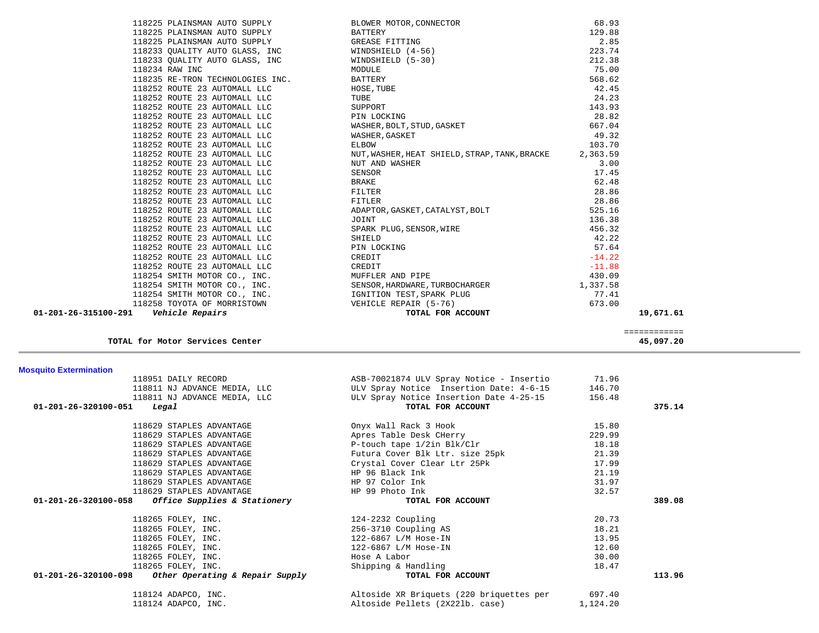| 118951 DAILY RECORD                                    | ASB-70021874 ULV Spray Notice - Insertio | 71.96    |        |
|--------------------------------------------------------|------------------------------------------|----------|--------|
| 118811 NJ ADVANCE MEDIA, LLC                           | ULV Spray Notice Insertion Date: 4-6-15  | 146.70   |        |
| 118811 NJ ADVANCE MEDIA, LLC                           | ULV Spray Notice Insertion Date 4-25-15  | 156.48   |        |
| 01-201-26-320100-051<br>Legal                          | TOTAL FOR ACCOUNT                        |          | 375.14 |
| 118629 STAPLES ADVANTAGE                               | Onyx Wall Rack 3 Hook                    | 15.80    |        |
| 118629 STAPLES ADVANTAGE                               | Apres Table Desk CHerry                  | 229.99   |        |
| 118629 STAPLES ADVANTAGE                               | P-touch tape 1/2in Blk/Clr               | 18.18    |        |
| 118629 STAPLES ADVANTAGE                               | Futura Cover Blk Ltr. size 25pk          | 21.39    |        |
| 118629 STAPLES ADVANTAGE                               | Crystal Cover Clear Ltr 25Pk             | 17.99    |        |
| 118629 STAPLES ADVANTAGE                               | HP 96 Black Ink                          | 21.19    |        |
| 118629 STAPLES ADVANTAGE                               | HP 97 Color Ink                          | 31.97    |        |
| 118629 STAPLES ADVANTAGE                               | HP 99 Photo Ink                          | 32.57    |        |
| $01-201-26-320100-058$ Office Supplies & Stationery    | TOTAL FOR ACCOUNT                        |          | 389.08 |
| 118265 FOLEY, INC.                                     | 124-2232 Coupling                        | 20.73    |        |
| 118265 FOLEY, INC.                                     | 256-3710 Coupling AS                     | 18.21    |        |
| 118265 FOLEY, INC.                                     | 122-6867 L/M Hose-IN                     | 13.95    |        |
| 118265 FOLEY, INC.                                     | 122-6867 L/M Hose-IN                     | 12.60    |        |
| 118265 FOLEY, INC.                                     | Hose A Labor                             | 30.00    |        |
| 118265 FOLEY, INC.                                     | Shipping & Handling                      | 18.47    |        |
| $01-201-26-320100-098$ Other Operating & Repair Supply | TOTAL FOR ACCOUNT                        |          | 113.96 |
| 118124 ADAPCO, INC.                                    | Altoside XR Briquets (220 briquettes per | 697.40   |        |
| 118124 ADAPCO, INC.                                    | Altoside Pellets (2X221b. case)          | 1,124.20 |        |

## **Mosquito Extermi**

| 118254 SMITH MOTOR CO., INC.                          | IGNITION TEST, SPARK PLUG                | 77.41  |             |
|-------------------------------------------------------|------------------------------------------|--------|-------------|
| 118258 TOYOTA OF MORRISTOWN                           | VEHICLE REPAIR (5-76)                    | 673.00 |             |
| <i><b>Vehicle Repairs</b></i><br>01-201-26-315100-291 | TOTAL FOR ACCOUNT                        |        | 19,671.61   |
|                                                       |                                          |        | =========== |
| TOTAL for Motor Services Center                       |                                          |        | 45,097.20   |
| <b>Mosquito Extermination</b>                         |                                          |        |             |
| 118951 DAILY RECORD                                   | ASB-70021874 ULV Spray Notice - Insertio | 71.96  |             |
| 118811 NJ ADVANCE MEDIA, LLC                          | ULV Spray Notice Insertion Date: 4-6-15  | 146.70 |             |
| 118811 NJ ADVANCE MEDIA, LLC                          | ULV Spray Notice Insertion Date 4-25-15  | 156.48 |             |
| 01-201-26-320100-051<br>Legal                         | TOTAL FOR ACCOUNT                        |        | 375.14      |
| 118629 STAPLES ADVANTAGE                              | Onyx Wall Rack 3 Hook                    | 15.80  |             |
| 118629 STAPLES ADVANTAGE                              | Apres Table Desk CHerry                  | 229.99 |             |

| 118225 PLAINSMAN AUTO SUPPLY     | ВI        |
|----------------------------------|-----------|
| 118225 PLAINSMAN AUTO SUPPLY     | <b>BZ</b> |
| 118225 PLAINSMAN AUTO SUPPLY     | GF        |
| 118233 QUALITY AUTO GLASS, INC   | W         |
| 118233 OUALITY AUTO GLASS, INC   | WI        |
| 118234 RAW INC                   | M         |
| 118235 RE-TRON TECHNOLOGIES INC. | BZ        |
| 118252 ROUTE 23 AUTOMALL LLC     | H         |
| 118252 ROUTE 23 AUTOMALL LLC     | Τl        |
| 118252 ROUTE 23 AUTOMALL LLC     | St        |
| 118252 ROUTE 23 AUTOMALL LLC     | P]        |
| 118252 ROUTE 23 AUTOMALL LLC     | WZ        |
| 118252 ROUTE 23 AUTOMALL LLC     | WZ        |
| 118252 ROUTE 23 AUTOMALL LLC     | ЕI        |
| 118252 ROUTE 23 AUTOMALL LLC     | ΝU        |
| 118252 ROUTE 23 AUTOMALL LLC     | Νl        |
| 118252 ROUTE 23 AUTOMALL LLC     | SE        |
| 118252 ROUTE 23 AUTOMALL LLC     | BF        |
| 118252 ROUTE 23 AUTOMALL LLC     | FI        |
| 118252 ROUTE 23 AUTOMALL LLC     | FI        |
| 118252 ROUTE 23 AUTOMALL LLC     | ΑI        |
| 118252 ROUTE 23 AUTOMALL LLC     | JC        |
| 118252 ROUTE 23 AUTOMALL LLC     | SI        |
| 118252 ROUTE 23 AUTOMALL LLC     | SF        |
| 118252 ROUTE 23 AUTOMALL LLC     | P]        |
| 118252 ROUTE 23 AUTOMALL LLC     | CF        |
| 118252 ROUTE 23 AUTOMALL LLC     | CF        |
| 118254 SMITH MOTOR CO., INC.     | M         |
| 118254 SMITH MOTOR CO., INC.     | SE        |
| 118254 SMITH MOTOR CO., INC.     | I         |
| 118258 TOYOTA OF MORRISTOWN      | VF        |

| 01-201-26-315100-291 | Vehicle Repairs                                                  | TOTAL FOR ACCOUNT                                                                                                                                                                               |                | 19,671.6 |
|----------------------|------------------------------------------------------------------|-------------------------------------------------------------------------------------------------------------------------------------------------------------------------------------------------|----------------|----------|
|                      | 118258 TOYOTA OF MORRISTOWN                                      | VEHICLE REPAIR (5-76)                                                                                                                                                                           | 673.00         |          |
|                      | 118254 SMITH MOTOR CO., INC.                                     | IGNITION TEST, SPARK PLUG                                                                                                                                                                       | 77.41          |          |
|                      | 118254 SMITH MOTOR CO., INC.                                     | SENSOR, HARDWARE, TURBOCHARGER                                                                                                                                                                  | 1,337.58       |          |
|                      | 118254 SMITH MOTOR CO., INC.                                     | MUFFLER AND PIPE                                                                                                                                                                                | 430.09         |          |
|                      | 118252 ROUTE 23 AUTOMALL LLC                                     | CREDIT                                                                                                                                                                                          | $-11.88$       |          |
|                      | 118252 ROUTE 23 AUTOMALL LLC                                     |                                                                                                                                                                                                 | $-14.22$       |          |
|                      | 118252 ROUTE 23 AUTOMALL LLC                                     |                                                                                                                                                                                                 | 57.64          |          |
|                      | 118252 ROUTE 23 AUTOMALL LLC                                     | SPARK PLUG, SENSOR, WIRE<br>SHIELD<br>PIN LOCKING<br>CREDIT                                                                                                                                     | 42.22          |          |
|                      | 118252 ROUTE 23 AUTOMALL LLC                                     |                                                                                                                                                                                                 | 456.32         |          |
|                      | 118252 ROUTE 23 AUTOMALL LLC                                     | JOINT                                                                                                                                                                                           | 136.38         |          |
|                      | 118252 ROUTE 23 AUTOMALL LLC                                     | ADAPTOR, GASKET, CATALYST, BOLT                                                                                                                                                                 | 525.16         |          |
|                      | 118252 ROUTE 23 AUTOMALL LLC                                     | FITLER                                                                                                                                                                                          | 28.86          |          |
|                      | 118252 ROUTE 23 AUTOMALL LLC                                     | FILTER                                                                                                                                                                                          | 28.86          |          |
|                      | 118252 ROUTE 23 AUTOMALL LLC                                     | BRAKE                                                                                                                                                                                           | 62.48          |          |
|                      | 118252 ROUTE 23 AUTOMALL LLC                                     | SENSOR                                                                                                                                                                                          | 17.45          |          |
|                      | 118252 ROUTE 23 AUTOMALL LLC                                     | NUT AND WASHER                                                                                                                                                                                  | 3.00           |          |
|                      | 118252 ROUTE 23 AUTOMALL LLC                                     | NUT, WASHER, HEAT SHIELD, STRAP, TANK, BRACKE 2, 363.59                                                                                                                                         |                |          |
|                      | 118252 ROUTE 23 AUTOMALL LLC                                     | ELBOW                                                                                                                                                                                           | 103.70         |          |
|                      | 118252 ROUTE 23 AUTOMALL LLC                                     | WASHER, GASKET                                                                                                                                                                                  | 49.32          |          |
|                      | 118252 ROUTE 23 AUTOMALL LLC                                     | PIN LOCKING<br>WASHER, BOLT, STUD, GASKET                                                                                                                                                       | 667.04         |          |
|                      | 118252 ROUTE 23 AUTOMALL LLC                                     |                                                                                                                                                                                                 | 28.82          |          |
|                      | 118252 ROUTE 23 AUTOMALL LLC                                     |                                                                                                                                                                                                 | 143.93         |          |
|                      | 118252 ROUTE 23 AUTOMALL LLC                                     |                                                                                                                                                                                                 | 24.23          |          |
|                      | 118252 ROUTE 23 AUTOMALL LLC                                     | BLOWER MOTOR, CONNECTOR<br>BATTERY<br>GREASE FITTING<br>WINDSHIELD (4-56)<br>WINDSHIELD (5-30)<br>MODULE<br>BATTERY<br>HOSE, TUBE<br>TUBE<br>SUPPORT<br>PIN LOCKING<br>NA LOCKING<br>NA LOCKING | 42.45          |          |
|                      | 118235 RE-TRON TECHNOLOGIES INC.                                 |                                                                                                                                                                                                 | 568.62         |          |
|                      | 118234 RAW INC                                                   |                                                                                                                                                                                                 | 75.00          |          |
|                      | 118233 QUALITY AUTO GLASS, INC<br>118233 OUALITY AUTO GLASS, INC |                                                                                                                                                                                                 | 212.38         |          |
|                      | 118225 PLAINSMAN AUTO SUPPLY                                     |                                                                                                                                                                                                 | 2.85<br>223.74 |          |
|                      | 118225 PLAINSMAN AUTO SUPPLY                                     |                                                                                                                                                                                                 | 129.88         |          |
|                      |                                                                  |                                                                                                                                                                                                 | 68.93          |          |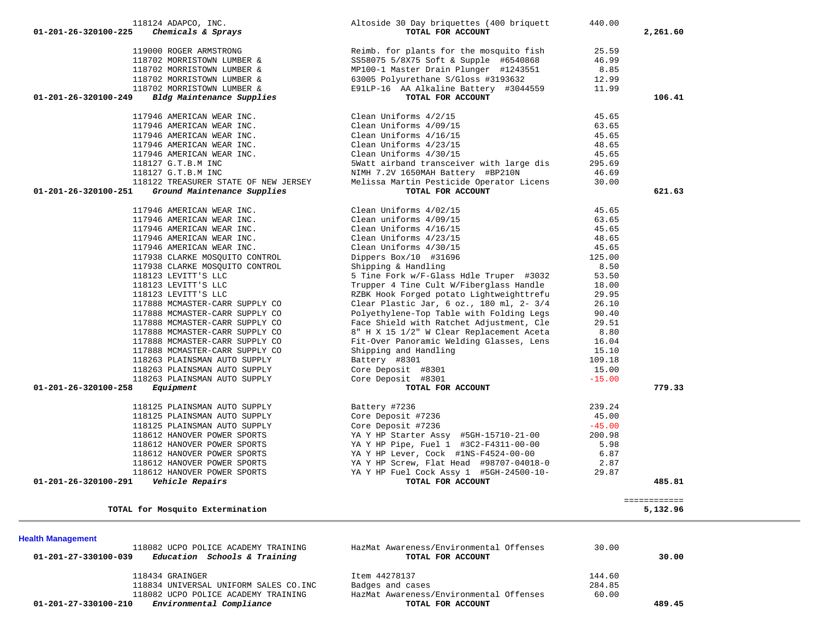| <b>Health Management</b><br>118082 UCPO POLICE ACADEMY TRAINING | HazMat Awareness/Environmental Offenses | 30.00  |        |  |
|-----------------------------------------------------------------|-----------------------------------------|--------|--------|--|
| Education Schools & Training<br>01-201-27-330100-039            | TOTAL FOR ACCOUNT                       |        | 30.00  |  |
| 118434 GRAINGER                                                 | Item 44278137                           | 144.60 |        |  |
| 118834 UNIVERSAL UNIFORM SALES CO.INC                           | Badges and cases                        | 284.85 |        |  |
| 118082 UCPO POLICE ACADEMY TRAINING                             | HazMat Awareness/Environmental Offenses | 60.00  |        |  |
| Environmental Compliance<br>$01 - 201 - 27 - 330100 - 210$      | TOTAL FOR ACCOUNT                       |        | 489.45 |  |
|                                                                 |                                         |        |        |  |

| 117946 AMERICAN WEAR INC.                             | Clean Uniforms 4/16/15                       | 45.65    |                          |  |
|-------------------------------------------------------|----------------------------------------------|----------|--------------------------|--|
| 117946 AMERICAN WEAR INC.                             | Clean Uniforms 4/23/15                       | 48.65    |                          |  |
| 117946 AMERICAN WEAR INC.                             | Clean Uniforms 4/30/15                       | 45.65    |                          |  |
| 118127 G.T.B.M INC                                    | 5Watt airband transceiver with large dis     | 295.69   |                          |  |
| 118127 G.T.B.M INC                                    | NIMH 7.2V 1650MAH Battery #BP210N            | 46.69    |                          |  |
| 118122 TREASURER STATE OF NEW JERSEY                  | Melissa Martin Pesticide Operator Licens     | 30.00    |                          |  |
| 01-201-26-320100-251<br>Ground Maintenance Supplies   | TOTAL FOR ACCOUNT                            |          | 621.63                   |  |
| 117946 AMERICAN WEAR INC.                             | Clean Uniforms 4/02/15                       | 45.65    |                          |  |
| 117946 AMERICAN WEAR INC.                             | Clean uniforms 4/09/15                       | 63.65    |                          |  |
| 117946 AMERICAN WEAR INC.                             | Clean Uniforms 4/16/15                       | 45.65    |                          |  |
| 117946 AMERICAN WEAR INC.                             | Clean Uniforms 4/23/15                       | 48.65    |                          |  |
| 117946 AMERICAN WEAR INC.                             | Clean Uniforms 4/30/15                       | 45.65    |                          |  |
| 117938 CLARKE MOSQUITO CONTROL                        | Dippers Box/10 #31696                        | 125.00   |                          |  |
| 117938 CLARKE MOSQUITO CONTROL                        | Shipping & Handling                          | 8.50     |                          |  |
| 118123 LEVITT'S LLC                                   | 5 Tine Fork w/F-Glass Hdle Truper #3032      | 53.50    |                          |  |
| 118123 LEVITT'S LLC                                   | Trupper 4 Tine Cult W/Fiberglass Handle      | 18.00    |                          |  |
| 118123 LEVITT'S LLC                                   | RZBK Hook Forged potato Lightweighttrefu     | 29.95    |                          |  |
| 117888 MCMASTER-CARR SUPPLY CO                        | Clear Plastic Jar, $6$ oz., 180 ml, 2- $3/4$ | 26.10    |                          |  |
| 117888 MCMASTER-CARR SUPPLY CO                        | Polyethylene-Top Table with Folding Legs     | 90.40    |                          |  |
| 117888 MCMASTER-CARR SUPPLY CO                        | Face Shield with Ratchet Adjustment, Cle     | 29.51    |                          |  |
| 117888 MCMASTER-CARR SUPPLY CO                        | 8" H X 15 1/2" W Clear Replacement Aceta     | 8.80     |                          |  |
| 117888 MCMASTER-CARR SUPPLY CO                        | Fit-Over Panoramic Welding Glasses, Lens     | 16.04    |                          |  |
| 117888 MCMASTER-CARR SUPPLY CO                        | Shipping and Handling                        | 15.10    |                          |  |
| 118263 PLAINSMAN AUTO SUPPLY                          | Battery #8301                                | 109.18   |                          |  |
| 118263 PLAINSMAN AUTO SUPPLY                          | Core Deposit #8301                           | 15.00    |                          |  |
| 118263 PLAINSMAN AUTO SUPPLY                          | Core Deposit #8301                           | $-15.00$ |                          |  |
| 01-201-26-320100-258<br>Equipment                     | TOTAL FOR ACCOUNT                            |          | 779.33                   |  |
| 118125 PLAINSMAN AUTO SUPPLY                          | Battery #7236                                | 239.24   |                          |  |
| 118125 PLAINSMAN AUTO SUPPLY                          | Core Deposit #7236                           | 45.00    |                          |  |
| 118125 PLAINSMAN AUTO SUPPLY                          | Core Deposit #7236                           | $-45.00$ |                          |  |
| 118612 HANOVER POWER SPORTS                           | YA Y HP Starter Assy #5GH-15710-21-00        | 200.98   |                          |  |
| 118612 HANOVER POWER SPORTS                           | YA Y HP Pipe, Fuel 1 #3C2-F4311-00-00        | 5.98     |                          |  |
| 118612 HANOVER POWER SPORTS                           | YA Y HP Lever, Cock #1NS-F4524-00-00         | 6.87     |                          |  |
| 118612 HANOVER POWER SPORTS                           | YA Y HP Screw, Flat Head #98707-04018-0      | 2.87     |                          |  |
| 118612 HANOVER POWER SPORTS                           | YA Y HP Fuel Cock Assy 1 #5GH-24500-10-      | 29.87    |                          |  |
| 01-201-26-320100-291<br><i><b>Vehicle Repairs</b></i> | TOTAL FOR ACCOUNT                            |          | 485.81                   |  |
| TOTAL for Mosquito Extermination                      |                                              |          | ============<br>5,132.96 |  |
|                                                       |                                              |          |                          |  |
| <b>Health Management</b>                              |                                              |          |                          |  |
| 118082 UCPO POLICE ACADEMY TRAINING                   | HazMat Awareness/Environmental Offenses      | 30.00    |                          |  |
|                                                       |                                              |          |                          |  |

| 118124 ADAPCO, INC.<br>Chemicals & Sprays<br>01-201-26-320100-225 | Altoside 30 Day briquettes (400 briquett<br>TOTAL FOR ACCOUNT | 440.00 | 2,261.60 |
|-------------------------------------------------------------------|---------------------------------------------------------------|--------|----------|
| 119000 ROGER ARMSTRONG                                            | Reimb. for plants for the mosquito fish                       | 25.59  |          |
| 118702 MORRISTOWN LUMBER &                                        | SS58075 5/8X75 Soft & Supple #6540868                         | 46.99  |          |
| 118702 MORRISTOWN LUMBER &                                        | MP100-1 Master Drain Plunger #1243551                         | 8.85   |          |
| 118702 MORRISTOWN LUMBER &                                        | 63005 Polyurethane S/Gloss #3193632                           | 12.99  |          |
| 118702 MORRISTOWN LUMBER &                                        | E91LP-16 AA Alkaline Battery #3044559                         | 11.99  |          |
| Bldg Maintenance Supplies<br>01-201-26-320100-249                 | TOTAL FOR ACCOUNT                                             |        | 106.41   |

 117946 AMERICAN WEAR INC. Clean Uniforms 4/2/15 45.65 117946 AMERICAN WEAR INC. Clean Uniforms 4/09/15 63.65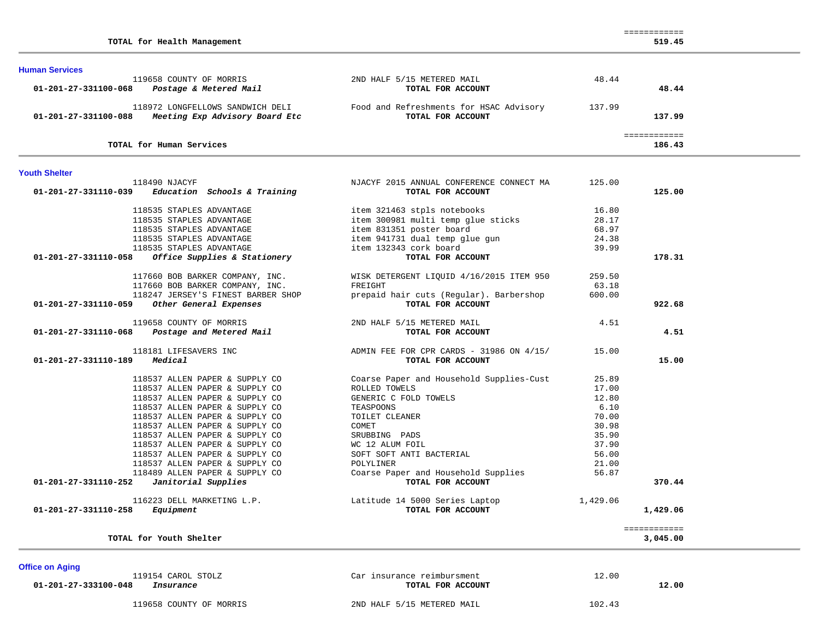|  |  |  | TOTAL for Health Management | 519.45 |  |
|--|--|--|-----------------------------|--------|--|
|--|--|--|-----------------------------|--------|--|

| <b>Human Services</b>                                                                      |                                                              |        |        |  |
|--------------------------------------------------------------------------------------------|--------------------------------------------------------------|--------|--------|--|
| 119658 COUNTY OF MORRIS                                                                    | 2ND HALF 5/15 METERED MAIL                                   | 48.44  |        |  |
| Postage & Metered Mail<br>01-201-27-331100-068                                             | TOTAL FOR ACCOUNT                                            |        | 48.44  |  |
| 118972 LONGFELLOWS SANDWICH DELI<br>Meeting Exp Advisory Board Etc<br>01-201-27-331100-088 | Food and Refreshments for HSAC Advisory<br>TOTAL FOR ACCOUNT | 137.99 | 137.99 |  |
| TOTAL for Human Services                                                                   |                                                              |        | 186.43 |  |

### **Youth Shelter**

| 118490 NJACYF<br>Education Schools & Training<br>01-201-27-331110-039 | NJACYF 2015 ANNUAL CONFERENCE CONNECT MA<br>TOTAL FOR ACCOUNT             | 125.00   | 125.00   |
|-----------------------------------------------------------------------|---------------------------------------------------------------------------|----------|----------|
| 118535 STAPLES ADVANTAGE                                              | item 321463 stpls notebooks                                               | 16.80    |          |
| 118535 STAPLES ADVANTAGE                                              | item 300981 multi temp glue sticks                                        | 28.17    |          |
| 118535 STAPLES ADVANTAGE                                              | item 831351 poster board                                                  | 68.97    |          |
| 118535 STAPLES ADVANTAGE                                              | item 941731 dual temp glue gun                                            | 24.38    |          |
| 118535 STAPLES ADVANTAGE                                              | item 132343 cork board                                                    | 39.99    |          |
| 01-201-27-331110-058<br>Office Supplies & Stationery                  | TOTAL FOR ACCOUNT                                                         |          | 178.31   |
| 117660 BOB BARKER COMPANY, INC.                                       | WISK DETERGENT LIQUID 4/16/2015 ITEM 950                                  | 259.50   |          |
| 117660 BOB BARKER COMPANY, INC.                                       | FREIGHT                                                                   | 63.18    |          |
| 118247 JERSEY'S FINEST BARBER SHOP                                    | prepaid hair cuts (Reqular). Barbershop                                   | 600.00   |          |
| 01-201-27-331110-059<br>Other General Expenses                        | TOTAL FOR ACCOUNT                                                         |          | 922.68   |
| 119658 COUNTY OF MORRIS                                               | 2ND HALF 5/15 METERED MAIL                                                | 4.51     |          |
| 01-201-27-331110-068 Postage and Metered Mail                         | TOTAL FOR ACCOUNT                                                         |          | 4.51     |
| 118181 LIFESAVERS INC                                                 | ADMIN FEE FOR CPR CARDS - 31986 ON $4/15/$                                | 15.00    |          |
| Medical<br>01-201-27-331110-189                                       | TOTAL FOR ACCOUNT                                                         |          | 15.00    |
| 118537 ALLEN PAPER & SUPPLY CO                                        | Coarse Paper and Household Supplies-Cust                                  | 25.89    |          |
| 118537 ALLEN PAPER & SUPPLY CO                                        | ROLLED TOWELS                                                             | 17.00    |          |
| 118537 ALLEN PAPER & SUPPLY CO                                        | GENERIC C FOLD TOWELS                                                     | 12.80    |          |
| 118537 ALLEN PAPER & SUPPLY CO                                        | TEASPOONS                                                                 | 6.10     |          |
| 118537 ALLEN PAPER & SUPPLY CO                                        | TOILET CLEANER                                                            | 70.00    |          |
| 118537 ALLEN PAPER & SUPPLY CO                                        | COMET                                                                     | 30.98    |          |
| 118537 ALLEN PAPER & SUPPLY CO                                        | SRUBBING PADS                                                             | 35.90    |          |
| 118537 ALLEN PAPER & SUPPLY CO                                        | WC 12 ALUM FOIL                                                           | 37.90    |          |
| 118537 ALLEN PAPER & SUPPLY CO                                        | SOFT SOFT ANTI BACTERIAL                                                  | 56.00    |          |
| 118537 ALLEN PAPER & SUPPLY CO                                        | POLYLINER                                                                 | 21.00    |          |
| 118489 ALLEN PAPER & SUPPLY CO                                        | Coarse Paper and Household Supplies                                       | 56.87    |          |
| Janitorial Supplies<br>01-201-27-331110-252                           | TOTAL FOR ACCOUNT                                                         |          | 370.44   |
|                                                                       | 116223 DELL MARKETING L.P.                 Latitude 14 5000 Series Laptop | 1,429.06 |          |
|                                                                       | TOTAL FOR ACCOUNT                                                         |          | 1,429.06 |
| Equipment<br>01-201-27-331110-258                                     |                                                                           |          |          |

# **Office on Aging**

|                      |  | 119154 CAROL STO |  |
|----------------------|--|------------------|--|
| 11-201-27-333100-048 |  | Tnsurance        |  |

119658 COUNTY OF MORRIS 2ND HALF 5/15 METERED MAIL 102.43

ILZ Car insurance reimbursment 01-201-27-333100-048 *Insurance* **The** *Insurance* **TOTAL FOR ACCOUNT**  12.00

12.00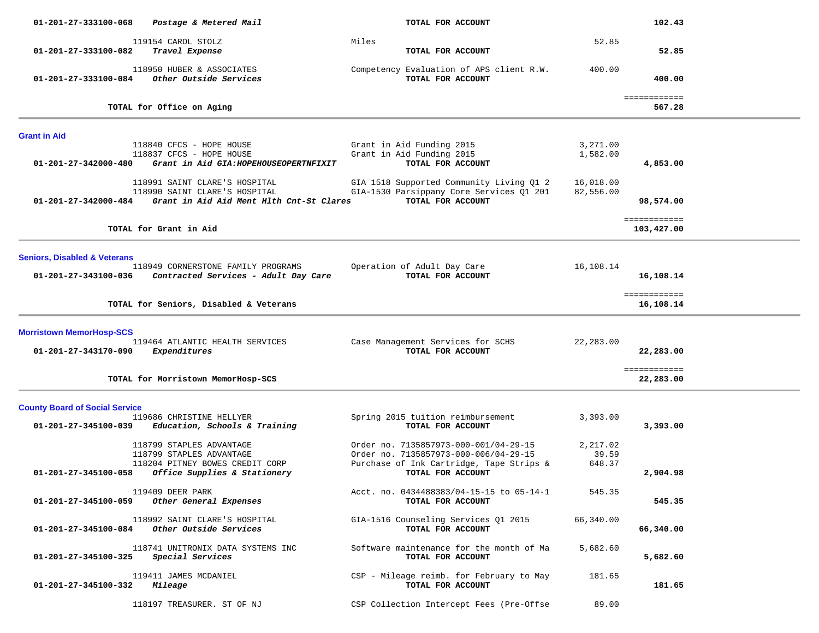| 01-201-27-333100-068                    | Postage & Metered Mail                                                                                     | TOTAL FOR ACCOUNT                                                                                         |                        | 102.43                     |  |
|-----------------------------------------|------------------------------------------------------------------------------------------------------------|-----------------------------------------------------------------------------------------------------------|------------------------|----------------------------|--|
|                                         | 119154 CAROL STOLZ                                                                                         | Miles                                                                                                     | 52.85                  |                            |  |
| 01-201-27-333100-082                    | Travel Expense                                                                                             | TOTAL FOR ACCOUNT                                                                                         |                        | 52.85                      |  |
| 01-201-27-333100-084                    | 118950 HUBER & ASSOCIATES<br>Other Outside Services                                                        | Competency Evaluation of APS client R.W.<br>TOTAL FOR ACCOUNT                                             | 400.00                 | 400.00                     |  |
|                                         | TOTAL for Office on Aging                                                                                  |                                                                                                           |                        | ============<br>567.28     |  |
|                                         |                                                                                                            |                                                                                                           |                        |                            |  |
| <b>Grant in Aid</b>                     | 118840 CFCS - HOPE HOUSE                                                                                   | Grant in Aid Funding 2015                                                                                 | 3,271.00               |                            |  |
|                                         | 118837 CFCS - HOPE HOUSE                                                                                   | Grant in Aid Funding 2015                                                                                 | 1,582.00               |                            |  |
| 01-201-27-342000-480                    | Grant in Aid GIA: HOPEHOUSEOPERTNFIXIT                                                                     | TOTAL FOR ACCOUNT                                                                                         |                        | 4,853.00                   |  |
| 01-201-27-342000-484                    | 118991 SAINT CLARE'S HOSPITAL<br>118990 SAINT CLARE'S HOSPITAL<br>Grant in Aid Aid Ment Hlth Cnt-St Clares | GIA 1518 Supported Community Living Q1 2<br>GIA-1530 Parsippany Core Services Q1 201<br>TOTAL FOR ACCOUNT | 16,018.00<br>82,556.00 | 98,574.00                  |  |
|                                         |                                                                                                            |                                                                                                           |                        |                            |  |
|                                         | TOTAL for Grant in Aid                                                                                     |                                                                                                           |                        | ============<br>103,427.00 |  |
|                                         |                                                                                                            |                                                                                                           |                        |                            |  |
| <b>Seniors, Disabled &amp; Veterans</b> |                                                                                                            |                                                                                                           |                        |                            |  |
| 01-201-27-343100-036                    | 118949 CORNERSTONE FAMILY PROGRAMS<br>Contracted Services - Adult Day Care                                 | Operation of Adult Day Care<br>TOTAL FOR ACCOUNT                                                          | 16,108.14              | 16,108.14                  |  |
|                                         |                                                                                                            |                                                                                                           |                        | ============               |  |
|                                         | TOTAL for Seniors, Disabled & Veterans                                                                     |                                                                                                           |                        | 16,108.14                  |  |
| <b>Morristown MemorHosp-SCS</b>         |                                                                                                            |                                                                                                           |                        |                            |  |
|                                         | 119464 ATLANTIC HEALTH SERVICES                                                                            | Case Management Services for SCHS                                                                         | 22,283.00              |                            |  |
| 01-201-27-343170-090                    | Expenditures                                                                                               | TOTAL FOR ACCOUNT                                                                                         |                        | 22,283.00                  |  |
|                                         |                                                                                                            |                                                                                                           |                        | ============               |  |
|                                         | TOTAL for Morristown MemorHosp-SCS                                                                         |                                                                                                           |                        | 22,283.00                  |  |
| <b>County Board of Social Service</b>   |                                                                                                            |                                                                                                           |                        |                            |  |
|                                         | 119686 CHRISTINE HELLYER                                                                                   | Spring 2015 tuition reimbursement                                                                         | 3,393.00               |                            |  |
| 01-201-27-345100-039                    | Education, Schools & Training                                                                              | TOTAL FOR ACCOUNT                                                                                         |                        | 3,393.00                   |  |
|                                         | 118799 STAPLES ADVANTAGE                                                                                   | Order no. 7135857973-000-001/04-29-15                                                                     | 2,217.02               |                            |  |
|                                         | 118799 STAPLES ADVANTAGE                                                                                   | Order no. 7135857973-000-006/04-29-15                                                                     | 39.59                  |                            |  |
| 01-201-27-345100-058                    | 118204 PITNEY BOWES CREDIT CORP<br>Office Supplies & Stationery                                            | Purchase of Ink Cartridge, Tape Strips &<br>TOTAL FOR ACCOUNT                                             | 648.37                 | 2,904.98                   |  |
|                                         |                                                                                                            |                                                                                                           |                        |                            |  |
|                                         | 119409 DEER PARK<br>01-201-27-345100-059 Other General Expenses                                            | Acct. no. 0434488383/04-15-15 to 05-14-1<br>TOTAL FOR ACCOUNT                                             | 545.35                 | 545.35                     |  |
|                                         | 118992 SAINT CLARE'S HOSPITAL<br>01-201-27-345100-084 Other Outside Services                               | GIA-1516 Counseling Services 01 2015<br>TOTAL FOR ACCOUNT                                                 | 66,340.00              | 66,340.00                  |  |
| 01-201-27-345100-325                    | 118741 UNITRONIX DATA SYSTEMS INC<br>Special Services                                                      | Software maintenance for the month of Ma<br>TOTAL FOR ACCOUNT                                             | 5,682.60               | 5,682.60                   |  |
| 01-201-27-345100-332                    | 119411 JAMES MCDANIEL                                                                                      | CSP - Mileage reimb. for February to May                                                                  | 181.65                 |                            |  |
|                                         | <i>Mileage</i>                                                                                             | TOTAL FOR ACCOUNT                                                                                         |                        | 181.65                     |  |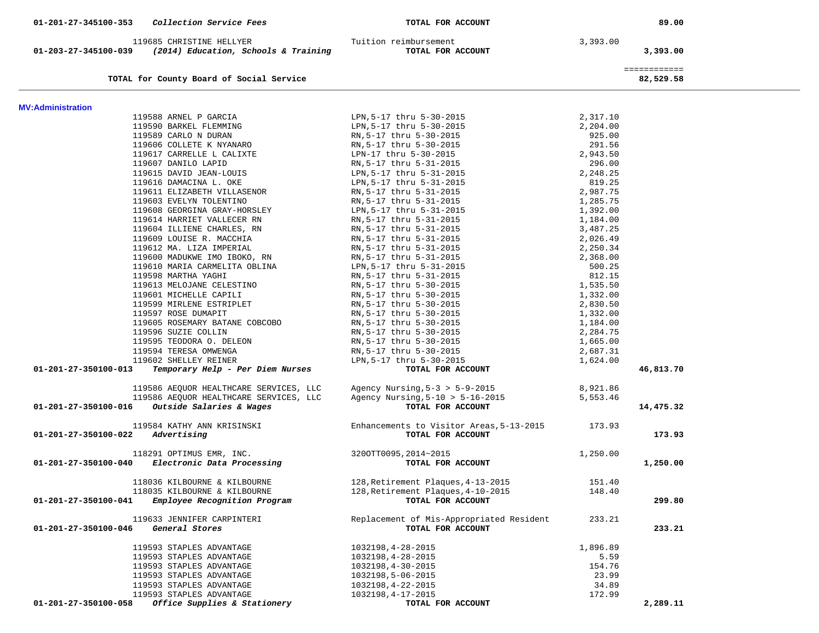| 01-201-27-345100-353                       | <i>Collection Service Fees</i>                                                        | TOTAL FOR ACCOUNT                                             |                    | 89.00                     |  |
|--------------------------------------------|---------------------------------------------------------------------------------------|---------------------------------------------------------------|--------------------|---------------------------|--|
|                                            | 119685 CHRISTINE HELLYER<br>01-203-27-345100-039 (2014) Education, Schools & Training | Tuition reimbursement<br>TOTAL FOR ACCOUNT                    | 3,393.00           | 3,393.00                  |  |
|                                            | TOTAL for County Board of Social Service                                              |                                                               |                    | ============<br>82,529.58 |  |
| <b>MV:Administration</b>                   |                                                                                       |                                                               |                    |                           |  |
|                                            | 119588 ARNEL P GARCIA                                                                 | LPN,5-17 thru 5-30-2015                                       | 2,317.10           |                           |  |
|                                            | 119590 BARKEL FLEMMING                                                                | LPN, 5-17 thru 5-30-2015                                      | 2,204.00           |                           |  |
|                                            | 119589 CARLO N DURAN                                                                  | RN, 5-17 thru 5-30-2015                                       | 925.00             |                           |  |
|                                            | 119606 COLLETE K NYANARO                                                              | RN, 5-17 thru 5-30-2015                                       | 291.56             |                           |  |
|                                            | 119617 CARRELLE L CALIXTE                                                             | LPN-17 thru 5-30-2015                                         | 2,943.50           |                           |  |
|                                            | 119607 DANILO LAPID                                                                   | RN,5-17 thru 5-31-2015                                        | 296.00             |                           |  |
|                                            | 119615 DAVID JEAN-LOUIS                                                               | LPN, 5-17 thru 5-31-2015                                      | 2,248.25           |                           |  |
|                                            | 119616 DAMACINA L. OKE                                                                | LPN, 5-17 thru 5-31-2015                                      | 819.25             |                           |  |
|                                            | 119611 ELIZABETH VILLASENOR                                                           | RN, 5-17 thru 5-31-2015                                       | 2,987.75           |                           |  |
|                                            | 119603 EVELYN TOLENTINO                                                               | RN,5-17 thru 5-31-2015                                        | 1,285.75           |                           |  |
|                                            | 119608 GEORGINA GRAY-HORSLEY                                                          | LPN,5-17 thru 5-31-2015                                       | 1,392.00           |                           |  |
|                                            | 119614 HARRIET VALLECER RN                                                            | RN,5-17 thru 5-31-2015                                        | 1,184.00           |                           |  |
|                                            | 119604 ILLIENE CHARLES, RN                                                            | RN,5-17 thru 5-31-2015                                        | 3,487.25           |                           |  |
|                                            | 119609 LOUISE R. MACCHIA                                                              | RN,5-17 thru 5-31-2015                                        | 2,026.49           |                           |  |
|                                            | 119612 MA. LIZA IMPERIAL                                                              | RN,5-17 thru 5-31-2015                                        | 2,250.34           |                           |  |
|                                            | 119600 MADUKWE IMO IBOKO, RN                                                          | RN,5-17 thru 5-31-2015                                        | 2,368.00           |                           |  |
|                                            | 119610 MARIA CARMELITA OBLINA                                                         | LPN,5-17 thru 5-31-2015                                       | 500.25             |                           |  |
|                                            | 119598 MARTHA YAGHI<br>119613 MELOJANE CELESTINO                                      | RN,5-17 thru 5-31-2015<br>RN,5-17 thru 5-30-2015              | 812.15<br>1,535.50 |                           |  |
|                                            | 119601 MICHELLE CAPILI                                                                | RN,5-17 thru 5-30-2015                                        | 1,332.00           |                           |  |
|                                            | 119599 MIRLENE ESTRIPLET                                                              | RN,5-17 thru 5-30-2015                                        | 2,830.50           |                           |  |
|                                            | 119597 ROSE DUMAPIT                                                                   | RN, 5-17 thru 5-30-2015                                       | 1,332.00           |                           |  |
|                                            | 119605 ROSEMARY BATANE COBCOBO                                                        | RN,5-17 thru 5-30-2015                                        | 1,184.00           |                           |  |
|                                            | 119596 SUZIE COLLIN                                                                   | RN, 5-17 thru 5-30-2015                                       | 2,284.75           |                           |  |
|                                            | 119595 TEODORA O. DELEON                                                              | RN,5-17 thru 5-30-2015                                        | 1,665.00           |                           |  |
|                                            | 119594 TERESA OMWENGA                                                                 | RN,5-17 thru 5-30-2015                                        | 2,687.31           |                           |  |
|                                            | 119602 SHELLEY REINER                                                                 | LPN, 5-17 thru 5-30-2015                                      | 1,624.00           |                           |  |
| 01-201-27-350100-013                       | Temporary Help - Per Diem Nurses                                                      | TOTAL FOR ACCOUNT                                             |                    | 46,813.70                 |  |
|                                            | 119586 AEQUOR HEALTHCARE SERVICES, LLC                                                | Agency Nursing, 5-3 > 5-9-2015                                | 8,921.86           |                           |  |
|                                            | 119586 AEQUOR HEALTHCARE SERVICES, LLC                                                | Agency Nursing, $5-10$ > $5-16-2015$                          | 5,553.46           |                           |  |
| 01-201-27-350100-016                       | Outside Salaries & Wages                                                              | TOTAL FOR ACCOUNT                                             |                    | 14,475.32                 |  |
|                                            | 119584 KATHY ANN KRISINSKI                                                            | Enhancements to Visitor Areas, 5-13-2015 173.93               |                    |                           |  |
| $01 - 201 - 27 - 350100 - 022$ Advertising |                                                                                       | TOTAL FOR ACCOUNT                                             |                    | 173.93                    |  |
|                                            | 118291 OPTIMUS EMR, INC.                                                              | 3200TT0095,2014~2015                                          | 1,250.00           |                           |  |
| 01-201-27-350100-040                       | Electronic Data Processing                                                            | TOTAL FOR ACCOUNT                                             |                    | 1,250.00                  |  |
|                                            | 118036 KILBOURNE & KILBOURNE                                                          | 128, Retirement Plaques, 4-13-2015                            | 151.40             |                           |  |
|                                            | 118035 KILBOURNE & KILBOURNE                                                          | 128, Retirement Plaques, 4-10-2015                            | 148.40             |                           |  |
| 01-201-27-350100-041                       | Employee Recognition Program                                                          | TOTAL FOR ACCOUNT                                             |                    | 299.80                    |  |
| 01-201-27-350100-046                       | 119633 JENNIFER CARPINTERI<br>General Stores                                          | Replacement of Mis-Appropriated Resident<br>TOTAL FOR ACCOUNT | 233.21             | 233.21                    |  |
|                                            |                                                                                       |                                                               |                    |                           |  |
|                                            | 119593 STAPLES ADVANTAGE                                                              | 1032198, 4-28-2015                                            | 1,896.89           |                           |  |
|                                            | 119593 STAPLES ADVANTAGE                                                              | 1032198, 4-28-2015                                            | 5.59               |                           |  |
|                                            | 119593 STAPLES ADVANTAGE                                                              | 1032198, 4-30-2015<br>1032198,5-06-2015                       | 154.76<br>23.99    |                           |  |
|                                            | 119593 STAPLES ADVANTAGE<br>119593 STAPLES ADVANTAGE                                  | 1032198, 4-22-2015                                            | 34.89              |                           |  |
|                                            | 119593 STAPLES ADVANTAGE                                                              | 1032198, 4-17-2015                                            | 172.99             |                           |  |
| 01-201-27-350100-058                       | Office Supplies & Stationery                                                          | TOTAL FOR ACCOUNT                                             |                    | 2,289.11                  |  |
|                                            |                                                                                       |                                                               |                    |                           |  |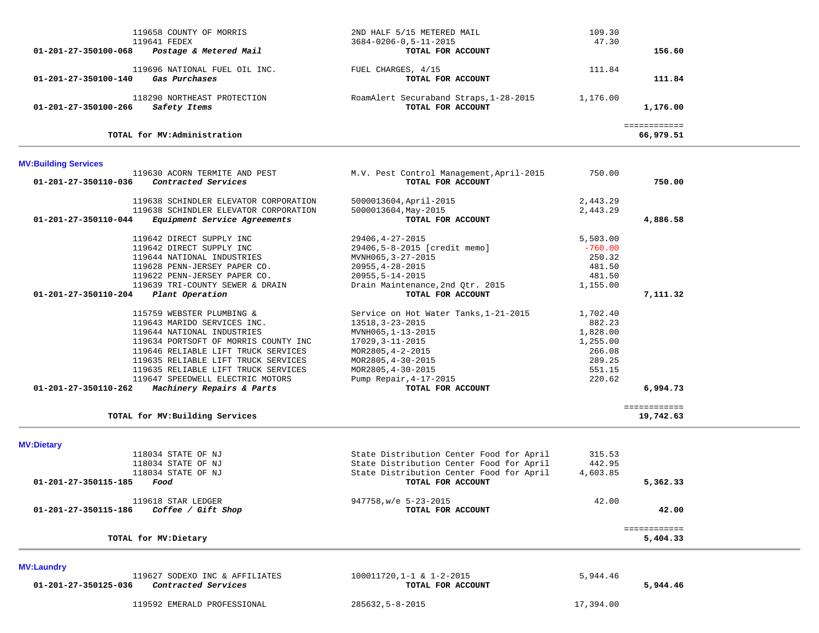| 119658 COUNTY OF MORRIS<br>119641 FEDEX<br>Postage & Metered Mail<br>01-201-27-350100-068                                                                                                                                                                                                                                                    | 2ND HALF 5/15 METERED MAIL<br>$3684 - 0206 - 0, 5 - 11 - 2015$<br>TOTAL FOR ACCOUNT                                                                                                                                   | 109.30<br>47.30                                                                    | 156.60                    |  |
|----------------------------------------------------------------------------------------------------------------------------------------------------------------------------------------------------------------------------------------------------------------------------------------------------------------------------------------------|-----------------------------------------------------------------------------------------------------------------------------------------------------------------------------------------------------------------------|------------------------------------------------------------------------------------|---------------------------|--|
| 119696 NATIONAL FUEL OIL INC.<br>Gas Purchases<br>$01 - 201 - 27 - 350100 - 140$                                                                                                                                                                                                                                                             | FUEL CHARGES, 4/15<br>TOTAL FOR ACCOUNT                                                                                                                                                                               | 111.84                                                                             | 111.84                    |  |
| 118290 NORTHEAST PROTECTION<br>01-201-27-350100-266<br>Safety Items                                                                                                                                                                                                                                                                          | RoamAlert Securaband Straps, 1-28-2015<br>TOTAL FOR ACCOUNT                                                                                                                                                           | 1,176.00                                                                           | 1,176.00                  |  |
| TOTAL for MV:Administration                                                                                                                                                                                                                                                                                                                  |                                                                                                                                                                                                                       |                                                                                    | ============<br>66,979.51 |  |
| <b>MV:Building Services</b>                                                                                                                                                                                                                                                                                                                  |                                                                                                                                                                                                                       |                                                                                    |                           |  |
| 119630 ACORN TERMITE AND PEST<br>Contracted Services<br>01-201-27-350110-036                                                                                                                                                                                                                                                                 | M.V. Pest Control Management, April-2015<br>TOTAL FOR ACCOUNT                                                                                                                                                         | 750.00                                                                             | 750.00                    |  |
| 119638 SCHINDLER ELEVATOR CORPORATION<br>119638 SCHINDLER ELEVATOR CORPORATION                                                                                                                                                                                                                                                               | 5000013604, April-2015<br>5000013604, May-2015                                                                                                                                                                        | 2,443.29<br>2,443.29                                                               |                           |  |
| 01-201-27-350110-044<br>Equipment Service Agreements                                                                                                                                                                                                                                                                                         | TOTAL FOR ACCOUNT                                                                                                                                                                                                     |                                                                                    | 4,886.58                  |  |
| 119642 DIRECT SUPPLY INC<br>119642 DIRECT SUPPLY INC<br>119644 NATIONAL INDUSTRIES<br>119628 PENN-JERSEY PAPER CO.<br>119622 PENN-JERSEY PAPER CO.<br>119639 TRI-COUNTY SEWER & DRAIN                                                                                                                                                        | $29406, 4 - 27 - 2015$<br>29406,5-8-2015 [credit memo]<br>MVNH065, 3-27-2015<br>$20955, 4 - 28 - 2015$<br>$20955, 5 - 14 - 2015$<br>Drain Maintenance, 2nd Qtr. 2015                                                  | 5,503.00<br>$-760.00$<br>250.32<br>481.50<br>481.50<br>1,155.00                    |                           |  |
| 01-201-27-350110-204<br>Plant Operation                                                                                                                                                                                                                                                                                                      | TOTAL FOR ACCOUNT                                                                                                                                                                                                     |                                                                                    | 7,111.32                  |  |
| 115759 WEBSTER PLUMBING &<br>119643 MARIDO SERVICES INC.<br>119644 NATIONAL INDUSTRIES<br>119634 PORTSOFT OF MORRIS COUNTY INC<br>119646 RELIABLE LIFT TRUCK SERVICES<br>119635 RELIABLE LIFT TRUCK SERVICES<br>119635 RELIABLE LIFT TRUCK SERVICES<br>119647 SPEEDWELL ELECTRIC MOTORS<br>01-201-27-350110-262<br>Machinery Repairs & Parts | Service on Hot Water Tanks, 1-21-2015<br>13518, 3-23-2015<br>MVNH065, 1-13-2015<br>17029, 3-11-2015<br>MOR2805, 4-2-2015<br>MOR2805, 4-30-2015<br>MOR2805, 4-30-2015<br>Pump Repair, $4-17-2015$<br>TOTAL FOR ACCOUNT | 1,702.40<br>882.23<br>1,828.00<br>1,255.00<br>266.08<br>289.25<br>551.15<br>220.62 | 6,994.73                  |  |
| TOTAL for MV: Building Services                                                                                                                                                                                                                                                                                                              |                                                                                                                                                                                                                       |                                                                                    | ============<br>19,742.63 |  |
|                                                                                                                                                                                                                                                                                                                                              |                                                                                                                                                                                                                       |                                                                                    |                           |  |
| <b>MV:Dietary</b><br>118034 STATE OF NJ<br>118034 STATE OF NJ<br>118034 STATE OF NJ<br>01-201-27-350115-185<br>Food                                                                                                                                                                                                                          | State Distribution Center Food for April<br>State Distribution Center Food for April<br>State Distribution Center Food for April<br>TOTAL FOR ACCOUNT                                                                 | 315.53<br>442.95<br>4,603.85                                                       | 5,362.33                  |  |
| 119618 STAR LEDGER<br>Coffee / Gift Shop<br>01-201-27-350115-186                                                                                                                                                                                                                                                                             | 947758, w/e 5-23-2015<br>TOTAL FOR ACCOUNT                                                                                                                                                                            | 42.00                                                                              | 42.00                     |  |
| TOTAL for MV: Dietary                                                                                                                                                                                                                                                                                                                        |                                                                                                                                                                                                                       |                                                                                    | ============<br>5,404.33  |  |
|                                                                                                                                                                                                                                                                                                                                              |                                                                                                                                                                                                                       |                                                                                    |                           |  |
| <b>MV:Laundry</b><br>119627 SODEXO INC & AFFILIATES<br>01-201-27-350125-036<br>Contracted Services                                                                                                                                                                                                                                           | 100011720, 1-1 & 1-2-2015<br>TOTAL FOR ACCOUNT                                                                                                                                                                        | 5,944.46                                                                           | 5,944.46                  |  |
| 119592 EMERALD PROFESSIONAL                                                                                                                                                                                                                                                                                                                  | 285632,5-8-2015                                                                                                                                                                                                       | 17,394.00                                                                          |                           |  |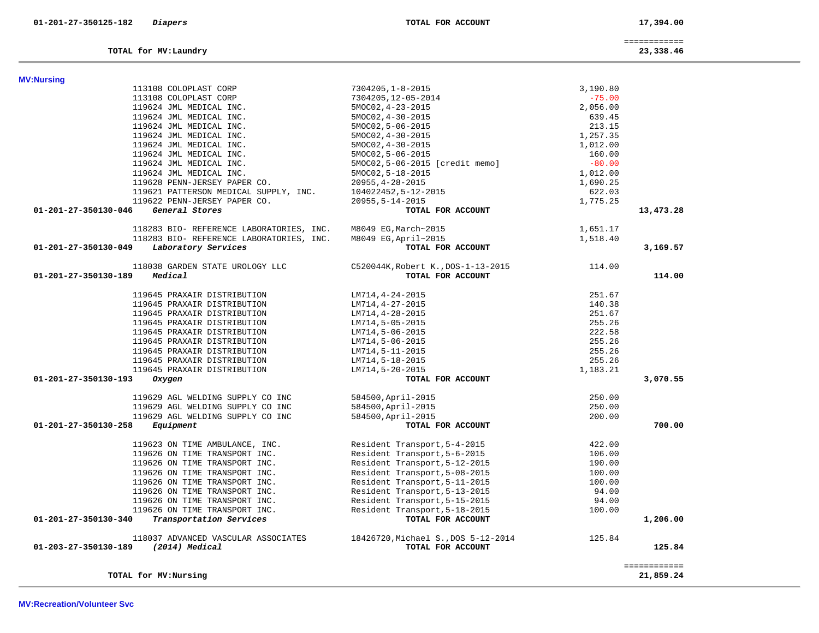| <b>MV:Nursing</b>                                                             |                                                          |          |              |
|-------------------------------------------------------------------------------|----------------------------------------------------------|----------|--------------|
| 113108 COLOPLAST CORP                                                         | 7304205, 1-8-2015                                        | 3,190.80 |              |
| 113108 COLOPLAST CORP                                                         | 7304205,12-05-2014                                       | $-75.00$ |              |
| 119624 JML MEDICAL INC.                                                       | 5MOC02, 4-23-2015                                        | 2,056.00 |              |
| 119624 JML MEDICAL INC.                                                       | $5MOCO2, 4-30-2015$                                      | 639.45   |              |
| 119624 JML MEDICAL INC.                                                       | 5MOC02, 5-06-2015                                        | 213.15   |              |
| 119624 JML MEDICAL INC.                                                       | $5MOCO2, 4-30-2015$                                      | 1,257.35 |              |
| 119624 JML MEDICAL INC.                                                       | $5MOCO2, 4-30-2015$                                      | 1,012.00 |              |
| 119624 JML MEDICAL INC.                                                       | 5MOC02, 5-06-2015                                        | 160.00   |              |
| 119624 JML MEDICAL INC.                                                       | 5MOC02,5-06-2015 [credit memo]                           | $-80.00$ |              |
| 119624 JML MEDICAL INC.                                                       | 5MOC02, 5-18-2015                                        | 1,012.00 |              |
| 119628 PENN-JERSEY PAPER CO.                                                  | $20955, 4 - 28 - 2015$                                   | 1,690.25 |              |
| 119621 PATTERSON MEDICAL SUPPLY, INC.                                         | 104022452,5-12-2015                                      | 622.03   |              |
| 119622 PENN-JERSEY PAPER CO.                                                  | $20955, 5 - 14 - 2015$                                   | 1,775.25 |              |
| 01-201-27-350130-046<br>General Stores                                        | TOTAL FOR ACCOUNT                                        |          | 13,473.28    |
|                                                                               |                                                          |          |              |
| 118283 BIO- REFERENCE LABORATORIES, INC.                                      | M8049 EG, March~2015                                     | 1,651.17 |              |
| 118283 BIO- REFERENCE LABORATORIES, INC.                                      | M8049 EG, April~2015                                     | 1,518.40 |              |
| 01-201-27-350130-049<br>Laboratory Services                                   | TOTAL FOR ACCOUNT                                        |          | 3,169.57     |
| 118038 GARDEN STATE UROLOGY LLC                                               | C520044K, Robert K., DOS-1-13-2015                       | 114.00   |              |
| 01-201-27-350130-189<br>Medical                                               | TOTAL FOR ACCOUNT                                        |          | 114.00       |
|                                                                               |                                                          |          |              |
| 119645 PRAXAIR DISTRIBUTION                                                   | LM714,4-24-2015                                          | 251.67   |              |
| 119645 PRAXAIR DISTRIBUTION                                                   | LM714, 4-27-2015                                         | 140.38   |              |
| 119645 PRAXAIR DISTRIBUTION                                                   | LM714,4-28-2015                                          | 251.67   |              |
| 119645 PRAXAIR DISTRIBUTION                                                   | LM714,5-05-2015                                          | 255.26   |              |
| 119645 PRAXAIR DISTRIBUTION                                                   | LM714,5-06-2015                                          | 222.58   |              |
| 119645 PRAXAIR DISTRIBUTION                                                   | LM714,5-06-2015                                          | 255.26   |              |
| 119645 PRAXAIR DISTRIBUTION                                                   | LM714,5-11-2015                                          | 255.26   |              |
| 119645 PRAXAIR DISTRIBUTION                                                   | LM714,5-18-2015                                          | 255.26   |              |
| 119645 PRAXAIR DISTRIBUTION                                                   | LM714,5-20-2015                                          | 1,183.21 |              |
| 01-201-27-350130-193<br>Oxygen                                                | TOTAL FOR ACCOUNT                                        |          | 3,070.55     |
| 119629 AGL WELDING SUPPLY CO INC                                              | 584500, April-2015                                       | 250.00   |              |
| 119629 AGL WELDING SUPPLY CO INC                                              | 584500, April-2015                                       | 250.00   |              |
| 119629 AGL WELDING SUPPLY CO INC                                              | 584500, April-2015                                       | 200.00   |              |
| 01-201-27-350130-258<br>Equipment                                             | TOTAL FOR ACCOUNT                                        |          | 700.00       |
| 119623 ON TIME AMBULANCE, INC.                                                | Resident Transport, 5-4-2015                             | 422.00   |              |
| 119626 ON TIME TRANSPORT INC.                                                 | Resident Transport, 5-6-2015                             | 106.00   |              |
| 119626 ON TIME TRANSPORT INC.                                                 | Resident Transport, 5-12-2015                            | 190.00   |              |
| 119626 ON TIME TRANSPORT INC.                                                 | Resident Transport, 5-08-2015                            | 100.00   |              |
| 119626 ON TIME TRANSPORT INC.                                                 | Resident Transport, 5-11-2015                            | 100.00   |              |
| 119626 ON TIME TRANSPORT INC.                                                 | Resident Transport, 5-13-2015                            | 94.00    |              |
| 119626 ON TIME TRANSPORT INC.                                                 | Resident Transport, 5-15-2015                            | 94.00    |              |
| 119626 ON TIME TRANSPORT INC.                                                 | Resident Transport, 5-18-2015                            | 100.00   |              |
| Transportation Services<br>01-201-27-350130-340                               | TOTAL FOR ACCOUNT                                        |          | 1,206.00     |
|                                                                               |                                                          |          |              |
| 118037 ADVANCED VASCULAR ASSOCIATES<br>(2014) Medical<br>01-203-27-350130-189 | 18426720, Michael S., DOS 5-12-2014<br>TOTAL FOR ACCOUNT | 125.84   | 125.84       |
|                                                                               |                                                          |          |              |
|                                                                               |                                                          |          | ============ |
| TOTAL for MV: Nursing                                                         |                                                          |          | 21,859.24    |

============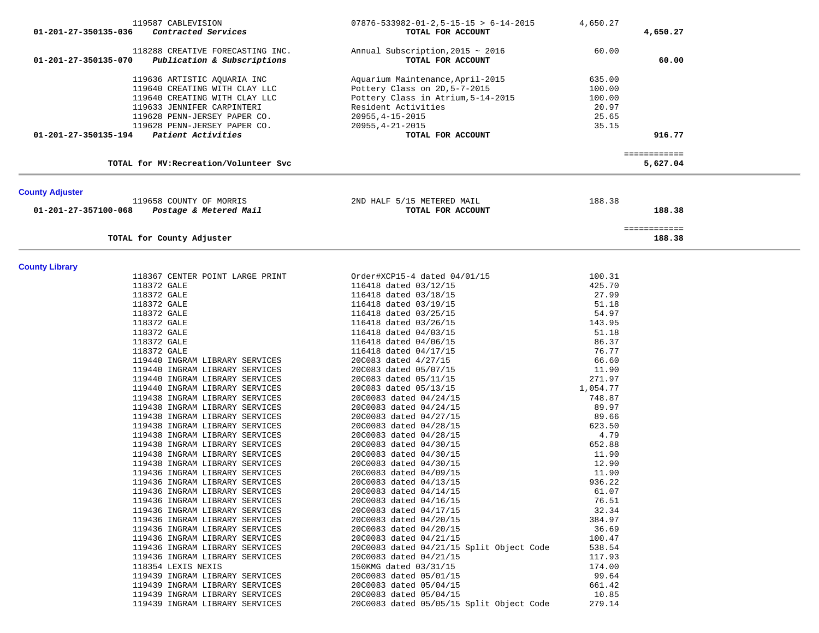|                                                   | 119587 CABLEVISION                                               | $07876 - 533982 - 01 - 2, 5 - 15 - 15 > 6 - 14 - 2015$     | 4,650.27       |                          |  |
|---------------------------------------------------|------------------------------------------------------------------|------------------------------------------------------------|----------------|--------------------------|--|
| 01-201-27-350135-036                              | Contracted Services                                              | TOTAL FOR ACCOUNT                                          |                | 4,650.27                 |  |
| 01-201-27-350135-070                              | 118288 CREATIVE FORECASTING INC.<br>Publication & Subscriptions  | Annual Subscription, $2015 \sim 2016$<br>TOTAL FOR ACCOUNT | 60.00          | 60.00                    |  |
|                                                   | 119636 ARTISTIC AQUARIA INC                                      | Aquarium Maintenance, April-2015                           | 635.00         |                          |  |
|                                                   | 119640 CREATING WITH CLAY LLC                                    | Pottery Class on 2D, 5-7-2015                              | 100.00         |                          |  |
|                                                   | 119640 CREATING WITH CLAY LLC                                    | Pottery Class in Atrium, 5-14-2015                         | 100.00         |                          |  |
|                                                   | 119633 JENNIFER CARPINTERI                                       | Resident Activities                                        | 20.97          |                          |  |
|                                                   | 119628 PENN-JERSEY PAPER CO.                                     | $20955, 4 - 15 - 2015$                                     | 25.65          |                          |  |
|                                                   | 119628 PENN-JERSEY PAPER CO.                                     | $20955, 4 - 21 - 2015$                                     | 35.15          |                          |  |
| $01 - 201 - 27 - 350135 - 194$ Patient Activities |                                                                  | TOTAL FOR ACCOUNT                                          |                | 916.77                   |  |
|                                                   | TOTAL for MV: Recreation/Volunteer Svc                           |                                                            |                | ============<br>5,627.04 |  |
|                                                   |                                                                  |                                                            |                |                          |  |
| <b>County Adjuster</b>                            | 119658 COUNTY OF MORRIS                                          | 2ND HALF 5/15 METERED MAIL                                 | 188.38         |                          |  |
| 01-201-27-357100-068                              | Postage & Metered Mail                                           | TOTAL FOR ACCOUNT                                          |                | 188.38                   |  |
|                                                   | TOTAL for County Adjuster                                        |                                                            |                | ============<br>188.38   |  |
|                                                   |                                                                  |                                                            |                |                          |  |
| <b>County Library</b>                             |                                                                  |                                                            |                |                          |  |
|                                                   | 118367 CENTER POINT LARGE PRINT                                  | Order#XCP15-4 dated 04/01/15                               | 100.31         |                          |  |
|                                                   | 118372 GALE                                                      | 116418 dated 03/12/15                                      | 425.70         |                          |  |
|                                                   | 118372 GALE                                                      | 116418 dated 03/18/15                                      | 27.99          |                          |  |
|                                                   | 118372 GALE                                                      | 116418 dated 03/19/15                                      | 51.18          |                          |  |
|                                                   | 118372 GALE                                                      | 116418 dated 03/25/15                                      | 54.97          |                          |  |
|                                                   | 118372 GALE                                                      | 116418 dated 03/26/15                                      | 143.95         |                          |  |
|                                                   | 118372 GALE                                                      | 116418 dated 04/03/15                                      | 51.18          |                          |  |
|                                                   | 118372 GALE                                                      | 116418 dated 04/06/15                                      | 86.37          |                          |  |
|                                                   | 118372 GALE                                                      | 116418 dated 04/17/15                                      | 76.77          |                          |  |
|                                                   | 119440 INGRAM LIBRARY SERVICES                                   | 20C083 dated 4/27/15                                       | 66.60          |                          |  |
|                                                   | 119440 INGRAM LIBRARY SERVICES                                   | 20C083 dated 05/07/15                                      | 11.90          |                          |  |
|                                                   | 119440 INGRAM LIBRARY SERVICES                                   | 20C083 dated 05/11/15                                      | 271.97         |                          |  |
|                                                   | 119440 INGRAM LIBRARY SERVICES                                   | 20C083 dated 05/13/15                                      | 1,054.77       |                          |  |
|                                                   | 119438 INGRAM LIBRARY SERVICES                                   | 20C0083 dated 04/24/15                                     | 748.87         |                          |  |
|                                                   | 119438 INGRAM LIBRARY SERVICES                                   | 20C0083 dated 04/24/15                                     | 89.97          |                          |  |
|                                                   | 119438 INGRAM LIBRARY SERVICES                                   | 20C0083 dated 04/27/15                                     | 89.66          |                          |  |
|                                                   | 119438 INGRAM LIBRARY SERVICES                                   | 20C0083 dated 04/28/15                                     | 623.50         |                          |  |
|                                                   | 119438 INGRAM LIBRARY SERVICES                                   | 20C0083 dated 04/28/15                                     | 4.79           |                          |  |
|                                                   | 119438 INGRAM LIBRARY SERVICES                                   | 20C0083 dated 04/30/15                                     | 652.88         |                          |  |
|                                                   | 119438 INGRAM LIBRARY SERVICES                                   | 20C0083 dated 04/30/15                                     | 11.90          |                          |  |
|                                                   | 119438 INGRAM LIBRARY SERVICES                                   | 20C0083 dated 04/30/15                                     | 12.90          |                          |  |
|                                                   | 119436 INGRAM LIBRARY SERVICES                                   | 20C0083 dated 04/09/15                                     | 11.90          |                          |  |
|                                                   | 119436 INGRAM LIBRARY SERVICES                                   | 20C0083 dated 04/13/15                                     | 936.22         |                          |  |
|                                                   | 119436 INGRAM LIBRARY SERVICES<br>119436 INGRAM LIBRARY SERVICES | 20C0083 dated 04/14/15                                     | 61.07<br>76.51 |                          |  |
|                                                   | 119436 INGRAM LIBRARY SERVICES                                   | 20C0083 dated 04/16/15                                     | 32.34          |                          |  |
|                                                   | 119436 INGRAM LIBRARY SERVICES                                   | 20C0083 dated 04/17/15<br>20C0083 dated 04/20/15           | 384.97         |                          |  |
|                                                   | 119436 INGRAM LIBRARY SERVICES                                   | 20C0083 dated 04/20/15                                     | 36.69          |                          |  |
|                                                   | 119436 INGRAM LIBRARY SERVICES                                   | 20C0083 dated 04/21/15                                     | 100.47         |                          |  |
|                                                   | 119436 INGRAM LIBRARY SERVICES                                   | 20C0083 dated 04/21/15 Split Object Code                   | 538.54         |                          |  |
|                                                   | 119436 INGRAM LIBRARY SERVICES                                   | 20C0083 dated 04/21/15                                     | 117.93         |                          |  |
|                                                   | 118354 LEXIS NEXIS                                               | 150KMG dated 03/31/15                                      | 174.00         |                          |  |
|                                                   | 119439 INGRAM LIBRARY SERVICES                                   | 20C0083 dated 05/01/15                                     | 99.64          |                          |  |
|                                                   | 119439 INGRAM LIBRARY SERVICES                                   | 20C0083 dated 05/04/15                                     | 661.42         |                          |  |
|                                                   | 119439 INGRAM LIBRARY SERVICES                                   | 20C0083 dated 05/04/15                                     | 10.85          |                          |  |
|                                                   | 119439 INGRAM LIBRARY SERVICES                                   | 20C0083 dated 05/05/15 Split Object Code                   | 279.14         |                          |  |
|                                                   |                                                                  |                                                            |                |                          |  |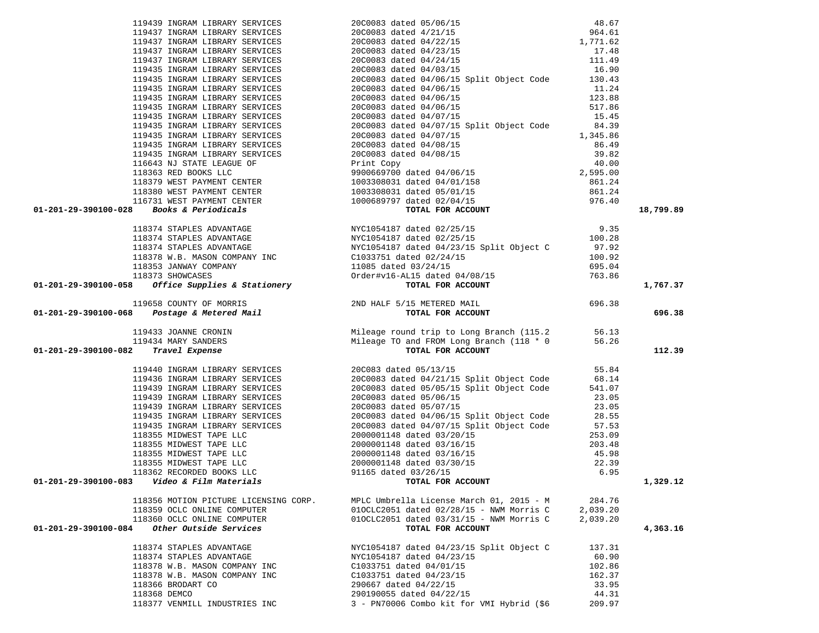|                                                                                                                                                                                                                                               |                                                                       |                 | 18,799.89 |
|-----------------------------------------------------------------------------------------------------------------------------------------------------------------------------------------------------------------------------------------------|-----------------------------------------------------------------------|-----------------|-----------|
| 119437 INGRAM LIBRARY SERVICES<br>19437 INGRAM LIBRARY SERVICES<br>19437 INGRAM LIBRARY SERVICES<br>1964, 61<br>19437 INGRAM LIBRARY SERVICES<br>1976 INGRAM LIBRARY SERVICES<br>1976 INGRAM LIBRARY SERVICES<br>200093 dated 04/23/15<br>197 |                                                                       |                 |           |
|                                                                                                                                                                                                                                               |                                                                       |                 |           |
|                                                                                                                                                                                                                                               |                                                                       |                 |           |
|                                                                                                                                                                                                                                               |                                                                       |                 |           |
|                                                                                                                                                                                                                                               |                                                                       |                 |           |
|                                                                                                                                                                                                                                               |                                                                       |                 |           |
|                                                                                                                                                                                                                                               |                                                                       |                 |           |
|                                                                                                                                                                                                                                               |                                                                       |                 | 1,767.37  |
|                                                                                                                                                                                                                                               |                                                                       |                 |           |
|                                                                                                                                                                                                                                               |                                                                       |                 |           |
|                                                                                                                                                                                                                                               |                                                                       |                 | 696.38    |
|                                                                                                                                                                                                                                               |                                                                       |                 |           |
|                                                                                                                                                                                                                                               |                                                                       |                 |           |
|                                                                                                                                                                                                                                               |                                                                       |                 |           |
|                                                                                                                                                                                                                                               |                                                                       |                 | 112.39    |
|                                                                                                                                                                                                                                               |                                                                       |                 |           |
|                                                                                                                                                                                                                                               |                                                                       |                 |           |
|                                                                                                                                                                                                                                               |                                                                       |                 |           |
|                                                                                                                                                                                                                                               |                                                                       |                 |           |
|                                                                                                                                                                                                                                               |                                                                       |                 |           |
|                                                                                                                                                                                                                                               |                                                                       |                 |           |
|                                                                                                                                                                                                                                               |                                                                       |                 |           |
|                                                                                                                                                                                                                                               |                                                                       |                 |           |
|                                                                                                                                                                                                                                               |                                                                       |                 |           |
|                                                                                                                                                                                                                                               |                                                                       |                 |           |
|                                                                                                                                                                                                                                               |                                                                       |                 |           |
|                                                                                                                                                                                                                                               |                                                                       |                 |           |
|                                                                                                                                                                                                                                               |                                                                       |                 |           |
|                                                                                                                                                                                                                                               |                                                                       |                 |           |
| $01-201-29-390100-083$ Video & Film Materials $0.201-201-29-390100-083$                                                                                                                                                                       |                                                                       |                 | 1,329.12  |
| 01-201-29-390100-058 Office Supplies & Stationery<br>101-201-29-390100-058 CONNT OF NORRIS<br>01-201-29-390100-068 Postage & Metered Mail<br>101953 JOANNE CRONNT (118.2 1991)<br>119433 JOANNE CRONNT (118.2 1991)<br>119433 JOANNE CR       |                                                                       |                 |           |
| 118356 MOTION PICTURE LICENSING CORP.                                                                                                                                                                                                         | MPLC Umbrella License March 01, 2015 - M                              | 284.76          |           |
| 118359 OCLC ONLINE COMPUTER                                                                                                                                                                                                                   | 010CLC2051 dated 02/28/15 - NWM Morris C                              | 2,039.20        |           |
| 118360 OCLC ONLINE COMPUTER                                                                                                                                                                                                                   | $010CLC2051$ dated $03/31/15$ - NWM Morris C                          | 2,039.20        |           |
| Other Outside Services<br>01-201-29-390100-084                                                                                                                                                                                                | TOTAL FOR ACCOUNT                                                     |                 | 4,363.16  |
|                                                                                                                                                                                                                                               |                                                                       |                 |           |
| 118374 STAPLES ADVANTAGE                                                                                                                                                                                                                      | NYC1054187 dated 04/23/15 Split Object C                              | 137.31          |           |
| 118374 STAPLES ADVANTAGE                                                                                                                                                                                                                      | NYC1054187 dated 04/23/15                                             | 60.90           |           |
| 118378 W.B. MASON COMPANY INC                                                                                                                                                                                                                 | C1033751 dated 04/01/15                                               | 102.86          |           |
| 118378 W.B. MASON COMPANY INC                                                                                                                                                                                                                 | C1033751 dated 04/23/15                                               | 162.37          |           |
| 118366 BRODART CO                                                                                                                                                                                                                             | 290667 dated 04/22/15                                                 | 33.95           |           |
| 118368 DEMCO<br>118377 VENMILL INDUSTRIES INC                                                                                                                                                                                                 | 290190055 dated 04/22/15<br>3 - PN70006 Combo kit for VMI Hybrid (\$6 | 44.31<br>209.97 |           |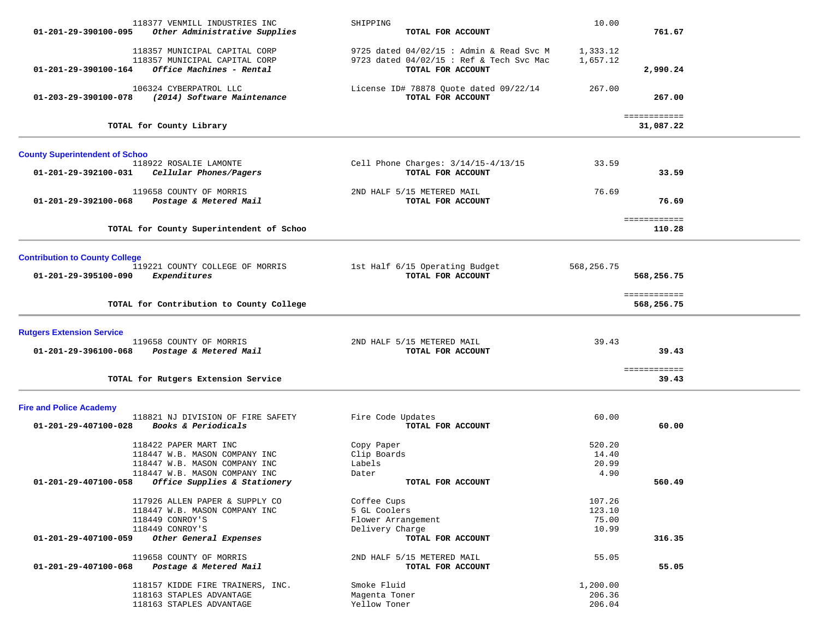|                                       | 118377 VENMILL INDUSTRIES INC            | SHIPPING                                   | 10.00      |                            |  |
|---------------------------------------|------------------------------------------|--------------------------------------------|------------|----------------------------|--|
| 01-201-29-390100-095                  | Other Administrative Supplies            | TOTAL FOR ACCOUNT                          |            | 761.67                     |  |
|                                       | 118357 MUNICIPAL CAPITAL CORP            | 9725 dated $04/02/15$ : Admin & Read Svc M | 1,333.12   |                            |  |
|                                       | 118357 MUNICIPAL CAPITAL CORP            | 9723 dated 04/02/15 : Ref & Tech Svc Mac   | 1,657.12   |                            |  |
| 01-201-29-390100-164                  | Office Machines - Rental                 | TOTAL FOR ACCOUNT                          |            | 2,990.24                   |  |
|                                       | 106324 CYBERPATROL LLC                   | License ID# 78878 Quote dated 09/22/14     | 267.00     |                            |  |
| 01-203-29-390100-078                  | (2014) Software Maintenance              | TOTAL FOR ACCOUNT                          |            | 267.00                     |  |
|                                       |                                          |                                            |            | ============               |  |
|                                       | TOTAL for County Library                 |                                            |            | 31,087.22                  |  |
| <b>County Superintendent of Schoo</b> |                                          |                                            |            |                            |  |
|                                       | 118922 ROSALIE LAMONTE                   | Cell Phone Charges: $3/14/15-4/13/15$      | 33.59      |                            |  |
| 01-201-29-392100-031                  | Cellular Phones/Pagers                   | TOTAL FOR ACCOUNT                          |            | 33.59                      |  |
|                                       | 119658 COUNTY OF MORRIS                  | 2ND HALF 5/15 METERED MAIL                 | 76.69      |                            |  |
| 01-201-29-392100-068                  | Postage & Metered Mail                   | TOTAL FOR ACCOUNT                          |            | 76.69                      |  |
|                                       |                                          |                                            |            | ============               |  |
|                                       | TOTAL for County Superintendent of Schoo |                                            |            | 110.28                     |  |
|                                       |                                          |                                            |            |                            |  |
| <b>Contribution to County College</b> | 119221 COUNTY COLLEGE OF MORRIS          | 1st Half 6/15 Operating Budget             | 568,256.75 |                            |  |
| 01-201-29-395100-090                  | Expenditures                             | TOTAL FOR ACCOUNT                          |            | 568,256.75                 |  |
|                                       |                                          |                                            |            |                            |  |
|                                       | TOTAL for Contribution to County College |                                            |            | ============<br>568,256.75 |  |
|                                       |                                          |                                            |            |                            |  |
| <b>Rutgers Extension Service</b>      |                                          |                                            |            |                            |  |
|                                       | 119658 COUNTY OF MORRIS                  | 2ND HALF 5/15 METERED MAIL                 | 39.43      |                            |  |
| 01-201-29-396100-068                  | Postage & Metered Mail                   | TOTAL FOR ACCOUNT                          |            | 39.43                      |  |
|                                       |                                          |                                            |            | ============               |  |
|                                       | TOTAL for Rutgers Extension Service      |                                            |            | 39.43                      |  |
| <b>Fire and Police Academy</b>        |                                          |                                            |            |                            |  |
|                                       | 118821 NJ DIVISION OF FIRE SAFETY        | Fire Code Updates                          | 60.00      |                            |  |
| 01-201-29-407100-028                  | Books & Periodicals                      | TOTAL FOR ACCOUNT                          |            | 60.00                      |  |
|                                       | 118422 PAPER MART INC                    | Copy Paper                                 | 520.20     |                            |  |
|                                       | 118447 W.B. MASON COMPANY INC            | Clip Boards                                | 14.40      |                            |  |
|                                       | 118447 W.B. MASON COMPANY INC            | Labels                                     | 20.99      |                            |  |
|                                       | 118447 W.B. MASON COMPANY INC            | Dater                                      | 4.90       |                            |  |
| 01-201-29-407100-058                  | Office Supplies & Stationery             | TOTAL FOR ACCOUNT                          |            | 560.49                     |  |
|                                       | 117926 ALLEN PAPER & SUPPLY CO           | Coffee Cups                                | 107.26     |                            |  |
|                                       | 118447 W.B. MASON COMPANY INC            | 5 GL Coolers                               | 123.10     |                            |  |
|                                       | 118449 CONROY'S                          | Flower Arrangement                         | 75.00      |                            |  |
|                                       | 118449 CONROY'S                          | Delivery Charge                            | 10.99      |                            |  |
| 01-201-29-407100-059                  | Other General Expenses                   | TOTAL FOR ACCOUNT                          |            | 316.35                     |  |
|                                       | 119658 COUNTY OF MORRIS                  | 2ND HALF 5/15 METERED MAIL                 | 55.05      |                            |  |
| 01-201-29-407100-068                  | Postage & Metered Mail                   | TOTAL FOR ACCOUNT                          |            | 55.05                      |  |
|                                       | 118157 KIDDE FIRE TRAINERS, INC.         | Smoke Fluid                                | 1,200.00   |                            |  |
|                                       | 118163 STAPLES ADVANTAGE                 | Magenta Toner                              | 206.36     |                            |  |
|                                       | 118163 STAPLES ADVANTAGE                 | Yellow Toner                               | 206.04     |                            |  |
|                                       |                                          |                                            |            |                            |  |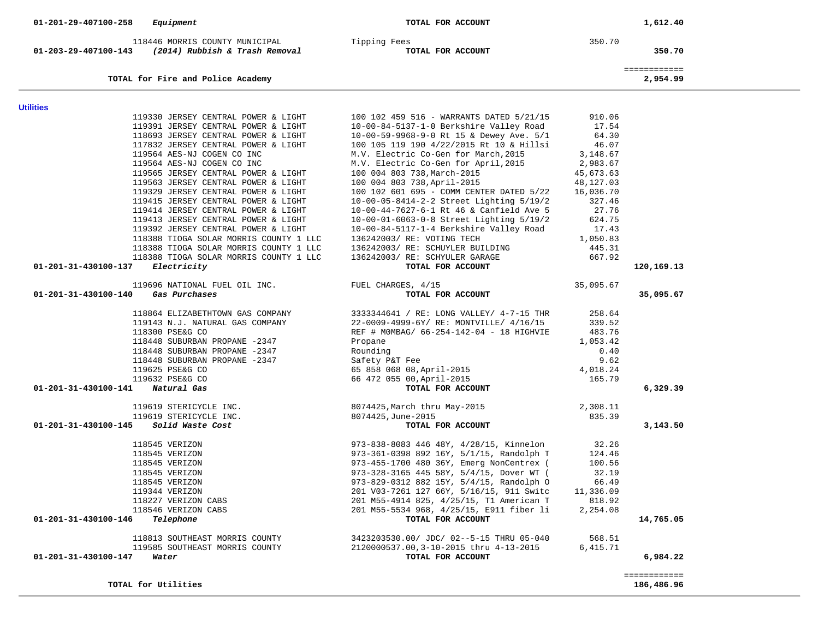| 118446 MORRIS COUNTY MUNICIPAL<br>$01 - 203 - 29 - 407100 - 143$ (2014) Rubbish & Trash Removal | Tipping Fees<br>TOTAL FOR ACCOUNT                  | 350.70    | 350.70                     |
|-------------------------------------------------------------------------------------------------|----------------------------------------------------|-----------|----------------------------|
| TOTAL for Fire and Police Academy                                                               |                                                    |           | ============<br>2,954.99   |
|                                                                                                 |                                                    |           |                            |
| <b>Utilities</b><br>119330 JERSEY CENTRAL POWER & LIGHT                                         | 100 102 459 516 - WARRANTS DATED 5/21/15           | 910.06    |                            |
| 119391 JERSEY CENTRAL POWER & LIGHT                                                             | 10-00-84-5137-1-0 Berkshire Valley Road            | 17.54     |                            |
| 118693 JERSEY CENTRAL POWER & LIGHT                                                             | 10-00-59-9968-9-0 Rt 15 & Dewey Ave. 5/1           | 64.30     |                            |
| 117832 JERSEY CENTRAL POWER & LIGHT                                                             | 100 105 119 190 4/22/2015 Rt 10 & Hillsi           | 46.07     |                            |
| 119564 AES-NJ COGEN CO INC                                                                      | M.V. Electric Co-Gen for March, 2015               | 3,148.67  |                            |
| 119564 AES-NJ COGEN CO INC                                                                      | M.V. Electric Co-Gen for April, 2015               | 2,983.67  |                            |
| 119565 JERSEY CENTRAL POWER & LIGHT                                                             | 100 004 803 738, March-2015                        | 45,673.63 |                            |
| 119563 JERSEY CENTRAL POWER & LIGHT                                                             | 100 004 803 738, April-2015                        | 48,127.03 |                            |
| 119329 JERSEY CENTRAL POWER & LIGHT                                                             | 100 102 601 695 - COMM CENTER DATED 5/22           | 16,036.70 |                            |
| 119415 JERSEY CENTRAL POWER & LIGHT                                                             | 10-00-05-8414-2-2 Street Lighting 5/19/2           | 327.46    |                            |
| 119414 JERSEY CENTRAL POWER & LIGHT                                                             | 10-00-44-7627-6-1 Rt 46 & Canfield Ave 5           | 27.76     |                            |
| 119413 JERSEY CENTRAL POWER & LIGHT                                                             | 10-00-01-6063-0-8 Street Lighting 5/19/2           | 624.75    |                            |
| 119392 JERSEY CENTRAL POWER & LIGHT                                                             | 10-00-84-5117-1-4 Berkshire Valley Road            | 17.43     |                            |
| 118388 TIOGA SOLAR MORRIS COUNTY 1 LLC                                                          | 136242003/ RE: VOTING TECH                         | 1,050.83  |                            |
| 118388 TIOGA SOLAR MORRIS COUNTY 1 LLC                                                          | 136242003/ RE: SCHUYLER BUILDING                   | 445.31    |                            |
| 118388 TIOGA SOLAR MORRIS COUNTY 1 LLC                                                          | 136242003/ RE: SCHYULER GARAGE                     | 667.92    |                            |
| 01-201-31-430100-137<br>Electricity                                                             | TOTAL FOR ACCOUNT                                  |           | 120,169.13                 |
|                                                                                                 |                                                    |           |                            |
| 119696 NATIONAL FUEL OIL INC.                                                                   | FUEL CHARGES, 4/15                                 | 35,095.67 |                            |
| 01-201-31-430100-140<br>Gas Purchases                                                           | TOTAL FOR ACCOUNT                                  |           | 35,095.67                  |
| 118864 ELIZABETHTOWN GAS COMPANY                                                                | 3333344641 / RE: LONG VALLEY/ 4-7-15 THR           | 258.64    |                            |
| 119143 N.J. NATURAL GAS COMPANY                                                                 | 22-0009-4999-6Y/ RE: MONTVILLE/ 4/16/15            | 339.52    |                            |
| 118300 PSE&G CO                                                                                 | REF # MOMBAG/ 66-254-142-04 - 18 HIGHVIE           | 483.76    |                            |
| 118448 SUBURBAN PROPANE -2347                                                                   | Propane                                            | 1,053.42  |                            |
| 118448 SUBURBAN PROPANE -2347                                                                   | Rounding                                           | 0.40      |                            |
| 118448 SUBURBAN PROPANE -2347                                                                   | Safety P&T Fee                                     | 9.62      |                            |
| 119625 PSE&G CO                                                                                 | 65 858 068 08, April-2015                          | 4,018.24  |                            |
| 119632 PSE&G CO                                                                                 | 66 472 055 00, April-2015                          | 165.79    |                            |
| Natural Gas<br>01-201-31-430100-141                                                             | TOTAL FOR ACCOUNT                                  |           | 6,329.39                   |
| 119619 STERICYCLE INC.                                                                          | 8074425,March thru May-2015                        | 2,308.11  |                            |
| 119619 STERICYCLE INC.                                                                          | 8074425, June-2015                                 | 835.39    |                            |
| 01-201-31-430100-145<br>Solid Waste Cost                                                        | TOTAL FOR ACCOUNT                                  |           | 3,143.50                   |
|                                                                                                 |                                                    |           |                            |
| 118545 VERIZON                                                                                  | 973-838-8083 446 48Y, 4/28/15, Kinnelon            | 32.26     |                            |
| 118545 VERIZON                                                                                  | 973-361-0398 892 16Y, 5/1/15, Randolph T           | 124.46    |                            |
| 118545 VERIZON                                                                                  | 973-455-1700 480 36Y, Emerg NonCentrex (           | 100.56    |                            |
| 118545 VERIZON                                                                                  | 973-328-3165 445 58Y, 5/4/15, Dover WT (           | 32.19     |                            |
| 118545 VERIZON                                                                                  | 973-829-0312 882 15Y, 5/4/15, Randolph O           | 66.49     |                            |
| 119344 VERIZON                                                                                  | 201 V03-7261 127 66Y, 5/16/15, 911 Switc 11,336.09 |           |                            |
| 118227 VERIZON CABS                                                                             | 201 M55-4914 825, 4/25/15, T1 American T           | 818.92    |                            |
| 118546 VERIZON CABS                                                                             | 201 M55-5534 968, 4/25/15, E911 fiber li           | 2,254.08  |                            |
| 01-201-31-430100-146<br>Telephone                                                               | TOTAL FOR ACCOUNT                                  |           | 14,765.05                  |
| 118813 SOUTHEAST MORRIS COUNTY                                                                  | 3423203530.00/ JDC/ 02--5-15 THRU 05-040           | 568.51    |                            |
| 119585 SOUTHEAST MORRIS COUNTY                                                                  | 2120000537.00, 3-10-2015 thru 4-13-2015            | 6,415.71  |                            |
| 01-201-31-430100-147<br>Water                                                                   | TOTAL FOR ACCOUNT                                  |           | 6,984.22                   |
|                                                                                                 |                                                    |           |                            |
| TOTAL for Utilities                                                                             |                                                    |           | ============<br>186,486.96 |
|                                                                                                 |                                                    |           |                            |

 **01-201-29-407100-258** *Equipment* **TOTAL FOR ACCOUNT 1,612.40**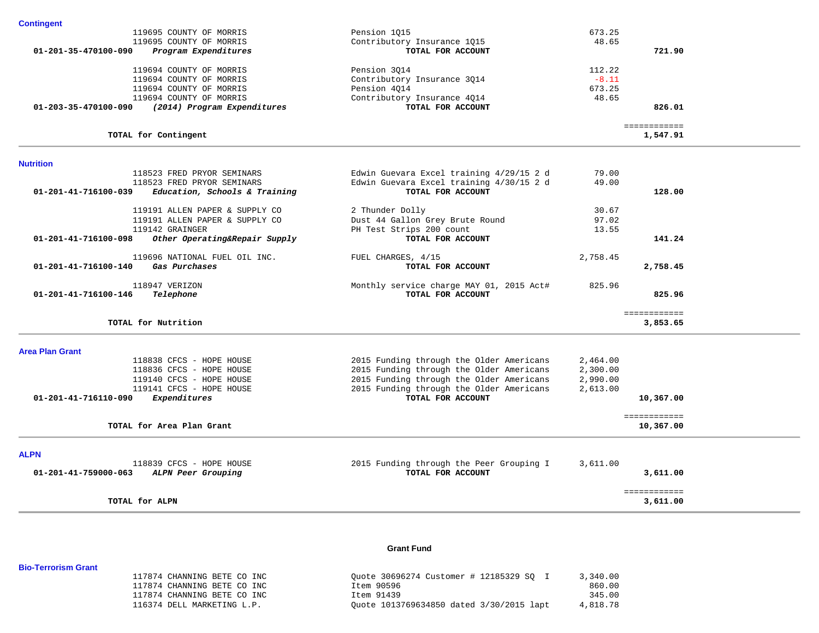| Pension 1015                             | 673.25                                                                                                                                                                                                                                                                                                                                                                      |                                                                               |                                                                       |
|------------------------------------------|-----------------------------------------------------------------------------------------------------------------------------------------------------------------------------------------------------------------------------------------------------------------------------------------------------------------------------------------------------------------------------|-------------------------------------------------------------------------------|-----------------------------------------------------------------------|
| Contributory Insurance 1015              | 48.65                                                                                                                                                                                                                                                                                                                                                                       |                                                                               |                                                                       |
| TOTAL FOR ACCOUNT                        |                                                                                                                                                                                                                                                                                                                                                                             | 721.90                                                                        |                                                                       |
| Pension 3014                             | 112.22                                                                                                                                                                                                                                                                                                                                                                      |                                                                               |                                                                       |
| Contributory Insurance 3014              | $-8.11$                                                                                                                                                                                                                                                                                                                                                                     |                                                                               |                                                                       |
| Pension 4014                             | 673.25                                                                                                                                                                                                                                                                                                                                                                      |                                                                               |                                                                       |
| Contributory Insurance 4Q14              | 48.65                                                                                                                                                                                                                                                                                                                                                                       |                                                                               |                                                                       |
| TOTAL FOR ACCOUNT                        |                                                                                                                                                                                                                                                                                                                                                                             | 826.01                                                                        |                                                                       |
|                                          |                                                                                                                                                                                                                                                                                                                                                                             | 1,547.91                                                                      |                                                                       |
|                                          |                                                                                                                                                                                                                                                                                                                                                                             |                                                                               |                                                                       |
|                                          |                                                                                                                                                                                                                                                                                                                                                                             |                                                                               |                                                                       |
|                                          |                                                                                                                                                                                                                                                                                                                                                                             |                                                                               |                                                                       |
| TOTAL FOR ACCOUNT                        |                                                                                                                                                                                                                                                                                                                                                                             | 128.00                                                                        |                                                                       |
|                                          |                                                                                                                                                                                                                                                                                                                                                                             |                                                                               |                                                                       |
|                                          |                                                                                                                                                                                                                                                                                                                                                                             |                                                                               |                                                                       |
|                                          |                                                                                                                                                                                                                                                                                                                                                                             |                                                                               |                                                                       |
| TOTAL FOR ACCOUNT                        |                                                                                                                                                                                                                                                                                                                                                                             | 141.24                                                                        |                                                                       |
| FUEL CHARGES, 4/15                       | 2,758.45                                                                                                                                                                                                                                                                                                                                                                    |                                                                               |                                                                       |
| TOTAL FOR ACCOUNT                        |                                                                                                                                                                                                                                                                                                                                                                             | 2,758.45                                                                      |                                                                       |
| Monthly service charge MAY 01, 2015 Act# | 825.96                                                                                                                                                                                                                                                                                                                                                                      |                                                                               |                                                                       |
| TOTAL FOR ACCOUNT                        |                                                                                                                                                                                                                                                                                                                                                                             | 825.96                                                                        |                                                                       |
|                                          |                                                                                                                                                                                                                                                                                                                                                                             |                                                                               |                                                                       |
|                                          |                                                                                                                                                                                                                                                                                                                                                                             |                                                                               |                                                                       |
|                                          |                                                                                                                                                                                                                                                                                                                                                                             |                                                                               |                                                                       |
|                                          | 2,464.00                                                                                                                                                                                                                                                                                                                                                                    |                                                                               |                                                                       |
|                                          |                                                                                                                                                                                                                                                                                                                                                                             |                                                                               |                                                                       |
|                                          |                                                                                                                                                                                                                                                                                                                                                                             |                                                                               |                                                                       |
|                                          |                                                                                                                                                                                                                                                                                                                                                                             |                                                                               |                                                                       |
|                                          |                                                                                                                                                                                                                                                                                                                                                                             |                                                                               |                                                                       |
|                                          |                                                                                                                                                                                                                                                                                                                                                                             | 10,367.00                                                                     |                                                                       |
|                                          | Edwin Guevara Excel training 4/29/15 2 d<br>Edwin Guevara Excel training 4/30/15 2 d<br>2 Thunder Dolly<br>Dust 44 Gallon Grey Brute Round<br>PH Test Strips 200 count<br>2015 Funding through the Older Americans<br>2015 Funding through the Older Americans<br>2015 Funding through the Older Americans<br>2015 Funding through the Older Americans<br>TOTAL FOR ACCOUNT | 79.00<br>49.00<br>30.67<br>97.02<br>13.55<br>2,300.00<br>2,990.00<br>2,613.00 | ============<br>============<br>3,853.65<br>10,367.00<br>============ |

| 118839 CFCS - HOPE HOUSE<br>01-201-41-759000-063<br>ALPN Peer Grouping | 2015 Funding through the Peer Grouping I<br>TOTAL FOR ACCOUNT | 3,611.00<br>3,611.00 |
|------------------------------------------------------------------------|---------------------------------------------------------------|----------------------|
| TOTAL for ALPN                                                         |                                                               | 3,611.00             |

#### **Grant Fund**

### 117874 CHANNING BETE CO INC Quote 30696274 Customer # 12185329 SQ I 3,340.00 117874 CHANNING BETE CO INC Item 90596 860.00 117874 CHANNING BETE CO INC 51439 116374 DELL MARKETING L.P. Quote 1013769634850 dated 3/30/2015 lapt 4,818.78

**Bio-Terrorism Grant**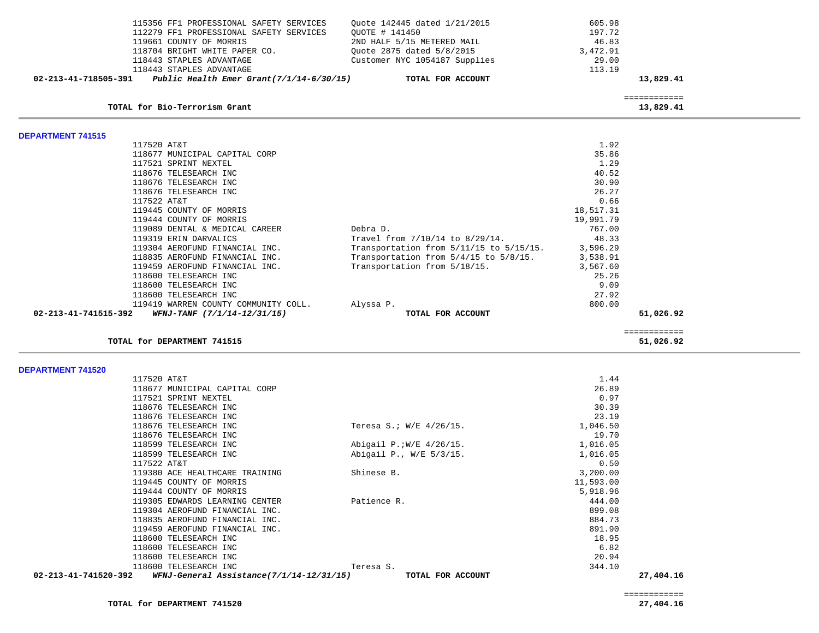|                          | 115356 FF1 PROFESSIONAL SAFETY SERVICES     | Quote 142445 dated 1/21/2015            | 605.98    |                           |  |
|--------------------------|---------------------------------------------|-----------------------------------------|-----------|---------------------------|--|
|                          | 112279 FF1 PROFESSIONAL SAFETY SERVICES     | OUOTE # 141450                          | 197.72    |                           |  |
|                          | 119661 COUNTY OF MORRIS                     | 2ND HALF 5/15 METERED MAIL              | 46.83     |                           |  |
|                          | 118704 BRIGHT WHITE PAPER CO.               | Ouote 2875 dated 5/8/2015               | 3,472.91  |                           |  |
|                          | 118443 STAPLES ADVANTAGE                    | Customer NYC 1054187 Supplies           | 29.00     |                           |  |
|                          | 118443 STAPLES ADVANTAGE                    |                                         | 113.19    |                           |  |
| 02-213-41-718505-391     | Public Health Emer Grant $(7/1/14-6/30/15)$ | TOTAL FOR ACCOUNT                       |           | 13,829.41                 |  |
|                          |                                             |                                         |           | ============              |  |
|                          | TOTAL for Bio-Terrorism Grant               |                                         |           | 13,829.41                 |  |
| <b>DEPARTMENT 741515</b> |                                             |                                         |           |                           |  |
|                          | 117520 AT&T                                 |                                         | 1.92      |                           |  |
|                          | 118677 MUNICIPAL CAPITAL CORP               |                                         | 35.86     |                           |  |
|                          | 117521 SPRINT NEXTEL                        |                                         | 1.29      |                           |  |
|                          | 118676 TELESEARCH INC                       |                                         | 40.52     |                           |  |
|                          | 118676 TELESEARCH INC                       |                                         | 30.90     |                           |  |
|                          | 118676 TELESEARCH INC                       |                                         | 26.27     |                           |  |
|                          | 117522 AT&T                                 |                                         | 0.66      |                           |  |
|                          | 119445 COUNTY OF MORRIS                     |                                         | 18,517.31 |                           |  |
|                          | 119444 COUNTY OF MORRIS                     |                                         | 19,991.79 |                           |  |
|                          | 119089 DENTAL & MEDICAL CAREER              | Debra D.                                | 767.00    |                           |  |
|                          | 119319 ERIN DARVALICS                       | Travel from 7/10/14 to 8/29/14.         | 48.33     |                           |  |
|                          | 119304 AEROFUND FINANCIAL INC.              | Transportation from 5/11/15 to 5/15/15. | 3,596.29  |                           |  |
|                          | 118835 AEROFUND FINANCIAL INC.              | Transportation from 5/4/15 to 5/8/15.   | 3,538.91  |                           |  |
|                          | 119459 AEROFUND FINANCIAL INC.              | Transportation from 5/18/15.            | 3,567.60  |                           |  |
|                          | 118600 TELESEARCH INC                       |                                         | 25.26     |                           |  |
|                          | 118600 TELESEARCH INC                       |                                         | 9.09      |                           |  |
|                          | 118600 TELESEARCH INC                       |                                         | 27.92     |                           |  |
|                          | 119419 WARREN COUNTY COMMUNITY COLL.        | Alyssa P.                               | 800.00    |                           |  |
| 02-213-41-741515-392     | WFNJ-TANF (7/1/14-12/31/15)                 | TOTAL FOR ACCOUNT                       |           | 51,026.92                 |  |
|                          | TOTAL for DEPARTMENT 741515                 |                                         |           | ============<br>51,026.92 |  |
|                          |                                             |                                         |           |                           |  |
| <b>DEPARTMENT 741520</b> |                                             |                                         |           |                           |  |
|                          | 117520 AT&T                                 |                                         | 1.44      |                           |  |
|                          | 118677 MUNICIPAL CAPITAL CORP               |                                         | 26.89     |                           |  |
|                          | 117521 SPRINT NEXTEL                        |                                         | 0.97      |                           |  |
|                          | 118676 TELESEARCH INC                       |                                         | 30.39     |                           |  |

| $02-213-41-741520-392$ WFNJ-General Assistance(7/1/14-12/31/15) | TOTAL FOR ACCOUNT        |           | 27,404.16 |
|-----------------------------------------------------------------|--------------------------|-----------|-----------|
| 118600 TELESEARCH INC                                           | Teresa S.                | 344.10    |           |
| 118600 TELESEARCH INC                                           |                          | 20.94     |           |
| 118600 TELESEARCH INC                                           |                          | 6.82      |           |
| 118600 TELESEARCH INC                                           |                          | 18.95     |           |
| 119459 AEROFUND FINANCIAL INC.                                  |                          | 891.90    |           |
| 118835 AEROFUND FINANCIAL INC.                                  |                          | 884.73    |           |
| 119304 AEROFUND FINANCIAL INC.                                  |                          | 899.08    |           |
| 119305 EDWARDS LEARNING CENTER                                  | Patience R.              | 444.00    |           |
| 119444 COUNTY OF MORRIS                                         |                          | 5,918.96  |           |
| 119445 COUNTY OF MORRIS                                         |                          | 11,593.00 |           |
| 119380 ACE HEALTHCARE TRAINING                                  | Shinese B.               | 3,200.00  |           |
| 117522 AT&T                                                     |                          | 0.50      |           |
| 118599 TELESEARCH INC                                           | Abigail P., W/E 5/3/15.  | 1,016.05  |           |
| 118599 TELESEARCH INC                                           | Abigail P.; W/E 4/26/15. | 1,016.05  |           |
| 118676 TELESEARCH INC                                           |                          | 19.70     |           |
| 118676 TELESEARCH INC                                           | Teresa S.; W/E 4/26/15.  | 1,046.50  |           |
| 118676 TELESEARCH INC                                           |                          | 23.19     |           |
| 118676 TELESEARCH INC                                           |                          | 30.39     |           |
| 117521 SPRINT NEXTEL                                            |                          | 0.97      |           |

============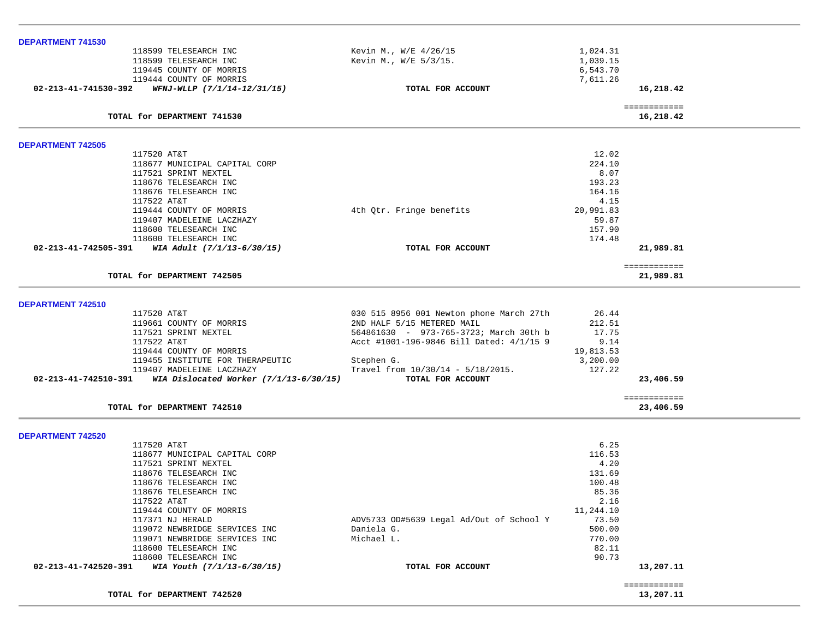| DEPARTMENT 741530                                                         |                                          |                       |                           |
|---------------------------------------------------------------------------|------------------------------------------|-----------------------|---------------------------|
| 118599 TELESEARCH INC                                                     | Kevin M., W/E 4/26/15                    | 1,024.31              |                           |
| 118599 TELESEARCH INC                                                     | Kevin M., W/E 5/3/15.                    | 1,039.15              |                           |
| 119445 COUNTY OF MORRIS<br>119444 COUNTY OF MORRIS                        |                                          | 6,543.70<br>7,611.26  |                           |
| WFNJ-WLLP (7/1/14-12/31/15)<br>02-213-41-741530-392                       | TOTAL FOR ACCOUNT                        |                       | 16,218.42                 |
|                                                                           |                                          |                       |                           |
| TOTAL for DEPARTMENT 741530                                               |                                          |                       | ============<br>16,218.42 |
| <b>DEPARTMENT 742505</b>                                                  |                                          |                       |                           |
| 117520 AT&T                                                               |                                          | 12.02                 |                           |
| 118677 MUNICIPAL CAPITAL CORP                                             |                                          | 224.10                |                           |
| 117521 SPRINT NEXTEL                                                      |                                          | 8.07                  |                           |
| 118676 TELESEARCH INC                                                     |                                          | 193.23                |                           |
| 118676 TELESEARCH INC                                                     |                                          | 164.16                |                           |
| 117522 AT&T                                                               |                                          | 4.15                  |                           |
| 119444 COUNTY OF MORRIS                                                   | 4th Qtr. Fringe benefits                 | 20,991.83             |                           |
| 119407 MADELEINE LACZHAZY<br>118600 TELESEARCH INC                        |                                          | 59.87<br>157.90       |                           |
| 118600 TELESEARCH INC                                                     |                                          | 174.48                |                           |
| 02-213-41-742505-391<br>WIA Adult (7/1/13-6/30/15)                        | TOTAL FOR ACCOUNT                        |                       | 21,989.81                 |
| TOTAL for DEPARTMENT 742505                                               |                                          |                       | ============              |
|                                                                           |                                          |                       | 21,989.81                 |
| DEPARTMENT 742510                                                         |                                          |                       |                           |
| 117520 AT&T                                                               | 030 515 8956 001 Newton phone March 27th | 26.44                 |                           |
| 119661 COUNTY OF MORRIS                                                   | 2ND HALF 5/15 METERED MAIL               | 212.51                |                           |
| 117521 SPRINT NEXTEL                                                      | 564861630 - 973-765-3723; March 30th b   | 17.75                 |                           |
| 117522 AT&T                                                               | Acct #1001-196-9846 Bill Dated: 4/1/15 9 | 9.14                  |                           |
| 119444 COUNTY OF MORRIS<br>119455 INSTITUTE FOR THERAPEUTIC               | Stephen G.                               | 19,813.53<br>3,200.00 |                           |
| 119407 MADELEINE LACZHAZY                                                 | Travel from $10/30/14 - 5/18/2015$ .     | 127.22                |                           |
| $02 - 213 - 41 - 742510 - 391$ WIA Dislocated Worker $(7/1/13 - 6/30/15)$ | TOTAL FOR ACCOUNT                        |                       | 23,406.59                 |
|                                                                           |                                          |                       | ============              |
| TOTAL for DEPARTMENT 742510                                               |                                          |                       | 23,406.59                 |
| <b>DEPARTMENT 742520</b>                                                  |                                          |                       |                           |
| 117520 AT&T                                                               |                                          | 6.25                  |                           |
| 118677 MUNICIPAL CAPITAL CORP                                             |                                          | 116.53                |                           |
| 117521 SPRINT NEXTEL                                                      |                                          | 4.20                  |                           |
| 118676 TELESEARCH INC                                                     |                                          | 131.69                |                           |
| 118676 TELESEARCH INC                                                     |                                          | 100.48                |                           |
| 118676 TELESEARCH INC                                                     |                                          | 85.36                 |                           |
| 117522 AT&T<br>119444 COUNTY OF MORRIS                                    |                                          | 2.16<br>11,244.10     |                           |
| 117371 NJ HERALD                                                          | ADV5733 OD#5639 Legal Ad/Out of School Y | 73.50                 |                           |
| 119072 NEWBRIDGE SERVICES INC                                             | Daniela G.                               | 500.00                |                           |
| 119071 NEWBRIDGE SERVICES INC                                             | Michael L.                               | 770.00                |                           |
| 118600 TELESEARCH INC                                                     |                                          | 82.11                 |                           |
| 118600 TELESEARCH INC                                                     |                                          | 90.73                 |                           |
| 02-213-41-742520-391<br>WIA Youth (7/1/13-6/30/15)                        | TOTAL FOR ACCOUNT                        |                       | 13,207.11                 |
| TOTAL for DEPARTMENT 742520                                               |                                          |                       | ============<br>13,207.11 |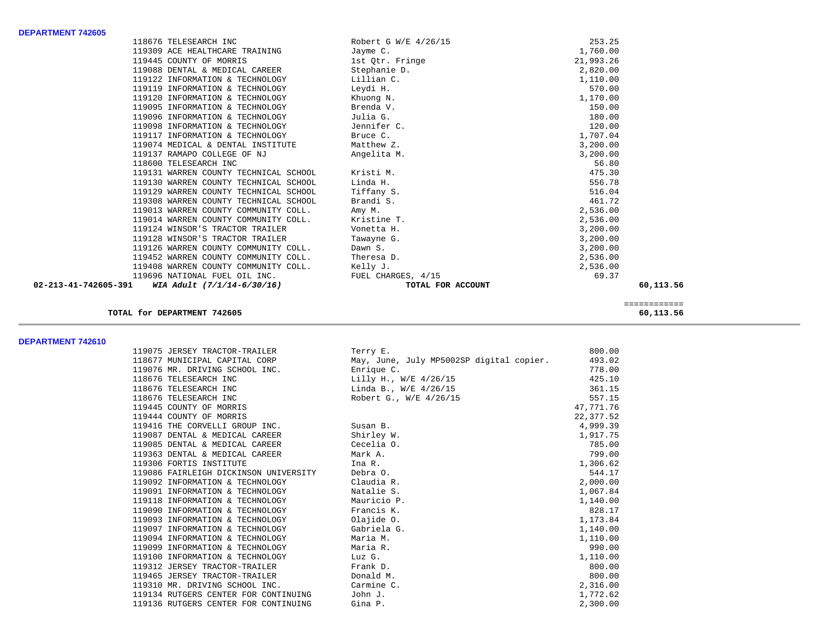| <b>DEPARTMENT 742605</b>       |                                       |                      |           |
|--------------------------------|---------------------------------------|----------------------|-----------|
|                                | 118676 TELESEARCH INC                 | Robert G W/E 4/26/15 | 253.25    |
|                                | 119309 ACE HEALTHCARE TRAINING        | Jayme C.             | 1,760.00  |
|                                | 119445 COUNTY OF MORRIS               | 1st Qtr. Fringe      | 21,993.26 |
|                                | 119088 DENTAL & MEDICAL CAREER        | Stephanie D.         | 2,820.00  |
|                                | 119122 INFORMATION & TECHNOLOGY       | Lillian C.           | 1,110.00  |
|                                | 119119 INFORMATION & TECHNOLOGY       | Leydi H.             | 570.00    |
|                                | 119120 INFORMATION & TECHNOLOGY       | Khuong N.            | 1,170.00  |
|                                | 119095 INFORMATION & TECHNOLOGY       | Brenda V.            | 150.00    |
|                                | 119096 INFORMATION & TECHNOLOGY       | Julia G.             | 180.00    |
|                                | 119098 INFORMATION & TECHNOLOGY       | Jennifer C.          | 120.00    |
|                                | 119117 INFORMATION & TECHNOLOGY       | Bruce C.             | 1,707.04  |
|                                | 119074 MEDICAL & DENTAL INSTITUTE     | Matthew Z.           | 3,200.00  |
|                                | 119137 RAMAPO COLLEGE OF NJ           | Angelita M.          | 3,200.00  |
|                                | 118600 TELESEARCH INC                 |                      | 56.80     |
|                                | 119131 WARREN COUNTY TECHNICAL SCHOOL | Kristi M.            | 475.30    |
|                                | 119130 WARREN COUNTY TECHNICAL SCHOOL | Linda H.             | 556.78    |
|                                | 119129 WARREN COUNTY TECHNICAL SCHOOL | Tiffany S.           | 516.04    |
|                                | 119308 WARREN COUNTY TECHNICAL SCHOOL | Brandi S.            | 461.72    |
|                                | 119013 WARREN COUNTY COMMUNITY COLL.  | Amy M.               | 2,536.00  |
|                                | 119014 WARREN COUNTY COMMUNITY COLL.  | Kristine T.          | 2,536.00  |
|                                | 119124 WINSOR'S TRACTOR TRAILER       | Vonetta H.           | 3,200.00  |
|                                | 119128 WINSOR'S TRACTOR TRAILER       | Tawayne G.           | 3,200.00  |
|                                | 119126 WARREN COUNTY COMMUNITY COLL.  | Dawn S.              | 3,200.00  |
|                                | 119452 WARREN COUNTY COMMUNITY COLL.  | Theresa D.           | 2,536.00  |
|                                | 119408 WARREN COUNTY COMMUNITY COLL.  | Kelly J.             | 2,536.00  |
|                                | 119696 NATIONAL FUEL OIL INC.         | FUEL CHARGES, 4/15   | 69.37     |
| $02 - 213 - 41 - 742605 - 391$ | WIA Adult (7/1/14-6/30/16)            | TOTAL FOR ACCOUNT    | 60,113.56 |
|                                |                                       |                      |           |

### **TOTAL for DEPARTMENT 742605 60,113.56**

============

**DEPARTMENT 742610** 

| 119075 JERSEY TRACTOR-TRAILER         | Terry E.                                 | 800.00    |
|---------------------------------------|------------------------------------------|-----------|
| 118677 MUNICIPAL CAPITAL CORP         | May, June, July MP5002SP digital copier. | 493.02    |
| 119076 MR. DRIVING SCHOOL INC.        | Enrique C.                               | 778.00    |
| 118676 TELESEARCH INC                 | Lilly H., W/E 4/26/15                    | 425.10    |
| 118676 TELESEARCH INC                 | Linda B., W/E 4/26/15                    | 361.15    |
| 118676 TELESEARCH INC                 | Robert G., W/E 4/26/15                   | 557.15    |
| 119445 COUNTY OF MORRIS               |                                          | 47,771.76 |
| 119444 COUNTY OF MORRIS               |                                          | 22,377.52 |
| 119416 THE CORVELLI GROUP INC.        | Susan B.                                 | 4,999.39  |
| 119087 DENTAL & MEDICAL CAREER        | Shirley W.                               | 1,917.75  |
| 119085 DENTAL & MEDICAL CAREER        | Cecelia O.                               | 785.00    |
| 119363 DENTAL & MEDICAL CAREER        | Mark A.                                  | 799.00    |
| 119306 FORTIS INSTITUTE               | Ina R.                                   | 1,306.62  |
| 119086 FAIRLEIGH DICKINSON UNIVERSITY | Debra O.                                 | 544.17    |
| 119092 INFORMATION & TECHNOLOGY       | Claudia R.                               | 2,000.00  |
| 119091 INFORMATION & TECHNOLOGY       | Natalie S.                               | 1,067.84  |
| 119118 INFORMATION & TECHNOLOGY       | Mauricio P.                              | 1,140.00  |
| 119090 INFORMATION & TECHNOLOGY       | Francis K.                               | 828.17    |
| 119093 INFORMATION & TECHNOLOGY       | Olajide O.                               | 1,173.84  |
| 119097 INFORMATION & TECHNOLOGY       | Gabriela G.                              | 1,140.00  |
| 119094 INFORMATION & TECHNOLOGY       | Maria M.                                 | 1,110.00  |
| 119099 INFORMATION & TECHNOLOGY       | Maria R.                                 | 990.00    |
| 119100 INFORMATION & TECHNOLOGY       | Luz G.                                   | 1,110.00  |
| 119312 JERSEY TRACTOR-TRAILER         | Frank D.                                 | 800.00    |
| 119465 JERSEY TRACTOR-TRAILER         | Donald M.                                | 800.00    |
| 119310 MR. DRIVING SCHOOL INC.        | Carmine C.                               | 2,316.00  |
| 119134 RUTGERS CENTER FOR CONTINUING  | John J.                                  | 1,772.62  |
| 119136 RUTGERS CENTER FOR CONTINUING  | Gina P.                                  | 2,300.00  |
|                                       |                                          |           |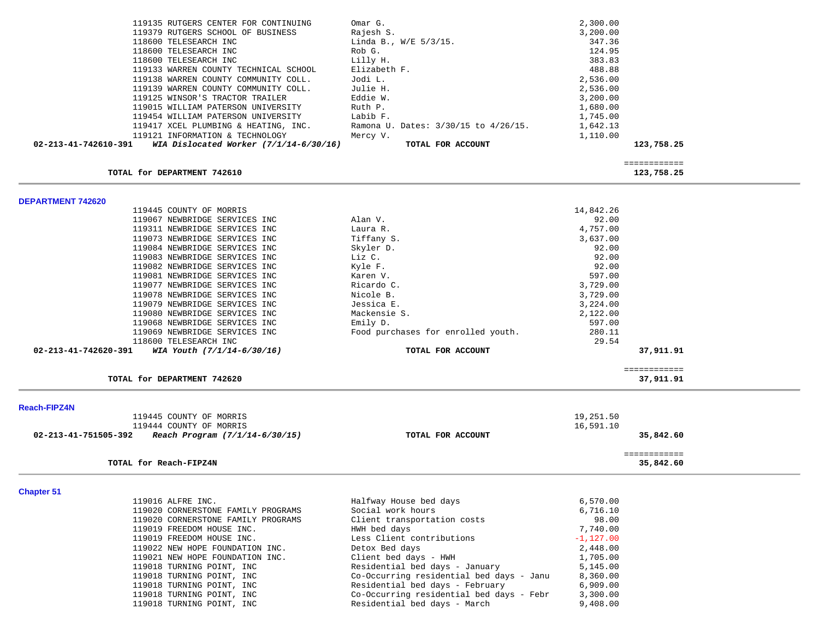| 119135 RUTGERS CENTER FOR CONTINUING                                                                | Omar G.                                  | 2,300.00     |                            |  |
|-----------------------------------------------------------------------------------------------------|------------------------------------------|--------------|----------------------------|--|
|                                                                                                     |                                          |              |                            |  |
| 119379 RUTGERS SCHOOL OF BUSINESS                                                                   | Rajesh S.                                | 3,200.00     |                            |  |
| 118600 TELESEARCH INC<br>118600 TELESEARCH INC                                                      | Linda B., $W/E = 5/3/15$ .               | 347.36       |                            |  |
|                                                                                                     | Rob G.                                   | 124.95       |                            |  |
| 118600 TELESEARCH INC<br>119133 WARREN COUNTY TECHNICAL SCHOOL                                      | Lilly H.<br>Elizabeth F.                 | 383.83       |                            |  |
|                                                                                                     | Jodi L.                                  | 488.88       |                            |  |
| 119138 WARREN COUNTY COMMUNITY COLL.                                                                |                                          | 2,536.00     |                            |  |
| 119139 WARREN COUNTY COMMUNITY COLL.                                                                | Julie H.                                 | 2,536.00     |                            |  |
| 119125 WINSOR'S TRACTOR TRAILER                                                                     | Eddie W.                                 | 3,200.00     |                            |  |
| 119015 WILLIAM PATERSON UNIVERSITY                                                                  | Ruth P.<br>Labib F.                      | 1,680.00     |                            |  |
| 119454 WILLIAM PATERSON UNIVERSITY                                                                  |                                          | 1,745.00     |                            |  |
| 119417 XCEL PLUMBING & HEATING, INC.                                                                | Ramona U. Dates: 3/30/15 to 4/26/15.     | 1,642.13     |                            |  |
| 119121 INFORMATION & TECHNOLOGY<br>02-213-41-742610-391<br>WIA Dislocated Worker $(7/1/14-6/30/16)$ | Mercy V.<br>TOTAL FOR ACCOUNT            | 1,110.00     | 123,758.25                 |  |
|                                                                                                     |                                          |              |                            |  |
| TOTAL for DEPARTMENT 742610                                                                         |                                          |              | ============<br>123,758.25 |  |
| <b>DEPARTMENT 742620</b>                                                                            |                                          |              |                            |  |
| 119445 COUNTY OF MORRIS                                                                             |                                          | 14,842.26    |                            |  |
| 119067 NEWBRIDGE SERVICES INC                                                                       | Alan V.                                  | 92.00        |                            |  |
| 119311 NEWBRIDGE SERVICES INC                                                                       | Laura R.                                 | 4,757.00     |                            |  |
| 119073 NEWBRIDGE SERVICES INC                                                                       | Tiffany S.                               | 3,637.00     |                            |  |
| 119084 NEWBRIDGE SERVICES INC                                                                       | Skyler D.                                | 92.00        |                            |  |
| 119083 NEWBRIDGE SERVICES INC                                                                       | Liz C.                                   | 92.00        |                            |  |
| 119082 NEWBRIDGE SERVICES INC                                                                       | Kyle F.                                  | 92.00        |                            |  |
| 119081 NEWBRIDGE SERVICES INC                                                                       | Karen V.                                 | 597.00       |                            |  |
| 119077 NEWBRIDGE SERVICES INC                                                                       | Ricardo C.                               | 3,729.00     |                            |  |
| 119078 NEWBRIDGE SERVICES INC                                                                       | Nicole B.                                | 3,729.00     |                            |  |
| 119079 NEWBRIDGE SERVICES INC                                                                       | Jessica E.                               | 3,224.00     |                            |  |
| 119080 NEWBRIDGE SERVICES INC                                                                       | Mackensie S.                             | 2,122.00     |                            |  |
| 119068 NEWBRIDGE SERVICES INC                                                                       | Emily D.                                 | 597.00       |                            |  |
| 119069 NEWBRIDGE SERVICES INC                                                                       | Food purchases for enrolled youth.       | 280.11       |                            |  |
| 118600 TELESEARCH INC                                                                               |                                          | 29.54        |                            |  |
| 02-213-41-742620-391<br>WIA Youth (7/1/14-6/30/16)                                                  | TOTAL FOR ACCOUNT                        |              | 37,911.91                  |  |
|                                                                                                     |                                          |              | ============               |  |
| TOTAL for DEPARTMENT 742620                                                                         |                                          |              | 37,911.91                  |  |
| <b>Reach-FIPZ4N</b>                                                                                 |                                          |              |                            |  |
| 119445 COUNTY OF MORRIS                                                                             |                                          | 19,251.50    |                            |  |
| 119444 COUNTY OF MORRIS                                                                             |                                          | 16,591.10    |                            |  |
| 02-213-41-751505-392<br>Reach Program (7/1/14-6/30/15)                                              | TOTAL FOR ACCOUNT                        |              | 35,842.60                  |  |
|                                                                                                     |                                          |              | ============               |  |
| TOTAL for Reach-FIPZ4N                                                                              |                                          |              | 35,842.60                  |  |
| <b>Chapter 51</b>                                                                                   |                                          |              |                            |  |
| 119016 ALFRE INC.                                                                                   | Halfway House bed days                   | 6,570.00     |                            |  |
| 119020 CORNERSTONE FAMILY PROGRAMS                                                                  | Social work hours                        | 6,716.10     |                            |  |
| 119020 CORNERSTONE FAMILY PROGRAMS                                                                  | Client transportation costs              | 98.00        |                            |  |
| 119019 FREEDOM HOUSE INC.                                                                           | HWH bed days                             | 7,740.00     |                            |  |
| 119019 FREEDOM HOUSE INC.                                                                           | Less Client contributions                | $-1, 127.00$ |                            |  |
| 119022 NEW HOPE FOUNDATION INC.                                                                     | Detox Bed days                           | 2,448.00     |                            |  |
| 119021 NEW HOPE FOUNDATION INC.                                                                     | Client bed days - HWH                    | 1,705.00     |                            |  |
| 119018 TURNING POINT, INC                                                                           | Residential bed days - January           | 5,145.00     |                            |  |
| 119018 TURNING POINT, INC                                                                           | Co-Occurring residential bed days - Janu | 8,360.00     |                            |  |
| 119018 TURNING POINT, INC                                                                           | Residential bed days - February          | 6,909.00     |                            |  |
| 119018 TURNING POINT, INC                                                                           | Co-Occurring residential bed days - Febr | 3,300.00     |                            |  |
| 119018 TURNING POINT, INC                                                                           | Residential bed days - March             | 9,408.00     |                            |  |

٠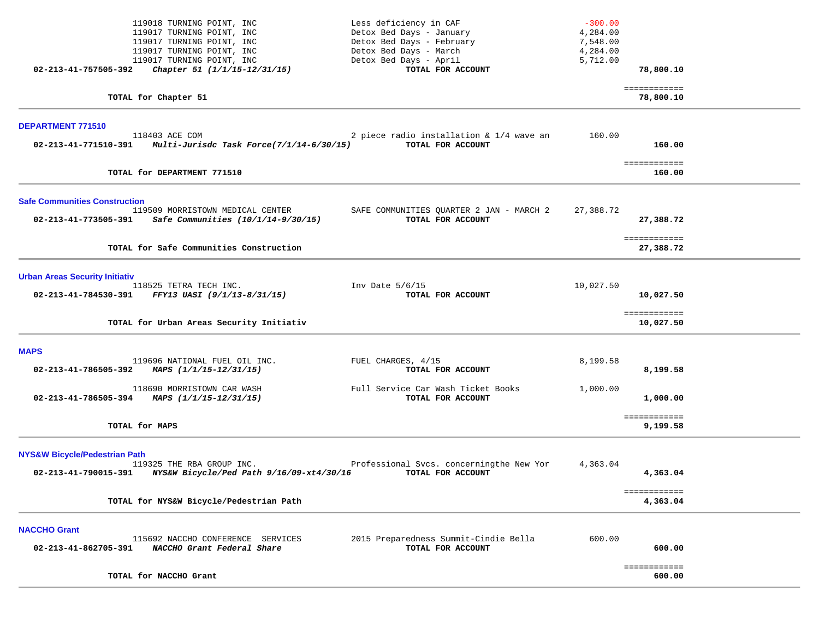| 119018 TURNING POINT, INC                                             | Less deficiency in CAF                   | $-300.00$ |                           |  |
|-----------------------------------------------------------------------|------------------------------------------|-----------|---------------------------|--|
| 119017 TURNING POINT, INC                                             | Detox Bed Days - January                 | 4,284.00  |                           |  |
| 119017 TURNING POINT, INC                                             | Detox Bed Days - February                | 7,548.00  |                           |  |
| 119017 TURNING POINT, INC                                             | Detox Bed Days - March                   | 4,284.00  |                           |  |
| 119017 TURNING POINT, INC                                             | Detox Bed Days - April                   | 5,712.00  |                           |  |
| Chapter 51 (1/1/15-12/31/15)<br>02-213-41-757505-392                  | TOTAL FOR ACCOUNT                        |           | 78,800.10                 |  |
| TOTAL for Chapter 51                                                  |                                          |           | ============<br>78,800.10 |  |
|                                                                       |                                          |           |                           |  |
| DEPARTMENT 771510<br>118403 ACE COM                                   | 2 piece radio installation & 1/4 wave an | 160.00    |                           |  |
| Multi-Jurisdc Task Force(7/1/14-6/30/15)<br>02-213-41-771510-391      | TOTAL FOR ACCOUNT                        |           | 160.00                    |  |
|                                                                       |                                          |           |                           |  |
| TOTAL for DEPARTMENT 771510                                           |                                          |           | ============<br>160.00    |  |
| <b>Safe Communities Construction</b>                                  |                                          |           |                           |  |
| 119509 MORRISTOWN MEDICAL CENTER                                      | SAFE COMMUNITIES QUARTER 2 JAN - MARCH 2 | 27,388.72 |                           |  |
| 02-213-41-773505-391<br>Safe Communities (10/1/14-9/30/15)            | TOTAL FOR ACCOUNT                        |           | 27,388.72                 |  |
|                                                                       |                                          |           | ============              |  |
| TOTAL for Safe Communities Construction                               |                                          |           | 27,388.72                 |  |
|                                                                       |                                          |           |                           |  |
| <b>Urban Areas Security Initiativ</b><br>118525 TETRA TECH INC.       | Inv Date $5/6/15$                        | 10,027.50 |                           |  |
| 02-213-41-784530-391<br>FFY13 UASI (9/1/13-8/31/15)                   | TOTAL FOR ACCOUNT                        |           | 10,027.50                 |  |
|                                                                       |                                          |           | ============              |  |
| TOTAL for Urban Areas Security Initiativ                              |                                          |           | 10,027.50                 |  |
| <b>MAPS</b>                                                           |                                          |           |                           |  |
| 119696 NATIONAL FUEL OIL INC.                                         | FUEL CHARGES, 4/15                       | 8,199.58  |                           |  |
| 02-213-41-786505-392<br>MAPS (1/1/15-12/31/15)                        | TOTAL FOR ACCOUNT                        |           | 8,199.58                  |  |
| 118690 MORRISTOWN CAR WASH                                            | Full Service Car Wash Ticket Books       | 1,000.00  |                           |  |
| 02-213-41-786505-394<br>MAPS (1/1/15-12/31/15)                        | TOTAL FOR ACCOUNT                        |           | 1,000.00                  |  |
|                                                                       |                                          |           |                           |  |
| TOTAL for MAPS                                                        |                                          |           | ============<br>9,199.58  |  |
|                                                                       |                                          |           |                           |  |
| <b>NYS&amp;W Bicycle/Pedestrian Path</b><br>119325 THE RBA GROUP INC. | Professional Svcs. concerningthe New Yor | 4,363.04  |                           |  |
| 02-213-41-790015-391<br>NYS&W Bicycle/Ped Path 9/16/09-xt4/30/16      | TOTAL FOR ACCOUNT                        |           | 4,363.04                  |  |
|                                                                       |                                          |           |                           |  |
| TOTAL for NYS&W Bicycle/Pedestrian Path                               |                                          |           | ============<br>4,363.04  |  |
|                                                                       |                                          |           |                           |  |
| <b>NACCHO Grant</b>                                                   |                                          |           |                           |  |
| 115692 NACCHO CONFERENCE SERVICES                                     | 2015 Preparedness Summit-Cindie Bella    | 600.00    |                           |  |
| 02-213-41-862705-391<br>NACCHO Grant Federal Share                    | TOTAL FOR ACCOUNT                        |           | 600.00                    |  |
|                                                                       |                                          |           | ============              |  |
| TOTAL for NACCHO Grant                                                |                                          |           | 600.00                    |  |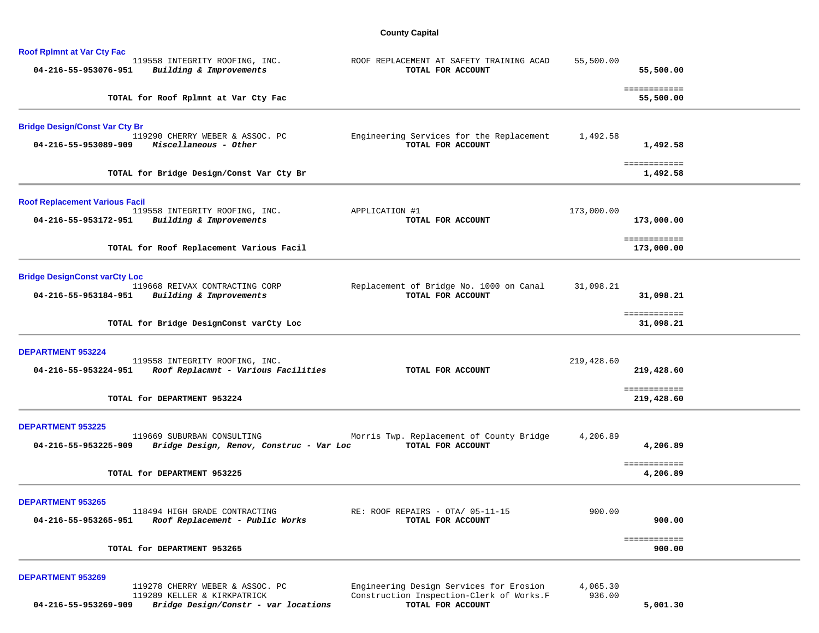## **County Capital**

| <b>Roof Rplmnt at Var Cty Fac</b>     |                                                                        |                                                               |             |                            |
|---------------------------------------|------------------------------------------------------------------------|---------------------------------------------------------------|-------------|----------------------------|
| 04-216-55-953076-951                  | 119558 INTEGRITY ROOFING, INC.<br>Building & Improvements              | ROOF REPLACEMENT AT SAFETY TRAINING ACAD<br>TOTAL FOR ACCOUNT | 55,500.00   | 55,500.00                  |
|                                       | TOTAL for Roof Rplmnt at Var Cty Fac                                   |                                                               |             | ============<br>55,500.00  |
| <b>Bridge Design/Const Var Cty Br</b> |                                                                        |                                                               |             |                            |
| 04-216-55-953089-909                  | 119290 CHERRY WEBER & ASSOC. PC<br>Miscellaneous - Other               | Engineering Services for the Replacement<br>TOTAL FOR ACCOUNT | 1,492.58    | 1,492.58                   |
|                                       | TOTAL for Bridge Design/Const Var Cty Br                               |                                                               |             | ============<br>1,492.58   |
| <b>Roof Replacement Various Facil</b> |                                                                        |                                                               |             |                            |
| 04-216-55-953172-951                  | 119558 INTEGRITY ROOFING, INC.<br>Building & Improvements              | APPLICATION #1<br>TOTAL FOR ACCOUNT                           | 173,000.00  | 173,000.00                 |
|                                       | TOTAL for Roof Replacement Various Facil                               |                                                               |             | ============<br>173,000.00 |
| <b>Bridge DesignConst varCty Loc</b>  |                                                                        |                                                               |             |                            |
| 04-216-55-953184-951                  | 119668 REIVAX CONTRACTING CORP<br>Building & Improvements              | Replacement of Bridge No. 1000 on Canal<br>TOTAL FOR ACCOUNT  | 31,098.21   | 31,098.21                  |
|                                       | TOTAL for Bridge DesignConst varCty Loc                                |                                                               |             | ============<br>31,098.21  |
| <b>DEPARTMENT 953224</b>              |                                                                        |                                                               |             |                            |
| 04-216-55-953224-951                  | 119558 INTEGRITY ROOFING, INC.<br>Roof Replacmnt - Various Facilities  | TOTAL FOR ACCOUNT                                             | 219,428.60  | 219,428.60                 |
|                                       | TOTAL for DEPARTMENT 953224                                            |                                                               |             | ============<br>219,428.60 |
| <b>DEPARTMENT 953225</b>              |                                                                        |                                                               |             |                            |
| 04-216-55-953225-909                  | 119669 SUBURBAN CONSULTING<br>Bridge Design, Renov, Construc - Var Loc | Morris Twp. Replacement of County Bridge<br>TOTAL FOR ACCOUNT | 4,206.89    | 4,206.89                   |
|                                       | TOTAL for DEPARTMENT 953225                                            |                                                               |             | ============<br>4,206.89   |
| <b>DEPARTMENT 953265</b>              |                                                                        |                                                               |             |                            |
| 04-216-55-953265-951                  | 118494 HIGH GRADE CONTRACTING<br>Roof Replacement - Public Works       | RE: ROOF REPAIRS - OTA/ 05-11-15<br>TOTAL FOR ACCOUNT         | 900.00      | 900.00                     |
|                                       | TOTAL for DEPARTMENT 953265                                            |                                                               |             | ============<br>900.00     |
| <b>DEPARTMENT 953269</b>              |                                                                        |                                                               |             |                            |
|                                       | 119278 CHEPPY WERER S. ACCOC DC                                        | Fraineering Design Services for Frosion                       | 4 0 6 5 3 0 |                            |

| 04-216-55-953269-909 | Bridge Design/Constr - var locations | TOTAL FOR ACCOUNT                        |          | 5,001.30 |
|----------------------|--------------------------------------|------------------------------------------|----------|----------|
|                      | 119289 KELLER & KIRKPATRICK          | Construction Inspection-Clerk of Works.F | 936.00   |          |
|                      | 119278 CHERRY WEBER & ASSOC. PC      | Engineering Design Services for Erosion  | 4,065.30 |          |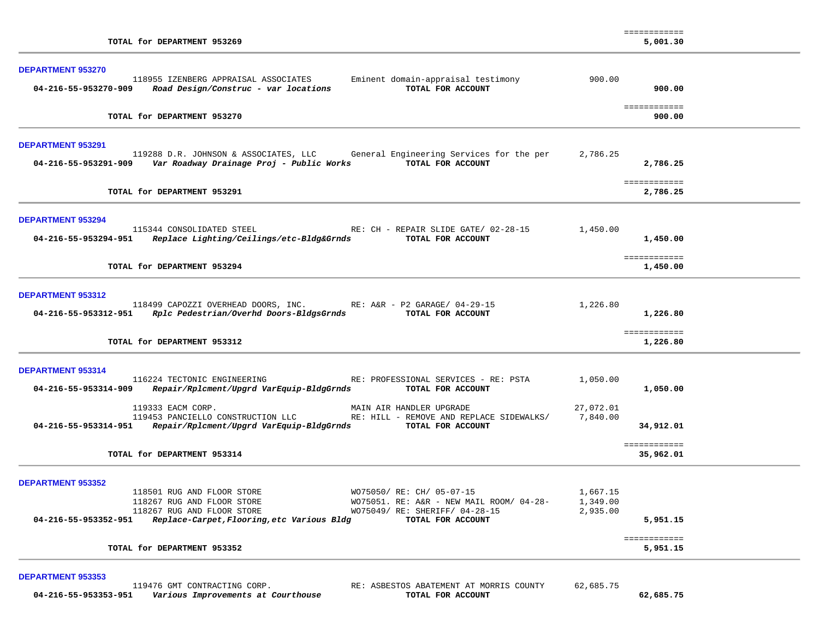| TOTAL for DEPARTMENT 953269                                                                                                                                                                                                                                                                                                                          | ============<br>5,001.30                                                 |
|------------------------------------------------------------------------------------------------------------------------------------------------------------------------------------------------------------------------------------------------------------------------------------------------------------------------------------------------------|--------------------------------------------------------------------------|
| <b>DEPARTMENT 953270</b><br>118955 IZENBERG APPRAISAL ASSOCIATES<br>Eminent domain-appraisal testimony<br>TOTAL FOR ACCOUNT<br>Road Design/Construc - var locations<br>04-216-55-953270-909                                                                                                                                                          | 900.00<br>900.00                                                         |
| TOTAL for DEPARTMENT 953270                                                                                                                                                                                                                                                                                                                          | ============<br>900.00                                                   |
| <b>DEPARTMENT 953291</b><br>119288 D.R. JOHNSON & ASSOCIATES, LLC General Engineering Services for the per<br>TOTAL FOR ACCOUNT<br>04-216-55-953291-909 Var Roadway Drainage Proj - Public Works                                                                                                                                                     | 2,786.25<br>2,786.25                                                     |
| TOTAL for DEPARTMENT 953291                                                                                                                                                                                                                                                                                                                          | ============<br>2,786.25                                                 |
| <b>DEPARTMENT 953294</b><br>115344 CONSOLIDATED STEEL<br>RE: CH - REPAIR SLIDE GATE/ 02-28-15<br>04-216-55-953294-951 Replace Lighting/Ceilings/etc-Bldg&Grnds TOTAL FOR ACCOUNT                                                                                                                                                                     | 1,450.00<br>1,450.00                                                     |
| TOTAL for DEPARTMENT 953294                                                                                                                                                                                                                                                                                                                          | ============<br>1,450.00                                                 |
| <b>DEPARTMENT 953312</b><br>118499 CAPOZZI OVERHEAD DOORS, INC. RE: A&R - P2 GARAGE/ 04-29-15<br>04-216-55-953312-951 Rplc Pedestrian/Overhd Doors-BldgsGrnds TOTAL FOR ACCOUNT<br>TOTAL for DEPARTMENT 953312                                                                                                                                       | 1,226.80<br>1,226.80<br>============<br>1,226.80                         |
| DEPARTMENT 953314                                                                                                                                                                                                                                                                                                                                    |                                                                          |
| 116224 TECTONIC ENGINEERING<br>RE: PROFESSIONAL SERVICES - RE: PSTA<br>Repair/Rplcment/Upgrd VarEquip-BldgGrnds<br>04-216-55-953314-909<br>TOTAL FOR ACCOUNT                                                                                                                                                                                         | 1,050.00<br>1,050.00                                                     |
| 119333 EACM CORP.<br>MAIN AIR HANDLER UPGRADE<br>119453 PANCIELLO CONSTRUCTION LLC<br>RE: HILL - REMOVE AND REPLACE SIDEWALKS/<br>04-216-55-953314-951 Repair/Rplcment/Upgrd VarEquip-BldgGrnds TOTAL FOR ACCOUNT                                                                                                                                    | 27,072.01<br>7,840.00<br>34,912.01                                       |
| TOTAL for DEPARTMENT 953314                                                                                                                                                                                                                                                                                                                          | ============<br>35,962.01                                                |
| <b>DEPARTMENT 953352</b><br>WO75050/ RE: CH/ 05-07-15<br>118501 RUG AND FLOOR STORE<br>118267 RUG AND FLOOR STORE<br>WO75051. RE: A&R - NEW MAIL ROOM/ 04-28-<br>WO75049/ RE: SHERIFF/ 04-28-15<br>118267 RUG AND FLOOR STORE<br>04-216-55-953352-951 Replace-Carpet, Flooring, etc Various Bldg<br>TOTAL FOR ACCOUNT<br>TOTAL for DEPARTMENT 953352 | 1,667.15<br>1,349.00<br>2,935.00<br>5,951.15<br>============<br>5,951.15 |
| <b>DEPARTMENT 953353</b>                                                                                                                                                                                                                                                                                                                             |                                                                          |
| 119476 GMT CONTRACTING CORP.<br>RE: ASBESTOS ABATEMENT AT MORRIS COUNTY<br>04-216-55-953353-951    Various Improvements at Courthouse<br>TOTAL FOR ACCOUNT                                                                                                                                                                                           | 62,685.75<br>62,685.75                                                   |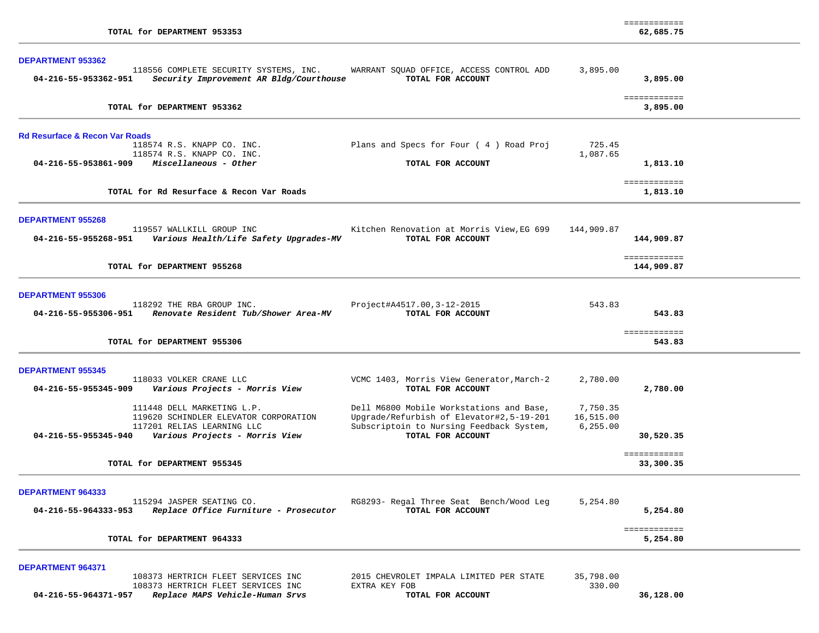|                                                                                   |                                                               |            | ============             |  |
|-----------------------------------------------------------------------------------|---------------------------------------------------------------|------------|--------------------------|--|
| TOTAL for DEPARTMENT 953353                                                       |                                                               |            | 62,685.75                |  |
|                                                                                   |                                                               |            |                          |  |
| <b>DEPARTMENT 953362</b>                                                          |                                                               |            |                          |  |
| 118556 COMPLETE SECURITY SYSTEMS, INC.<br>Security Improvement AR Bldg/Courthouse | WARRANT SQUAD OFFICE, ACCESS CONTROL ADD<br>TOTAL FOR ACCOUNT | 3,895.00   |                          |  |
| 04-216-55-953362-951                                                              |                                                               |            | 3,895.00                 |  |
|                                                                                   |                                                               |            | ============             |  |
| TOTAL for DEPARTMENT 953362                                                       |                                                               |            | 3,895.00                 |  |
|                                                                                   |                                                               |            |                          |  |
|                                                                                   |                                                               |            |                          |  |
| <b>Rd Resurface &amp; Recon Var Roads</b>                                         |                                                               |            |                          |  |
| 118574 R.S. KNAPP CO. INC.                                                        | Plans and Specs for Four (4) Road Proj                        | 725.45     |                          |  |
| 118574 R.S. KNAPP CO. INC.                                                        |                                                               | 1,087.65   |                          |  |
| $04 - 216 - 55 - 953861 - 909$ Miscellaneous - Other                              | TOTAL FOR ACCOUNT                                             |            | 1,813.10                 |  |
|                                                                                   |                                                               |            | ============             |  |
| TOTAL for Rd Resurface & Recon Var Roads                                          |                                                               |            | 1,813.10                 |  |
|                                                                                   |                                                               |            |                          |  |
| <b>DEPARTMENT 955268</b>                                                          |                                                               |            |                          |  |
| 119557 WALLKILL GROUP INC                                                         | Kitchen Renovation at Morris View, EG 699                     | 144,909.87 |                          |  |
| 04-216-55-955268-951<br>Various Health/Life Safety Upgrades-MV                    | TOTAL FOR ACCOUNT                                             |            | 144,909.87               |  |
|                                                                                   |                                                               |            |                          |  |
|                                                                                   |                                                               |            | ============             |  |
| TOTAL for DEPARTMENT 955268                                                       |                                                               |            | 144,909.87               |  |
|                                                                                   |                                                               |            |                          |  |
| <b>DEPARTMENT 955306</b>                                                          |                                                               |            |                          |  |
| 118292 THE RBA GROUP INC.                                                         | Project#A4517.00, 3-12-2015                                   | 543.83     |                          |  |
| 04-216-55-955306-951<br>Renovate Resident Tub/Shower Area-MV                      | TOTAL FOR ACCOUNT                                             |            | 543.83                   |  |
|                                                                                   |                                                               |            | ============             |  |
| TOTAL for DEPARTMENT 955306                                                       |                                                               |            | 543.83                   |  |
|                                                                                   |                                                               |            |                          |  |
| <b>DEPARTMENT 955345</b>                                                          |                                                               |            |                          |  |
| 118033 VOLKER CRANE LLC                                                           | VCMC 1403, Morris View Generator, March-2                     | 2,780.00   |                          |  |
| 04-216-55-955345-909<br>Various Projects - Morris View                            | TOTAL FOR ACCOUNT                                             |            | 2,780.00                 |  |
|                                                                                   |                                                               |            |                          |  |
| 111448 DELL MARKETING L.P.                                                        | Dell M6800 Mobile Workstations and Base,                      | 7,750.35   |                          |  |
| 119620 SCHINDLER ELEVATOR CORPORATION                                             | Upgrade/Refurbish of Elevator#2,5-19-201                      | 16,515.00  |                          |  |
| 117201 RELIAS LEARNING LLC<br>04-216-55-955345-940 Various Projects - Morris View | Subscriptoin to Nursing Feedback System,<br>TOTAL FOR ACCOUNT | 6, 255.00  | 30,520.35                |  |
|                                                                                   |                                                               |            |                          |  |
|                                                                                   |                                                               |            | ============             |  |
| TOTAL for DEPARTMENT 955345                                                       |                                                               |            | 33,300.35                |  |
|                                                                                   |                                                               |            |                          |  |
| <b>DEPARTMENT 964333</b>                                                          |                                                               |            |                          |  |
| 115294 JASPER SEATING CO.                                                         | RG8293- Regal Three Seat Bench/Wood Leg                       | 5,254.80   |                          |  |
| 04-216-55-964333-953<br>Replace Office Furniture - Prosecutor                     | TOTAL FOR ACCOUNT                                             |            | 5,254.80                 |  |
|                                                                                   |                                                               |            |                          |  |
| TOTAL for DEPARTMENT 964333                                                       |                                                               |            | ============<br>5,254.80 |  |
|                                                                                   |                                                               |            |                          |  |
|                                                                                   |                                                               |            |                          |  |
| <b>DEPARTMENT 964371</b>                                                          |                                                               |            |                          |  |
| 108373 HERTRICH FLEET SERVICES INC<br>108373 HERTRICH FLEET SERVICES INC          | 2015 CHEVROLET IMPALA LIMITED PER STATE                       | 35,798.00  |                          |  |
| 04-216-55-964371-957 Replace MAPS Vehicle-Human Srvs                              | EXTRA KEY FOB<br>TOTAL FOR ACCOUNT                            | 330.00     | 36,128.00                |  |
|                                                                                   |                                                               |            |                          |  |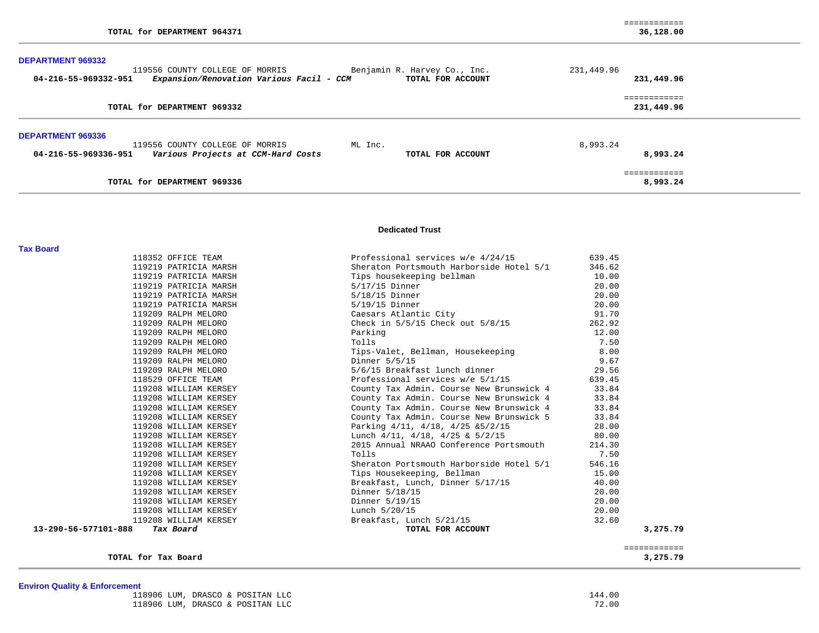| TOTAL for DEPARTMENT 964371                                                                                                                                                       | ============<br>36,128.00  |
|-----------------------------------------------------------------------------------------------------------------------------------------------------------------------------------|----------------------------|
| <b>DEPARTMENT 969332</b><br>Benjamin R. Harvey Co., Inc.<br>119556 COUNTY COLLEGE OF MORRIS<br>Expansion/Renovation Various Facil - CCM TOTAL FOR ACCOUNT<br>04-216-55-969332-951 | 231,449.96<br>231,449.96   |
| TOTAL for DEPARTMENT 969332                                                                                                                                                       | ============<br>231,449.96 |
| <b>DEPARTMENT 969336</b><br>119556 COUNTY COLLEGE OF MORRIS<br>ML Inc.<br>04-216-55-969336-951<br>Various Projects at CCM-Hard Costs<br>TOTAL FOR ACCOUNT                         | 8,993.24<br>8,993.24       |
| TOTAL for DEPARTMENT 969336                                                                                                                                                       | ============<br>8,993.24   |

#### **Dedicated Trust**

|          | 639.45 | Professional services w/e 4/24/15         | 118352 OFFICE TEAM                |
|----------|--------|-------------------------------------------|-----------------------------------|
|          | 346.62 | Sheraton Portsmouth Harborside Hotel 5/1  | 119219 PATRICIA MARSH             |
|          | 10.00  | Tips housekeeping bellman                 | 119219 PATRICIA MARSH             |
|          | 20.00  | $5/17/15$ Dinner                          | 119219 PATRICIA MARSH             |
|          | 20.00  | $5/18/15$ Dinner                          | 119219 PATRICIA MARSH             |
|          | 20.00  | $5/19/15$ Dinner                          | 119219 PATRICIA MARSH             |
|          | 91.70  | Caesars Atlantic City                     | 119209 RALPH MELORO               |
|          | 262.92 | Check in $5/5/15$ Check out $5/8/15$      | 119209 RALPH MELORO               |
|          | 12.00  | Parking                                   | 119209 RALPH MELORO               |
|          | 7.50   | Tolls                                     | 119209 RALPH MELORO               |
|          | 8.00   | Tips-Valet, Bellman, Housekeeping         | 119209 RALPH MELORO               |
|          | 9.67   | Dinner 5/5/15                             | 119209 RALPH MELORO               |
|          | 29.56  | 5/6/15 Breakfast lunch dinner             | 119209 RALPH MELORO               |
|          | 639.45 | Professional services w/e 5/1/15          | 118529 OFFICE TEAM                |
|          | 33.84  | County Tax Admin. Course New Brunswick 4  | 119208 WILLIAM KERSEY             |
|          | 33.84  | County Tax Admin. Course New Brunswick 4  | 119208 WILLIAM KERSEY             |
|          | 33.84  | County Tax Admin. Course New Brunswick 4  | 119208 WILLIAM KERSEY             |
|          | 33.84  | County Tax Admin. Course New Brunswick 5  | 119208 WILLIAM KERSEY             |
|          | 28.00  | Parking 4/11, 4/18, 4/25 & 5/2/15         | 119208 WILLIAM KERSEY             |
|          | 80.00  | Lunch $4/11$ , $4/18$ , $4/25$ & $5/2/15$ | 119208 WILLIAM KERSEY             |
|          | 214.30 | 2015 Annual NRAAO Conference Portsmouth   | 119208 WILLIAM KERSEY             |
|          | 7.50   | Tolls                                     | 119208 WILLIAM KERSEY             |
|          | 546.16 | Sheraton Portsmouth Harborside Hotel 5/1  | 119208 WILLIAM KERSEY             |
|          | 15.00  | Tips Housekeeping, Bellman                | 119208 WILLIAM KERSEY             |
|          | 40.00  | Breakfast, Lunch, Dinner 5/17/15          | 119208 WILLIAM KERSEY             |
|          | 20.00  | Dinner 5/18/15                            | 119208 WILLIAM KERSEY             |
|          | 20.00  | Dinner 5/19/15                            | 119208 WILLIAM KERSEY             |
|          | 20.00  | Lunch 5/20/15                             | 119208 WILLIAM KERSEY             |
|          | 32.60  | Breakfast, Lunch 5/21/15                  | 119208 WILLIAM KERSEY             |
| 3,275.79 |        | TOTAL FOR ACCOUNT                         | 13-290-56-577101-888<br>Tax Board |

**TOTAL for Tax Board 3,275.79**

3,275.79

## **Environ Quality & Enforcement**

**Tax Board** 

| 118906 LUM, DRASCO & POSITAN LLC | 144.00 |
|----------------------------------|--------|
| 118906 LUM, DRASCO & POSITAN LLC | 72.00  |